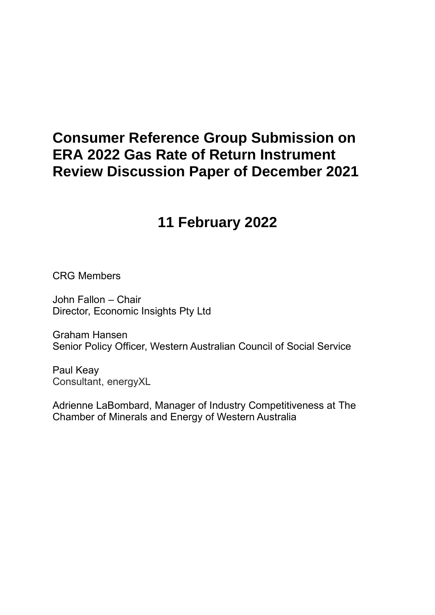# **Consumer Reference Group Submission on ERA 2022 Gas Rate of Return Instrument Review Discussion Paper of December 2021**

# **11 February 2022**

CRG Members

John Fallon – Chair Director, Economic Insights Pty Ltd

Graham Hansen Senior Policy Officer, Western Australian Council of Social Service

Paul Keay Consultant, energyXL

Adrienne LaBombard, Manager of Industry Competitiveness at The Chamber of Minerals and Energy of Western Australia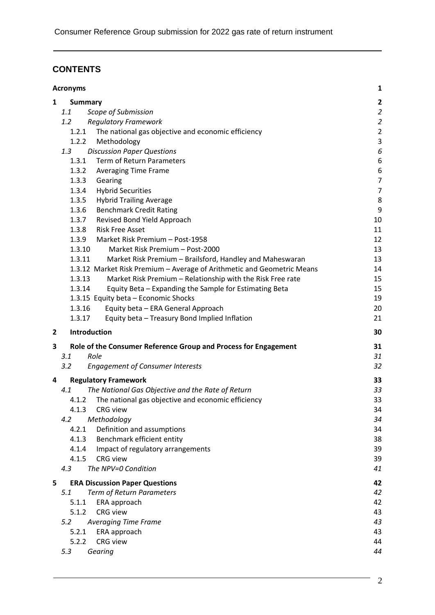### **CONTENTS**

|                | 1<br><b>Acronyms</b>                                                                 |                         |  |
|----------------|--------------------------------------------------------------------------------------|-------------------------|--|
| 1              | <b>Summary</b>                                                                       | $\overline{\mathbf{2}}$ |  |
|                | 1.1<br>Scope of Submission                                                           | $\overline{2}$          |  |
|                | <b>Regulatory Framework</b><br>1.2                                                   | $\overline{2}$          |  |
|                | The national gas objective and economic efficiency<br>1.2.1                          | $\overline{2}$          |  |
|                | Methodology<br>1.2.2                                                                 | $\mathsf 3$             |  |
|                | 1.3<br><b>Discussion Paper Questions</b>                                             | 6                       |  |
|                | 1.3.1<br>Term of Return Parameters                                                   | 6                       |  |
|                | 1.3.2<br><b>Averaging Time Frame</b>                                                 | 6                       |  |
|                | 1.3.3<br>Gearing                                                                     | $\overline{7}$          |  |
|                | 1.3.4<br><b>Hybrid Securities</b>                                                    | $\overline{7}$          |  |
|                | 1.3.5<br><b>Hybrid Trailing Average</b>                                              | 8                       |  |
|                | <b>Benchmark Credit Rating</b><br>1.3.6                                              | 9                       |  |
|                | 1.3.7<br>Revised Bond Yield Approach                                                 | 10                      |  |
|                | 1.3.8<br><b>Risk Free Asset</b>                                                      | 11                      |  |
|                | 1.3.9<br>Market Risk Premium - Post-1958                                             | 12                      |  |
|                | 1.3.10<br>Market Risk Premium - Post-2000                                            | 13                      |  |
|                | 1.3.11<br>Market Risk Premium - Brailsford, Handley and Maheswaran                   | 13                      |  |
|                | 1.3.12 Market Risk Premium - Average of Arithmetic and Geometric Means               | 14                      |  |
|                | 1.3.13<br>Market Risk Premium - Relationship with the Risk Free rate                 | 15                      |  |
|                | 1.3.14<br>Equity Beta - Expanding the Sample for Estimating Beta                     | 15<br>19                |  |
|                | 1.3.15 Equity beta - Economic Shocks<br>1.3.16<br>Equity beta - ERA General Approach | 20                      |  |
|                | 1.3.17<br>Equity beta - Treasury Bond Implied Inflation                              | 21                      |  |
|                |                                                                                      |                         |  |
| $\overline{2}$ | Introduction                                                                         | 30                      |  |
| 3              | Role of the Consumer Reference Group and Process for Engagement                      | 31                      |  |
|                | Role<br>3.1                                                                          | 31                      |  |
|                | 3.2<br><b>Engagement of Consumer Interests</b>                                       | 32                      |  |
| 4              | <b>Regulatory Framework</b>                                                          | 33                      |  |
|                | The National Gas Objective and the Rate of Return<br>4.1                             | 33                      |  |
|                | The national gas objective and economic efficiency<br>4.1.2                          | 33                      |  |
|                | 4.1.3 CRG view                                                                       | 34                      |  |
|                | Methodology<br>4.2                                                                   | 34                      |  |
|                | 4.2.1<br>Definition and assumptions                                                  | 34                      |  |
|                | 4.1.3<br>Benchmark efficient entity                                                  | 38                      |  |
|                | Impact of regulatory arrangements<br>4.1.4                                           | 39                      |  |
|                | 4.1.5<br><b>CRG</b> view<br>The NPV=0 Condition                                      | 39                      |  |
|                | 4.3                                                                                  | 41                      |  |
| 5              | <b>ERA Discussion Paper Questions</b>                                                | 42                      |  |
|                | Term of Return Parameters<br>5.1                                                     | 42                      |  |
|                | 5.1.1<br>ERA approach                                                                | 42                      |  |
|                | CRG view<br>5.1.2                                                                    | 43                      |  |
|                | <b>Averaging Time Frame</b><br>5.2                                                   | 43                      |  |
|                | 5.2.1<br>ERA approach                                                                | 43                      |  |
|                | 5.2.2<br><b>CRG</b> view                                                             | 44                      |  |
|                | 5.3<br>Gearing                                                                       | 44                      |  |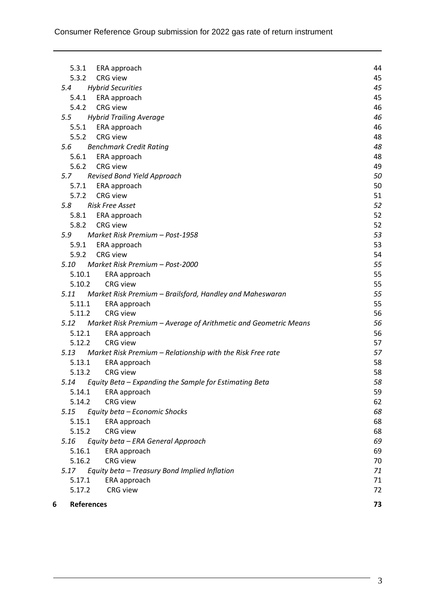| 6 | References                                                           | 73 |
|---|----------------------------------------------------------------------|----|
|   | <b>CRG</b> view<br>5.17.2                                            | 72 |
|   | ERA approach<br>5.17.1                                               | 71 |
|   | Equity beta - Treasury Bond Implied Inflation<br>5.17                | 71 |
|   | 5.16.2<br><b>CRG</b> view                                            | 70 |
|   | 5.16.1<br>ERA approach                                               | 69 |
|   | Equity beta - ERA General Approach<br>5.16                           | 69 |
|   | 5.15.2<br><b>CRG</b> view                                            | 68 |
|   | 5.15.1<br>ERA approach                                               | 68 |
|   | Equity beta - Economic Shocks<br>5.15                                | 68 |
|   | 5.14.2<br><b>CRG</b> view                                            | 62 |
|   | 5.14.1<br>ERA approach                                               | 59 |
|   | Equity Beta - Expanding the Sample for Estimating Beta<br>5.14       | 58 |
|   | CRG view<br>5.13.2                                                   | 58 |
|   | 5.13.1<br>ERA approach                                               | 58 |
|   | Market Risk Premium - Relationship with the Risk Free rate<br>5.13   | 57 |
|   | <b>CRG</b> view<br>5.12.2                                            | 57 |
|   | 5.12.1<br>ERA approach                                               | 56 |
|   | 5.12 Market Risk Premium - Average of Arithmetic and Geometric Means | 56 |
|   | 5.11.2<br><b>CRG</b> view                                            | 56 |
|   | ERA approach<br>5.11.1                                               | 55 |
|   | 5.11 Market Risk Premium - Brailsford, Handley and Maheswaran        | 55 |
|   | 5.10.2<br><b>CRG</b> view                                            | 55 |
|   | 5.10.1<br>ERA approach                                               | 55 |
|   | 5.10 Market Risk Premium - Post-2000                                 | 55 |
|   | 5.9.2 CRG view                                                       | 54 |
|   | 5.9.1 ERA approach                                                   | 53 |
|   | Market Risk Premium - Post-1958<br>5.9                               | 53 |
|   | <b>CRG</b> view<br>5.8.2                                             | 52 |
|   | 5.8.1 ERA approach                                                   | 52 |
|   | 5.8<br><b>Risk Free Asset</b>                                        | 52 |
|   | CRG view<br>5.7.2                                                    | 51 |
|   | ERA approach<br>5.7.1                                                | 50 |
|   | 5.7 Revised Bond Yield Approach                                      | 50 |
|   | 5.6.2 CRG view                                                       | 49 |
|   | 5.6.1 ERA approach                                                   | 48 |
|   | <b>Benchmark Credit Rating</b><br>5.6                                | 48 |
|   | 5.5.2 CRG view                                                       | 48 |
|   | 5.5.1 ERA approach                                                   | 46 |
|   | <b>Hybrid Trailing Average</b><br>5.5                                | 46 |
|   | 5.4.2 CRG view                                                       | 46 |
|   | ERA approach<br>5.4.1                                                | 45 |
|   | <b>Hybrid Securities</b><br>5.4                                      | 45 |
|   | <b>CRG</b> view<br>5.3.2                                             | 45 |
|   | 5.3.1 ERA approach                                                   | 44 |
|   |                                                                      |    |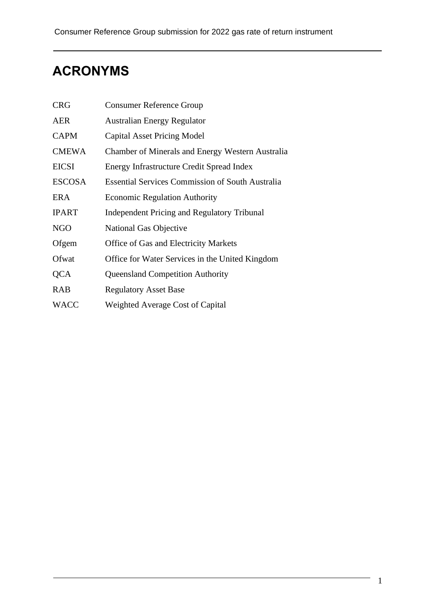# **ACRONYMS**

| <b>CRG</b>    | <b>Consumer Reference Group</b>                         |
|---------------|---------------------------------------------------------|
| <b>AER</b>    | <b>Australian Energy Regulator</b>                      |
| <b>CAPM</b>   | <b>Capital Asset Pricing Model</b>                      |
| <b>CMEWA</b>  | Chamber of Minerals and Energy Western Australia        |
| <b>EICSI</b>  | Energy Infrastructure Credit Spread Index               |
| <b>ESCOSA</b> | <b>Essential Services Commission of South Australia</b> |
| ERA           | <b>Economic Regulation Authority</b>                    |
| <b>IPART</b>  | <b>Independent Pricing and Regulatory Tribunal</b>      |
| <b>NGO</b>    | National Gas Objective                                  |
| Ofgem         | Office of Gas and Electricity Markets                   |
| Ofwat         | Office for Water Services in the United Kingdom         |
| QCA           | <b>Queensland Competition Authority</b>                 |
| <b>RAB</b>    | <b>Regulatory Asset Base</b>                            |
| <b>WACC</b>   | Weighted Average Cost of Capital                        |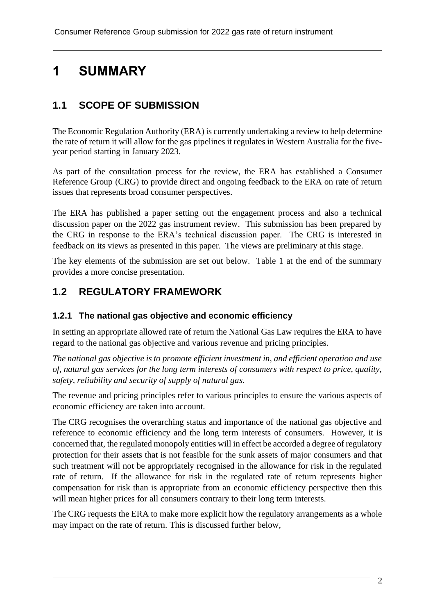# **1 SUMMARY**

# **1.1 SCOPE OF SUBMISSION**

The Economic Regulation Authority (ERA) is currently undertaking a review to help determine the rate of return it will allow for the gas pipelines it regulates in Western Australia for the fiveyear period starting in January 2023.

As part of the consultation process for the review, the ERA has established a Consumer Reference Group (CRG) to provide direct and ongoing feedback to the ERA on rate of return issues that represents broad consumer perspectives.

The ERA has published a paper setting out the engagement process and also a technical discussion paper on the 2022 gas instrument review. This submission has been prepared by the CRG in response to the ERA's technical discussion paper. The CRG is interested in feedback on its views as presented in this paper. The views are preliminary at this stage.

The key elements of the submission are set out below. Table 1 at the end of the summary provides a more concise presentation.

### **1.2 REGULATORY FRAMEWORK**

#### **1.2.1 The national gas objective and economic efficiency**

In setting an appropriate allowed rate of return the National Gas Law requires the ERA to have regard to the national gas objective and various revenue and pricing principles.

*The national gas objective is to promote efficient investment in, and efficient operation and use of, natural gas services for the long term interests of consumers with respect to price, quality, safety, reliability and security of supply of natural gas.*

The revenue and pricing principles refer to various principles to ensure the various aspects of economic efficiency are taken into account.

The CRG recognises the overarching status and importance of the national gas objective and reference to economic efficiency and the long term interests of consumers. However, it is concerned that, the regulated monopoly entities will in effect be accorded a degree of regulatory protection for their assets that is not feasible for the sunk assets of major consumers and that such treatment will not be appropriately recognised in the allowance for risk in the regulated rate of return. If the allowance for risk in the regulated rate of return represents higher compensation for risk than is appropriate from an economic efficiency perspective then this will mean higher prices for all consumers contrary to their long term interests.

The CRG requests the ERA to make more explicit how the regulatory arrangements as a whole may impact on the rate of return. This is discussed further below,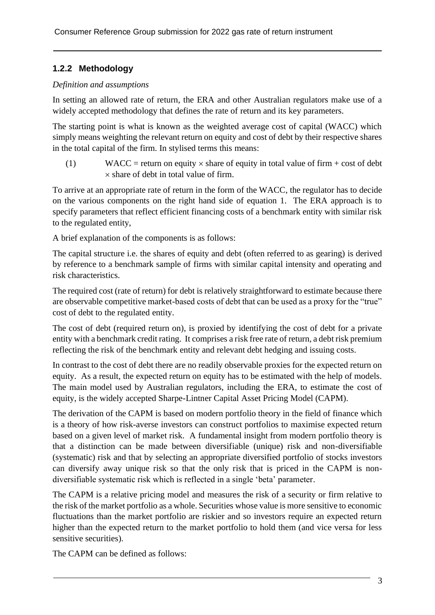### **1.2.2 Methodology**

#### *Definition and assumptions*

In setting an allowed rate of return, the ERA and other Australian regulators make use of a widely accepted methodology that defines the rate of return and its key parameters.

The starting point is what is known as the weighted average cost of capital (WACC) which simply means weighting the relevant return on equity and cost of debt by their respective shares in the total capital of the firm. In stylised terms this means:

(1) WACC = return on equity  $\times$  share of equity in total value of firm + cost of debt  $\times$  share of debt in total value of firm.

To arrive at an appropriate rate of return in the form of the WACC, the regulator has to decide on the various components on the right hand side of equation 1. The ERA approach is to specify parameters that reflect efficient financing costs of a benchmark entity with similar risk to the regulated entity,

A brief explanation of the components is as follows:

The capital structure i.e. the shares of equity and debt (often referred to as gearing) is derived by reference to a benchmark sample of firms with similar capital intensity and operating and risk characteristics.

The required cost (rate of return) for debt is relatively straightforward to estimate because there are observable competitive market-based costs of debt that can be used as a proxy for the "true" cost of debt to the regulated entity.

The cost of debt (required return on), is proxied by identifying the cost of debt for a private entity with a benchmark credit rating. It comprises a risk free rate of return, a debt risk premium reflecting the risk of the benchmark entity and relevant debt hedging and issuing costs.

In contrast to the cost of debt there are no readily observable proxies for the expected return on equity. As a result, the expected return on equity has to be estimated with the help of models. The main model used by Australian regulators, including the ERA, to estimate the cost of equity, is the widely accepted Sharpe-Lintner Capital Asset Pricing Model (CAPM).

The derivation of the CAPM is based on modern portfolio theory in the field of finance which is a theory of how risk-averse investors can construct portfolios to maximise expected return based on a given level of market risk. A fundamental insight from modern portfolio theory is that a distinction can be made between diversifiable (unique) risk and non-diversifiable (systematic) risk and that by selecting an appropriate diversified portfolio of stocks investors can diversify away unique risk so that the only risk that is priced in the CAPM is nondiversifiable systematic risk which is reflected in a single 'beta' parameter.

The CAPM is a relative pricing model and measures the risk of a security or firm relative to the risk of the market portfolio as a whole. Securities whose value is more sensitive to economic fluctuations than the market portfolio are riskier and so investors require an expected return higher than the expected return to the market portfolio to hold them (and vice versa for less sensitive securities).

The CAPM can be defined as follows: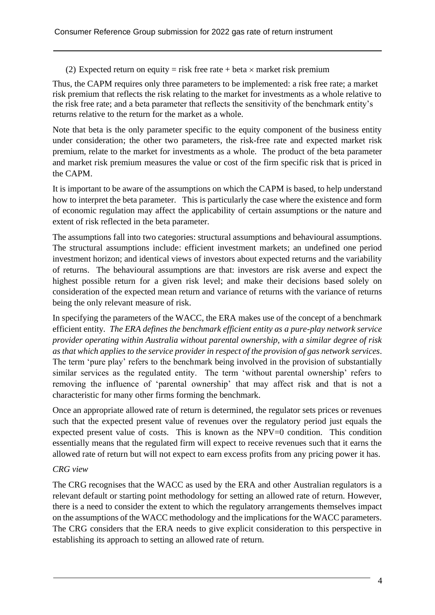(2) Expected return on equity = risk free rate + beta  $\times$  market risk premium

Thus, the CAPM requires only three parameters to be implemented: a risk free rate; a market risk premium that reflects the risk relating to the market for investments as a whole relative to the risk free rate; and a beta parameter that reflects the sensitivity of the benchmark entity's returns relative to the return for the market as a whole.

Note that beta is the only parameter specific to the equity component of the business entity under consideration; the other two parameters, the risk-free rate and expected market risk premium, relate to the market for investments as a whole. The product of the beta parameter and market risk premium measures the value or cost of the firm specific risk that is priced in the CAPM.

It is important to be aware of the assumptions on which the CAPM is based, to help understand how to interpret the beta parameter. This is particularly the case where the existence and form of economic regulation may affect the applicability of certain assumptions or the nature and extent of risk reflected in the beta parameter.

The assumptions fall into two categories: structural assumptions and behavioural assumptions. The structural assumptions include: efficient investment markets; an undefined one period investment horizon; and identical views of investors about expected returns and the variability of returns. The behavioural assumptions are that: investors are risk averse and expect the highest possible return for a given risk level; and make their decisions based solely on consideration of the expected mean return and variance of returns with the variance of returns being the only relevant measure of risk.

In specifying the parameters of the WACC, the ERA makes use of the concept of a benchmark efficient entity*. The ERA defines the benchmark efficient entity as a pure-play network service provider operating within Australia without parental ownership, with a similar degree of risk as that which applies to the service provider in respect of the provision of gas network services*. The term 'pure play' refers to the benchmark being involved in the provision of substantially similar services as the regulated entity. The term 'without parental ownership' refers to removing the influence of 'parental ownership' that may affect risk and that is not a characteristic for many other firms forming the benchmark.

Once an appropriate allowed rate of return is determined, the regulator sets prices or revenues such that the expected present value of revenues over the regulatory period just equals the expected present value of costs. This is known as the NPV=0 condition. This condition essentially means that the regulated firm will expect to receive revenues such that it earns the allowed rate of return but will not expect to earn excess profits from any pricing power it has.

#### *CRG view*

The CRG recognises that the WACC as used by the ERA and other Australian regulators is a relevant default or starting point methodology for setting an allowed rate of return. However, there is a need to consider the extent to which the regulatory arrangements themselves impact on the assumptions of the WACC methodology and the implications for the WACC parameters. The CRG considers that the ERA needs to give explicit consideration to this perspective in establishing its approach to setting an allowed rate of return.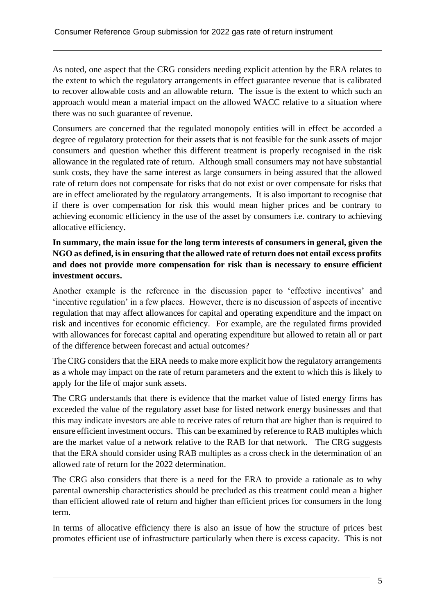As noted, one aspect that the CRG considers needing explicit attention by the ERA relates to the extent to which the regulatory arrangements in effect guarantee revenue that is calibrated to recover allowable costs and an allowable return. The issue is the extent to which such an approach would mean a material impact on the allowed WACC relative to a situation where there was no such guarantee of revenue.

Consumers are concerned that the regulated monopoly entities will in effect be accorded a degree of regulatory protection for their assets that is not feasible for the sunk assets of major consumers and question whether this different treatment is properly recognised in the risk allowance in the regulated rate of return. Although small consumers may not have substantial sunk costs, they have the same interest as large consumers in being assured that the allowed rate of return does not compensate for risks that do not exist or over compensate for risks that are in effect ameliorated by the regulatory arrangements. It is also important to recognise that if there is over compensation for risk this would mean higher prices and be contrary to achieving economic efficiency in the use of the asset by consumers i.e. contrary to achieving allocative efficiency.

#### **In summary, the main issue for the long term interests of consumers in general, given the NGO as defined, is in ensuring that the allowed rate of return does not entail excess profits and does not provide more compensation for risk than is necessary to ensure efficient investment occurs.**

Another example is the reference in the discussion paper to 'effective incentives' and 'incentive regulation' in a few places. However, there is no discussion of aspects of incentive regulation that may affect allowances for capital and operating expenditure and the impact on risk and incentives for economic efficiency. For example, are the regulated firms provided with allowances for forecast capital and operating expenditure but allowed to retain all or part of the difference between forecast and actual outcomes?

The CRG considers that the ERA needs to make more explicit how the regulatory arrangements as a whole may impact on the rate of return parameters and the extent to which this is likely to apply for the life of major sunk assets.

The CRG understands that there is evidence that the market value of listed energy firms has exceeded the value of the regulatory asset base for listed network energy businesses and that this may indicate investors are able to receive rates of return that are higher than is required to ensure efficient investment occurs. This can be examined by reference to RAB multiples which are the market value of a network relative to the RAB for that network. The CRG suggests that the ERA should consider using RAB multiples as a cross check in the determination of an allowed rate of return for the 2022 determination.

The CRG also considers that there is a need for the ERA to provide a rationale as to why parental ownership characteristics should be precluded as this treatment could mean a higher than efficient allowed rate of return and higher than efficient prices for consumers in the long term.

In terms of allocative efficiency there is also an issue of how the structure of prices best promotes efficient use of infrastructure particularly when there is excess capacity. This is not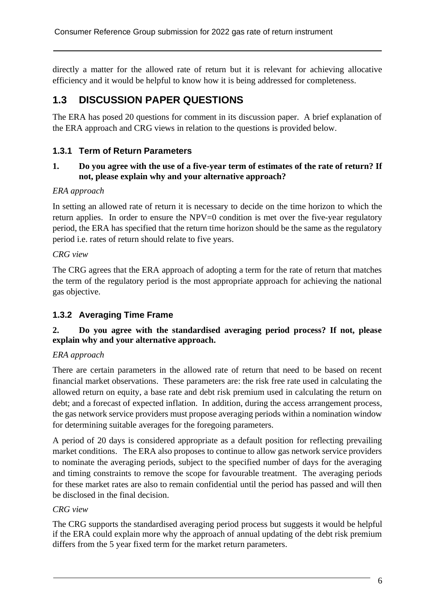directly a matter for the allowed rate of return but it is relevant for achieving allocative efficiency and it would be helpful to know how it is being addressed for completeness.

# **1.3 DISCUSSION PAPER QUESTIONS**

The ERA has posed 20 questions for comment in its discussion paper. A brief explanation of the ERA approach and CRG views in relation to the questions is provided below.

#### **1.3.1 Term of Return Parameters**

#### **1. Do you agree with the use of a five-year term of estimates of the rate of return? If not, please explain why and your alternative approach?**

#### *ERA approach*

In setting an allowed rate of return it is necessary to decide on the time horizon to which the return applies. In order to ensure the NPV=0 condition is met over the five-year regulatory period, the ERA has specified that the return time horizon should be the same as the regulatory period i.e. rates of return should relate to five years.

#### *CRG view*

The CRG agrees that the ERA approach of adopting a term for the rate of return that matches the term of the regulatory period is the most appropriate approach for achieving the national gas objective.

#### **1.3.2 Averaging Time Frame**

#### **2. Do you agree with the standardised averaging period process? If not, please explain why and your alternative approach.**

#### *ERA approach*

There are certain parameters in the allowed rate of return that need to be based on recent financial market observations. These parameters are: the risk free rate used in calculating the allowed return on equity, a base rate and debt risk premium used in calculating the return on debt; and a forecast of expected inflation. In addition, during the access arrangement process, the gas network service providers must propose averaging periods within a nomination window for determining suitable averages for the foregoing parameters.

A period of 20 days is considered appropriate as a default position for reflecting prevailing market conditions. The ERA also proposes to continue to allow gas network service providers to nominate the averaging periods, subject to the specified number of days for the averaging and timing constraints to remove the scope for favourable treatment. The averaging periods for these market rates are also to remain confidential until the period has passed and will then be disclosed in the final decision.

#### *CRG view*

The CRG supports the standardised averaging period process but suggests it would be helpful if the ERA could explain more why the approach of annual updating of the debt risk premium differs from the 5 year fixed term for the market return parameters.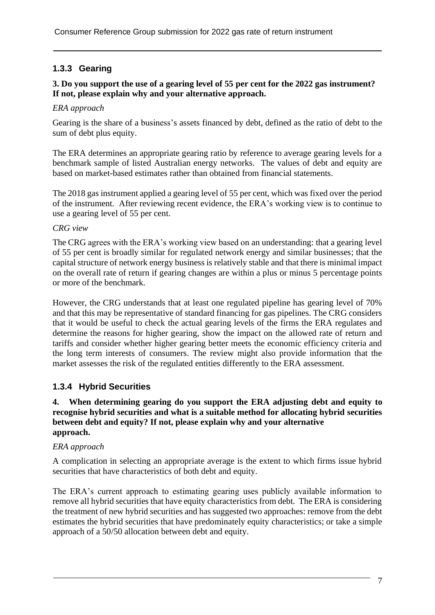### **1.3.3 Gearing**

#### **3. Do you support the use of a gearing level of 55 per cent for the 2022 gas instrument? If not, please explain why and your alternative approach.**

#### *ERA approach*

Gearing is the share of a business's assets financed by debt, defined as the ratio of debt to the sum of debt plus equity.

The ERA determines an appropriate gearing ratio by reference to average gearing levels for a benchmark sample of listed Australian energy networks. The values of debt and equity are based on market-based estimates rather than obtained from financial statements.

The 2018 gas instrument applied a gearing level of 55 per cent, which was fixed over the period of the instrument. After reviewing recent evidence, the ERA's working view is to continue to use a gearing level of 55 per cent.

#### *CRG view*

The CRG agrees with the ERA's working view based on an understanding: that a gearing level of 55 per cent is broadly similar for regulated network energy and similar businesses; that the capital structure of network energy business is relatively stable and that there is minimal impact on the overall rate of return if gearing changes are within a plus or minus 5 percentage points or more of the benchmark.

However, the CRG understands that at least one regulated pipeline has gearing level of 70% and that this may be representative of standard financing for gas pipelines. The CRG considers that it would be useful to check the actual gearing levels of the firms the ERA regulates and determine the reasons for higher gearing, show the impact on the allowed rate of return and tariffs and consider whether higher gearing better meets the economic efficiency criteria and the long term interests of consumers. The review might also provide information that the market assesses the risk of the regulated entities differently to the ERA assessment.

#### **1.3.4 Hybrid Securities**

#### **4. When determining gearing do you support the ERA adjusting debt and equity to recognise hybrid securities and what is a suitable method for allocating hybrid securities between debt and equity? If not, please explain why and your alternative approach.**

#### *ERA approach*

A complication in selecting an appropriate average is the extent to which firms issue hybrid securities that have characteristics of both debt and equity.

The ERA's current approach to estimating gearing uses publicly available information to remove all hybrid securities that have equity characteristics from debt. The ERA is considering the treatment of new hybrid securities and has suggested two approaches: remove from the debt estimates the hybrid securities that have predominately equity characteristics; or take a simple approach of a 50/50 allocation between debt and equity.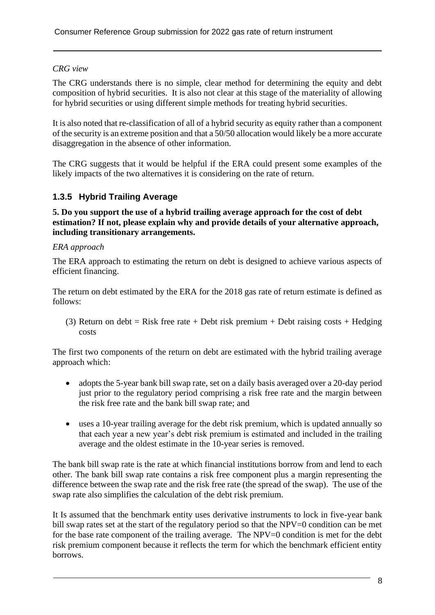#### *CRG view*

The CRG understands there is no simple, clear method for determining the equity and debt composition of hybrid securities. It is also not clear at this stage of the materiality of allowing for hybrid securities or using different simple methods for treating hybrid securities.

It is also noted that re-classification of all of a hybrid security as equity rather than a component of the security is an extreme position and that a 50/50 allocation would likely be a more accurate disaggregation in the absence of other information.

The CRG suggests that it would be helpful if the ERA could present some examples of the likely impacts of the two alternatives it is considering on the rate of return.

#### **1.3.5 Hybrid Trailing Average**

#### **5. Do you support the use of a hybrid trailing average approach for the cost of debt estimation? If not, please explain why and provide details of your alternative approach, including transitionary arrangements.**

#### *ERA approach*

The ERA approach to estimating the return on debt is designed to achieve various aspects of efficient financing.

The return on debt estimated by the ERA for the 2018 gas rate of return estimate is defined as follows:

(3) Return on debt = Risk free rate + Debt risk premium + Debt raising costs + Hedging costs

The first two components of the return on debt are estimated with the hybrid trailing average approach which:

- adopts the 5-year bank bill swap rate, set on a daily basis averaged over a 20-day period just prior to the regulatory period comprising a risk free rate and the margin between the risk free rate and the bank bill swap rate; and
- uses a 10-year trailing average for the debt risk premium, which is updated annually so that each year a new year's debt risk premium is estimated and included in the trailing average and the oldest estimate in the 10-year series is removed.

The bank bill swap rate is the rate at which financial institutions borrow from and lend to each other. The bank bill swap rate contains a risk free component plus a margin representing the difference between the swap rate and the risk free rate (the spread of the swap). The use of the swap rate also simplifies the calculation of the debt risk premium.

It Is assumed that the benchmark entity uses derivative instruments to lock in five-year bank bill swap rates set at the start of the regulatory period so that the NPV=0 condition can be met for the base rate component of the trailing average. The NPV=0 condition is met for the debt risk premium component because it reflects the term for which the benchmark efficient entity borrows.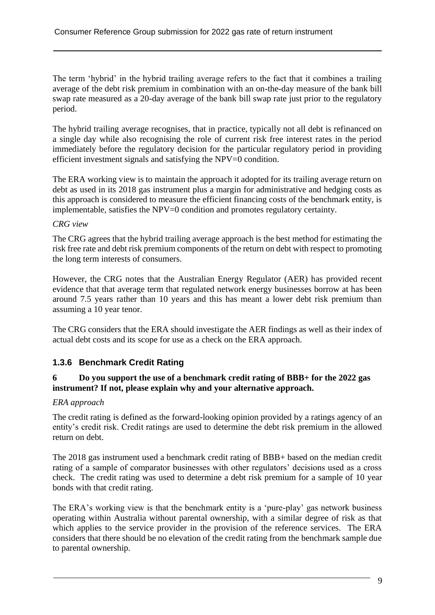The term 'hybrid' in the hybrid trailing average refers to the fact that it combines a trailing average of the debt risk premium in combination with an on-the-day measure of the bank bill swap rate measured as a 20-day average of the bank bill swap rate just prior to the regulatory period.

The hybrid trailing average recognises, that in practice, typically not all debt is refinanced on a single day while also recognising the role of current risk free interest rates in the period immediately before the regulatory decision for the particular regulatory period in providing efficient investment signals and satisfying the NPV=0 condition.

The ERA working view is to maintain the approach it adopted for its trailing average return on debt as used in its 2018 gas instrument plus a margin for administrative and hedging costs as this approach is considered to measure the efficient financing costs of the benchmark entity, is implementable, satisfies the NPV=0 condition and promotes regulatory certainty.

#### *CRG view*

The CRG agrees that the hybrid trailing average approach is the best method for estimating the risk free rate and debt risk premium components of the return on debt with respect to promoting the long term interests of consumers.

However, the CRG notes that the Australian Energy Regulator (AER) has provided recent evidence that that average term that regulated network energy businesses borrow at has been around 7.5 years rather than 10 years and this has meant a lower debt risk premium than assuming a 10 year tenor.

The CRG considers that the ERA should investigate the AER findings as well as their index of actual debt costs and its scope for use as a check on the ERA approach.

#### **1.3.6 Benchmark Credit Rating**

#### **6 Do you support the use of a benchmark credit rating of BBB+ for the 2022 gas instrument? If not, please explain why and your alternative approach.**

#### *ERA approach*

The credit rating is defined as the forward-looking opinion provided by a ratings agency of an entity's credit risk. Credit ratings are used to determine the debt risk premium in the allowed return on debt.

The 2018 gas instrument used a benchmark credit rating of BBB+ based on the median credit rating of a sample of comparator businesses with other regulators' decisions used as a cross check. The credit rating was used to determine a debt risk premium for a sample of 10 year bonds with that credit rating.

The ERA's working view is that the benchmark entity is a 'pure-play' gas network business operating within Australia without parental ownership, with a similar degree of risk as that which applies to the service provider in the provision of the reference services. The ERA considers that there should be no elevation of the credit rating from the benchmark sample due to parental ownership.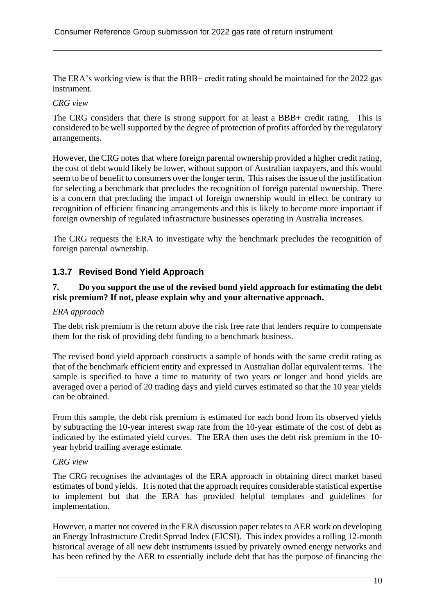The ERA's working view is that the BBB+ credit rating should be maintained for the 2022 gas instrument.

#### *CRG view*

The CRG considers that there is strong support for at least a BBB+ credit rating. This is considered to be well supported by the degree of protection of profits afforded by the regulatory arrangements.

However, the CRG notes that where foreign parental ownership provided a higher credit rating, the cost of debt would likely be lower, without support of Australian taxpayers, and this would seem to be of benefit to consumers over the longer term. This raises the issue of the justification for selecting a benchmark that precludes the recognition of foreign parental ownership. There is a concern that precluding the impact of foreign ownership would in effect be contrary to recognition of efficient financing arrangements and this is likely to become more important if foreign ownership of regulated infrastructure businesses operating in Australia increases.

The CRG requests the ERA to investigate why the benchmark precludes the recognition of foreign parental ownership.

#### **1.3.7 Revised Bond Yield Approach**

#### **7. Do you support the use of the revised bond yield approach for estimating the debt risk premium? If not, please explain why and your alternative approach.**

#### *ERA approach*

The debt risk premium is the return above the risk free rate that lenders require to compensate them for the risk of providing debt funding to a benchmark business.

The revised bond yield approach constructs a sample of bonds with the same credit rating as that of the benchmark efficient entity and expressed in Australian dollar equivalent terms. The sample is specified to have a time to maturity of two years or longer and bond yields are averaged over a period of 20 trading days and yield curves estimated so that the 10 year yields can be obtained.

From this sample, the debt risk premium is estimated for each bond from its observed yields by subtracting the 10-year interest swap rate from the 10-year estimate of the cost of debt as indicated by the estimated yield curves. The ERA then uses the debt risk premium in the 10 year hybrid trailing average estimate.

#### *CRG view*

The CRG recognises the advantages of the ERA approach in obtaining direct market based estimates of bond yields. It is noted that the approach requires considerable statistical expertise to implement but that the ERA has provided helpful templates and guidelines for implementation.

However, a matter not covered in the ERA discussion paper relates to AER work on developing an Energy Infrastructure Credit Spread Index (EICSI). This index provides a rolling 12-month historical average of all new debt instruments issued by privately owned energy networks and has been refined by the AER to essentially include debt that has the purpose of financing the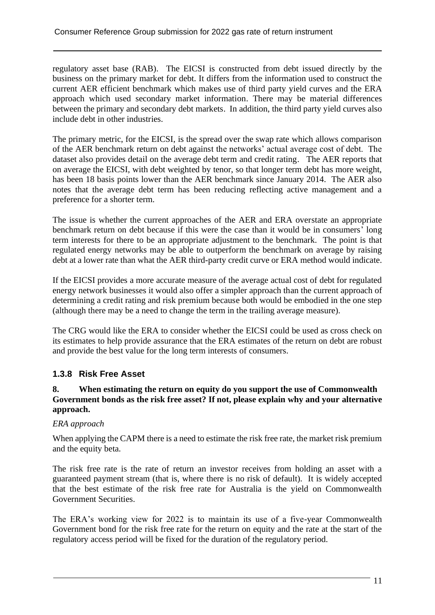regulatory asset base (RAB). The EICSI is constructed from debt issued directly by the business on the primary market for debt. It differs from the information used to construct the current AER efficient benchmark which makes use of third party yield curves and the ERA approach which used secondary market information. There may be material differences between the primary and secondary debt markets. In addition, the third party yield curves also include debt in other industries.

The primary metric, for the EICSI, is the spread over the swap rate which allows comparison of the AER benchmark return on debt against the networks' actual average cost of debt. The dataset also provides detail on the average debt term and credit rating. The AER reports that on average the EICSI, with debt weighted by tenor, so that longer term debt has more weight, has been 18 basis points lower than the AER benchmark since January 2014. The AER also notes that the average debt term has been reducing reflecting active management and a preference for a shorter term.

The issue is whether the current approaches of the AER and ERA overstate an appropriate benchmark return on debt because if this were the case than it would be in consumers' long term interests for there to be an appropriate adjustment to the benchmark. The point is that regulated energy networks may be able to outperform the benchmark on average by raising debt at a lower rate than what the AER third-party credit curve or ERA method would indicate.

If the EICSI provides a more accurate measure of the average actual cost of debt for regulated energy network businesses it would also offer a simpler approach than the current approach of determining a credit rating and risk premium because both would be embodied in the one step (although there may be a need to change the term in the trailing average measure).

The CRG would like the ERA to consider whether the EICSI could be used as cross check on its estimates to help provide assurance that the ERA estimates of the return on debt are robust and provide the best value for the long term interests of consumers.

#### **1.3.8 Risk Free Asset**

#### **8. When estimating the return on equity do you support the use of Commonwealth Government bonds as the risk free asset? If not, please explain why and your alternative approach.**

#### *ERA approach*

When applying the CAPM there is a need to estimate the risk free rate, the market risk premium and the equity beta.

The risk free rate is the rate of return an investor receives from holding an asset with a guaranteed payment stream (that is, where there is no risk of default). It is widely accepted that the best estimate of the risk free rate for Australia is the yield on Commonwealth Government Securities.

The ERA's working view for 2022 is to maintain its use of a five-year Commonwealth Government bond for the risk free rate for the return on equity and the rate at the start of the regulatory access period will be fixed for the duration of the regulatory period.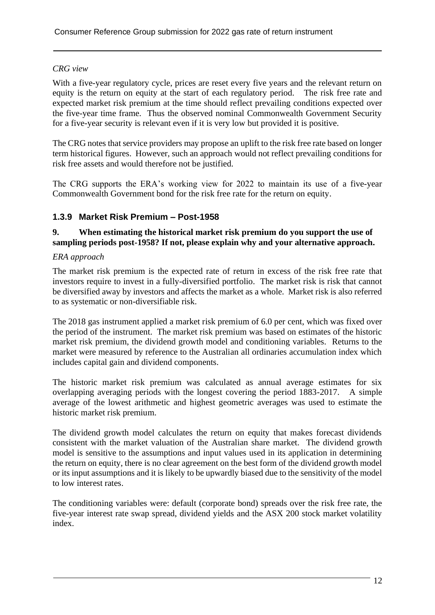#### *CRG view*

With a five-year regulatory cycle, prices are reset every five years and the relevant return on equity is the return on equity at the start of each regulatory period. The risk free rate and expected market risk premium at the time should reflect prevailing conditions expected over the five-year time frame. Thus the observed nominal Commonwealth Government Security for a five-year security is relevant even if it is very low but provided it is positive.

The CRG notes that service providers may propose an uplift to the risk free rate based on longer term historical figures. However, such an approach would not reflect prevailing conditions for risk free assets and would therefore not be justified.

The CRG supports the ERA's working view for 2022 to maintain its use of a five-year Commonwealth Government bond for the risk free rate for the return on equity.

#### **1.3.9 Market Risk Premium – Post-1958**

#### **9. When estimating the historical market risk premium do you support the use of sampling periods post-1958? If not, please explain why and your alternative approach.**

#### *ERA approach*

The market risk premium is the expected rate of return in excess of the risk free rate that investors require to invest in a fully-diversified portfolio. The market risk is risk that cannot be diversified away by investors and affects the market as a whole. Market risk is also referred to as systematic or non-diversifiable risk.

The 2018 gas instrument applied a market risk premium of 6.0 per cent, which was fixed over the period of the instrument. The market risk premium was based on estimates of the historic market risk premium, the dividend growth model and conditioning variables. Returns to the market were measured by reference to the Australian all ordinaries accumulation index which includes capital gain and dividend components.

The historic market risk premium was calculated as annual average estimates for six overlapping averaging periods with the longest covering the period 1883-2017. A simple average of the lowest arithmetic and highest geometric averages was used to estimate the historic market risk premium.

The dividend growth model calculates the return on equity that makes forecast dividends consistent with the market valuation of the Australian share market. The dividend growth model is sensitive to the assumptions and input values used in its application in determining the return on equity, there is no clear agreement on the best form of the dividend growth model or its input assumptions and it is likely to be upwardly biased due to the sensitivity of the model to low interest rates.

The conditioning variables were: default (corporate bond) spreads over the risk free rate, the five-year interest rate swap spread, dividend yields and the ASX 200 stock market volatility index.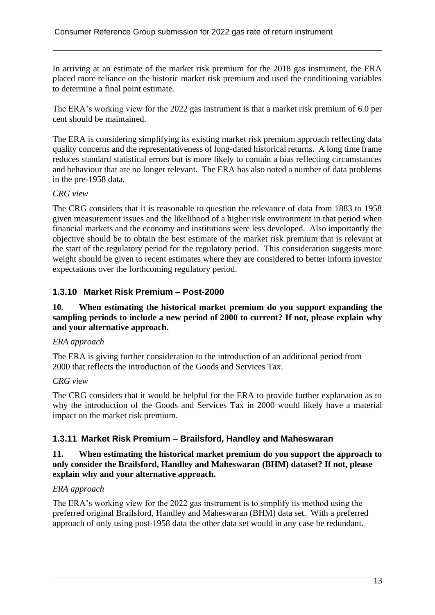In arriving at an estimate of the market risk premium for the 2018 gas instrument, the ERA placed more reliance on the historic market risk premium and used the conditioning variables to determine a final point estimate.

The ERA's working view for the 2022 gas instrument is that a market risk premium of 6.0 per cent should be maintained.

The ERA is considering simplifying its existing market risk premium approach reflecting data quality concerns and the representativeness of long-dated historical returns. A long time frame reduces standard statistical errors but is more likely to contain a bias reflecting circumstances and behaviour that are no longer relevant. The ERA has also noted a number of data problems in the pre-1958 data.

#### *CRG view*

The CRG considers that it is reasonable to question the relevance of data from 1883 to 1958 given measurement issues and the likelihood of a higher risk environment in that period when financial markets and the economy and institutions were less developed. Also importantly the objective should be to obtain the best estimate of the market risk premium that is relevant at the start of the regulatory period for the regulatory period. This consideration suggests more weight should be given to recent estimates where they are considered to better inform investor expectations over the forthcoming regulatory period.

#### **1.3.10 Market Risk Premium – Post-2000**

#### **10. When estimating the historical market premium do you support expanding the sampling periods to include a new period of 2000 to current? If not, please explain why and your alternative approach.**

#### *ERA approach*

The ERA is giving further consideration to the introduction of an additional period from 2000 that reflects the introduction of the Goods and Services Tax.

#### *CRG view*

The CRG considers that it would be helpful for the ERA to provide further explanation as to why the introduction of the Goods and Services Tax in 2000 would likely have a material impact on the market risk premium.

#### **1.3.11 Market Risk Premium – Brailsford, Handley and Maheswaran**

#### **11. When estimating the historical market premium do you support the approach to only consider the Brailsford, Handley and Maheswaran (BHM) dataset? If not, please explain why and your alternative approach.**

#### *ERA approach*

The ERA's working view for the 2022 gas instrument is to simplify its method using the preferred original Brailsford, Handley and Maheswaran (BHM) data set. With a preferred approach of only using post-1958 data the other data set would in any case be redundant.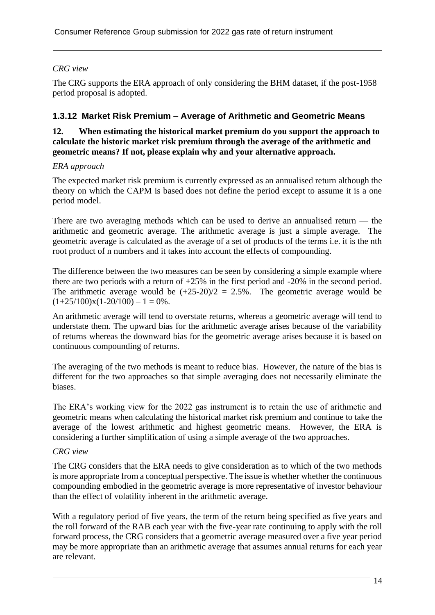#### *CRG view*

The CRG supports the ERA approach of only considering the BHM dataset, if the post-1958 period proposal is adopted.

#### **1.3.12 Market Risk Premium – Average of Arithmetic and Geometric Means**

#### **12. When estimating the historical market premium do you support the approach to calculate the historic market risk premium through the average of the arithmetic and geometric means? If not, please explain why and your alternative approach.**

#### *ERA approach*

The expected market risk premium is currently expressed as an annualised return although the theory on which the CAPM is based does not define the period except to assume it is a one period model.

There are two averaging methods which can be used to derive an annualised return — the arithmetic and geometric average. The arithmetic average is just a simple average. The geometric average is calculated as the average of a set of products of the terms i.e. it is the nth root product of n numbers and it takes into account the effects of compounding.

The difference between the two measures can be seen by considering a simple example where there are two periods with a return of +25% in the first period and -20% in the second period. The arithmetic average would be  $(+25-20)/2 = 2.5%$ . The geometric average would be  $(1+25/100)x(1-20/100) - 1 = 0%$ .

An arithmetic average will tend to overstate returns, whereas a geometric average will tend to understate them. The upward bias for the arithmetic average arises because of the variability of returns whereas the downward bias for the geometric average arises because it is based on continuous compounding of returns.

The averaging of the two methods is meant to reduce bias. However, the nature of the bias is different for the two approaches so that simple averaging does not necessarily eliminate the biases.

The ERA's working view for the 2022 gas instrument is to retain the use of arithmetic and geometric means when calculating the historical market risk premium and continue to take the average of the lowest arithmetic and highest geometric means. However, the ERA is considering a further simplification of using a simple average of the two approaches.

#### *CRG view*

The CRG considers that the ERA needs to give consideration as to which of the two methods is more appropriate from a conceptual perspective. The issue is whether whether the continuous compounding embodied in the geometric average is more representative of investor behaviour than the effect of volatility inherent in the arithmetic average.

With a regulatory period of five years, the term of the return being specified as five years and the roll forward of the RAB each year with the five-year rate continuing to apply with the roll forward process, the CRG considers that a geometric average measured over a five year period may be more appropriate than an arithmetic average that assumes annual returns for each year are relevant.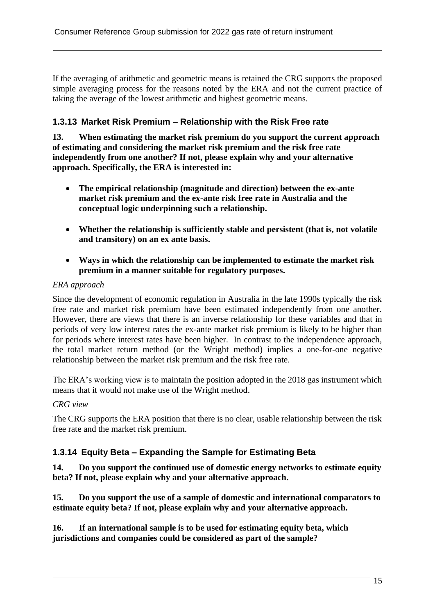If the averaging of arithmetic and geometric means is retained the CRG supports the proposed simple averaging process for the reasons noted by the ERA and not the current practice of taking the average of the lowest arithmetic and highest geometric means.

#### **1.3.13 Market Risk Premium – Relationship with the Risk Free rate**

**13. When estimating the market risk premium do you support the current approach of estimating and considering the market risk premium and the risk free rate independently from one another? If not, please explain why and your alternative approach. Specifically, the ERA is interested in:**

- **The empirical relationship (magnitude and direction) between the ex-ante market risk premium and the ex-ante risk free rate in Australia and the conceptual logic underpinning such a relationship.**
- **Whether the relationship is sufficiently stable and persistent (that is, not volatile and transitory) on an ex ante basis.**
- **Ways in which the relationship can be implemented to estimate the market risk premium in a manner suitable for regulatory purposes.**

#### *ERA approach*

Since the development of economic regulation in Australia in the late 1990s typically the risk free rate and market risk premium have been estimated independently from one another. However, there are views that there is an inverse relationship for these variables and that in periods of very low interest rates the ex-ante market risk premium is likely to be higher than for periods where interest rates have been higher. In contrast to the independence approach, the total market return method (or the Wright method) implies a one-for-one negative relationship between the market risk premium and the risk free rate.

The ERA's working view is to maintain the position adopted in the 2018 gas instrument which means that it would not make use of the Wright method.

#### *CRG view*

The CRG supports the ERA position that there is no clear, usable relationship between the risk free rate and the market risk premium.

#### **1.3.14 Equity Beta – Expanding the Sample for Estimating Beta**

**14. Do you support the continued use of domestic energy networks to estimate equity beta? If not, please explain why and your alternative approach.**

**15. Do you support the use of a sample of domestic and international comparators to estimate equity beta? If not, please explain why and your alternative approach.**

**16. If an international sample is to be used for estimating equity beta, which jurisdictions and companies could be considered as part of the sample?**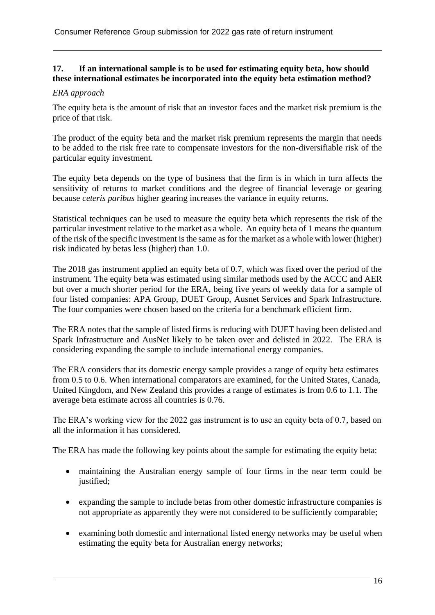#### **17. If an international sample is to be used for estimating equity beta, how should these international estimates be incorporated into the equity beta estimation method?**

#### *ERA approach*

The equity beta is the amount of risk that an investor faces and the market risk premium is the price of that risk.

The product of the equity beta and the market risk premium represents the margin that needs to be added to the risk free rate to compensate investors for the non-diversifiable risk of the particular equity investment.

The equity beta depends on the type of business that the firm is in which in turn affects the sensitivity of returns to market conditions and the degree of financial leverage or gearing because *ceteris paribus* higher gearing increases the variance in equity returns.

Statistical techniques can be used to measure the equity beta which represents the risk of the particular investment relative to the market as a whole. An equity beta of 1 means the quantum of the risk of the specific investment is the same as for the market as a whole with lower (higher) risk indicated by betas less (higher) than 1.0.

The 2018 gas instrument applied an equity beta of 0.7, which was fixed over the period of the instrument. The equity beta was estimated using similar methods used by the ACCC and AER but over a much shorter period for the ERA, being five years of weekly data for a sample of four listed companies: APA Group, DUET Group, Ausnet Services and Spark Infrastructure. The four companies were chosen based on the criteria for a benchmark efficient firm.

The ERA notes that the sample of listed firms is reducing with DUET having been delisted and Spark Infrastructure and AusNet likely to be taken over and delisted in 2022. The ERA is considering expanding the sample to include international energy companies.

The ERA considers that its domestic energy sample provides a range of equity beta estimates from 0.5 to 0.6. When international comparators are examined, for the United States, Canada, United Kingdom, and New Zealand this provides a range of estimates is from 0.6 to 1.1. The average beta estimate across all countries is 0.76.

The ERA's working view for the 2022 gas instrument is to use an equity beta of 0.7, based on all the information it has considered.

The ERA has made the following key points about the sample for estimating the equity beta:

- maintaining the Australian energy sample of four firms in the near term could be justified;
- expanding the sample to include betas from other domestic infrastructure companies is not appropriate as apparently they were not considered to be sufficiently comparable;
- examining both domestic and international listed energy networks may be useful when estimating the equity beta for Australian energy networks;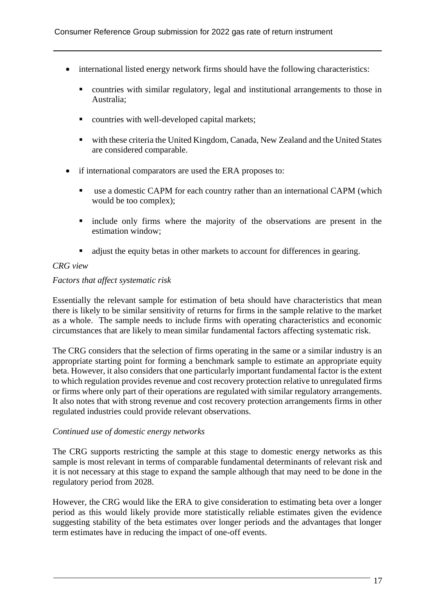- international listed energy network firms should have the following characteristics:
	- countries with similar regulatory, legal and institutional arrangements to those in Australia;
	- countries with well-developed capital markets;
	- with these criteria the United Kingdom, Canada, New Zealand and the United States are considered comparable.
- if international comparators are used the ERA proposes to:
	- use a domestic CAPM for each country rather than an international CAPM (which would be too complex);
	- include only firms where the majority of the observations are present in the estimation window;
	- adjust the equity betas in other markets to account for differences in gearing.

#### *CRG view*

#### *Factors that affect systematic risk*

Essentially the relevant sample for estimation of beta should have characteristics that mean there is likely to be similar sensitivity of returns for firms in the sample relative to the market as a whole. The sample needs to include firms with operating characteristics and economic circumstances that are likely to mean similar fundamental factors affecting systematic risk.

The CRG considers that the selection of firms operating in the same or a similar industry is an appropriate starting point for forming a benchmark sample to estimate an appropriate equity beta. However, it also considers that one particularly important fundamental factor is the extent to which regulation provides revenue and cost recovery protection relative to unregulated firms or firms where only part of their operations are regulated with similar regulatory arrangements. It also notes that with strong revenue and cost recovery protection arrangements firms in other regulated industries could provide relevant observations.

#### *Continued use of domestic energy networks*

The CRG supports restricting the sample at this stage to domestic energy networks as this sample is most relevant in terms of comparable fundamental determinants of relevant risk and it is not necessary at this stage to expand the sample although that may need to be done in the regulatory period from 2028.

However, the CRG would like the ERA to give consideration to estimating beta over a longer period as this would likely provide more statistically reliable estimates given the evidence suggesting stability of the beta estimates over longer periods and the advantages that longer term estimates have in reducing the impact of one-off events.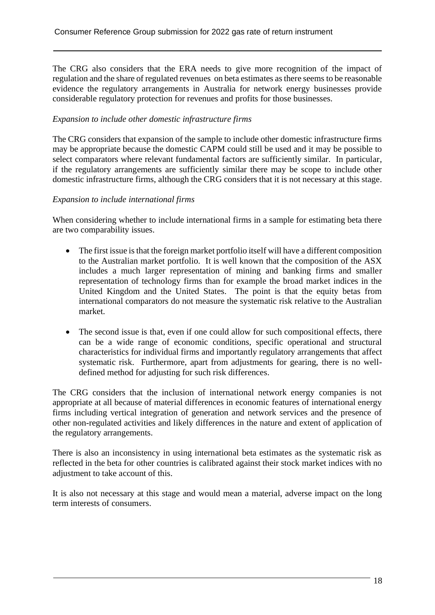The CRG also considers that the ERA needs to give more recognition of the impact of regulation and the share of regulated revenues on beta estimates as there seems to be reasonable evidence the regulatory arrangements in Australia for network energy businesses provide considerable regulatory protection for revenues and profits for those businesses.

#### *Expansion to include other domestic infrastructure firms*

The CRG considers that expansion of the sample to include other domestic infrastructure firms may be appropriate because the domestic CAPM could still be used and it may be possible to select comparators where relevant fundamental factors are sufficiently similar. In particular, if the regulatory arrangements are sufficiently similar there may be scope to include other domestic infrastructure firms, although the CRG considers that it is not necessary at this stage.

#### *Expansion to include international firms*

When considering whether to include international firms in a sample for estimating beta there are two comparability issues.

- The first issue is that the foreign market portfolio itself will have a different composition to the Australian market portfolio. It is well known that the composition of the ASX includes a much larger representation of mining and banking firms and smaller representation of technology firms than for example the broad market indices in the United Kingdom and the United States. The point is that the equity betas from international comparators do not measure the systematic risk relative to the Australian market.
- The second issue is that, even if one could allow for such compositional effects, there can be a wide range of economic conditions, specific operational and structural characteristics for individual firms and importantly regulatory arrangements that affect systematic risk. Furthermore, apart from adjustments for gearing, there is no welldefined method for adjusting for such risk differences.

The CRG considers that the inclusion of international network energy companies is not appropriate at all because of material differences in economic features of international energy firms including vertical integration of generation and network services and the presence of other non-regulated activities and likely differences in the nature and extent of application of the regulatory arrangements.

There is also an inconsistency in using international beta estimates as the systematic risk as reflected in the beta for other countries is calibrated against their stock market indices with no adjustment to take account of this.

It is also not necessary at this stage and would mean a material, adverse impact on the long term interests of consumers.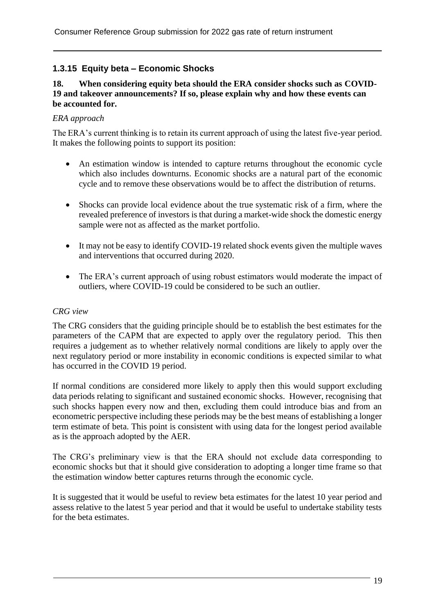#### **1.3.15 Equity beta – Economic Shocks**

#### **18. When considering equity beta should the ERA consider shocks such as COVID-19 and takeover announcements? If so, please explain why and how these events can be accounted for.**

#### *ERA approach*

The ERA's current thinking is to retain its current approach of using the latest five-year period. It makes the following points to support its position:

- An estimation window is intended to capture returns throughout the economic cycle which also includes downturns. Economic shocks are a natural part of the economic cycle and to remove these observations would be to affect the distribution of returns.
- Shocks can provide local evidence about the true systematic risk of a firm, where the revealed preference of investors is that during a market-wide shock the domestic energy sample were not as affected as the market portfolio.
- It may not be easy to identify COVID-19 related shock events given the multiple waves and interventions that occurred during 2020.
- The ERA's current approach of using robust estimators would moderate the impact of outliers, where COVID-19 could be considered to be such an outlier.

#### *CRG view*

The CRG considers that the guiding principle should be to establish the best estimates for the parameters of the CAPM that are expected to apply over the regulatory period. This then requires a judgement as to whether relatively normal conditions are likely to apply over the next regulatory period or more instability in economic conditions is expected similar to what has occurred in the COVID 19 period.

If normal conditions are considered more likely to apply then this would support excluding data periods relating to significant and sustained economic shocks. However, recognising that such shocks happen every now and then, excluding them could introduce bias and from an econometric perspective including these periods may be the best means of establishing a longer term estimate of beta. This point is consistent with using data for the longest period available as is the approach adopted by the AER.

The CRG's preliminary view is that the ERA should not exclude data corresponding to economic shocks but that it should give consideration to adopting a longer time frame so that the estimation window better captures returns through the economic cycle.

It is suggested that it would be useful to review beta estimates for the latest 10 year period and assess relative to the latest 5 year period and that it would be useful to undertake stability tests for the beta estimates.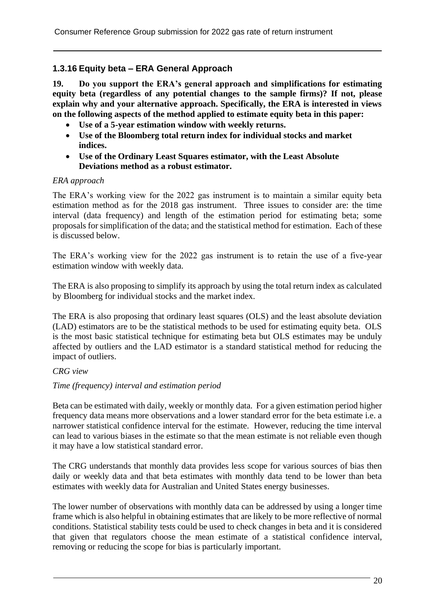#### **1.3.16 Equity beta – ERA General Approach**

**19. Do you support the ERA's general approach and simplifications for estimating equity beta (regardless of any potential changes to the sample firms)? If not, please explain why and your alternative approach. Specifically, the ERA is interested in views on the following aspects of the method applied to estimate equity beta in this paper:**

- **Use of a 5-year estimation window with weekly returns.**
- **Use of the Bloomberg total return index for individual stocks and market indices.**
- **Use of the Ordinary Least Squares estimator, with the Least Absolute Deviations method as a robust estimator.**

#### *ERA approach*

The ERA's working view for the 2022 gas instrument is to maintain a similar equity beta estimation method as for the 2018 gas instrument. Three issues to consider are: the time interval (data frequency) and length of the estimation period for estimating beta; some proposals for simplification of the data; and the statistical method for estimation. Each of these is discussed below.

The ERA's working view for the 2022 gas instrument is to retain the use of a five-year estimation window with weekly data.

The ERA is also proposing to simplify its approach by using the total return index as calculated by Bloomberg for individual stocks and the market index.

The ERA is also proposing that ordinary least squares (OLS) and the least absolute deviation (LAD) estimators are to be the statistical methods to be used for estimating equity beta. OLS is the most basic statistical technique for estimating beta but OLS estimates may be unduly affected by outliers and the LAD estimator is a standard statistical method for reducing the impact of outliers.

#### *CRG view*

#### *Time (frequency) interval and estimation period*

Beta can be estimated with daily, weekly or monthly data. For a given estimation period higher frequency data means more observations and a lower standard error for the beta estimate i.e. a narrower statistical confidence interval for the estimate. However, reducing the time interval can lead to various biases in the estimate so that the mean estimate is not reliable even though it may have a low statistical standard error.

The CRG understands that monthly data provides less scope for various sources of bias then daily or weekly data and that beta estimates with monthly data tend to be lower than beta estimates with weekly data for Australian and United States energy businesses.

The lower number of observations with monthly data can be addressed by using a longer time frame which is also helpful in obtaining estimates that are likely to be more reflective of normal conditions. Statistical stability tests could be used to check changes in beta and it is considered that given that regulators choose the mean estimate of a statistical confidence interval, removing or reducing the scope for bias is particularly important.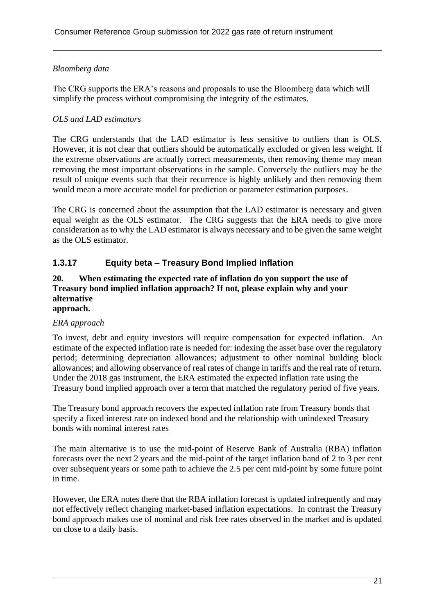#### *Bloomberg data*

The CRG supports the ERA's reasons and proposals to use the Bloomberg data which will simplify the process without compromising the integrity of the estimates.

#### *OLS and LAD estimators*

The CRG understands that the LAD estimator is less sensitive to outliers than is OLS. However, it is not clear that outliers should be automatically excluded or given less weight. If the extreme observations are actually correct measurements, then removing theme may mean removing the most important observations in the sample. Conversely the outliers may be the result of unique events such that their recurrence is highly unlikely and then removing them would mean a more accurate model for prediction or parameter estimation purposes.

The CRG is concerned about the assumption that the LAD estimator is necessary and given equal weight as the OLS estimator. The CRG suggests that the ERA needs to give more consideration as to why the LAD estimator is always necessary and to be given the same weight as the OLS estimator.

#### **1.3.17 Equity beta – Treasury Bond Implied Inflation**

#### **20. When estimating the expected rate of inflation do you support the use of Treasury bond implied inflation approach? If not, please explain why and your alternative**

### **approach.**

#### *ERA approach*

To invest, debt and equity investors will require compensation for expected inflation. An estimate of the expected inflation rate is needed for: indexing the asset base over the regulatory period; determining depreciation allowances; adjustment to other nominal building block allowances; and allowing observance of real rates of change in tariffs and the real rate of return. Under the 2018 gas instrument, the ERA estimated the expected inflation rate using the Treasury bond implied approach over a term that matched the regulatory period of five years.

The Treasury bond approach recovers the expected inflation rate from Treasury bonds that specify a fixed interest rate on indexed bond and the relationship with unindexed Treasury bonds with nominal interest rates

The main alternative is to use the mid-point of Reserve Bank of Australia (RBA) inflation forecasts over the next 2 years and the mid-point of the target inflation band of 2 to 3 per cent over subsequent years or some path to achieve the 2.5 per cent mid-point by some future point in time.

However, the ERA notes there that the RBA inflation forecast is updated infrequently and may not effectively reflect changing market-based inflation expectations. In contrast the Treasury bond approach makes use of nominal and risk free rates observed in the market and is updated on close to a daily basis.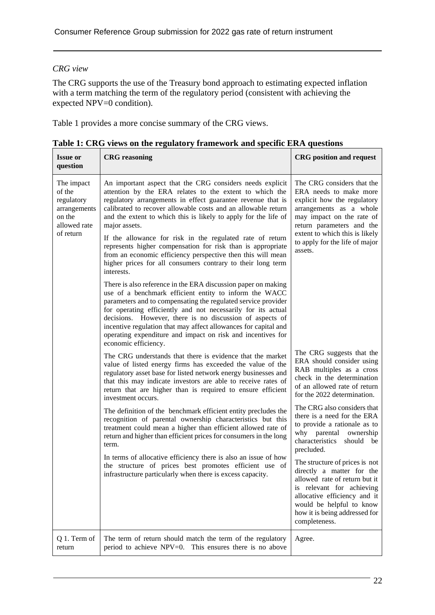#### *CRG view*

The CRG supports the use of the Treasury bond approach to estimating expected inflation with a term matching the term of the regulatory period (consistent with achieving the expected NPV=0 condition).

Table 1 provides a more concise summary of the CRG views.

| <b>Issue or</b><br>question                                                               | <b>CRG</b> reasoning                                                                                                                                                                                                                                                                                                                                                                                                                                                                                                                                                                                             | <b>CRG</b> position and request                                                                                                                                                                                                                         |
|-------------------------------------------------------------------------------------------|------------------------------------------------------------------------------------------------------------------------------------------------------------------------------------------------------------------------------------------------------------------------------------------------------------------------------------------------------------------------------------------------------------------------------------------------------------------------------------------------------------------------------------------------------------------------------------------------------------------|---------------------------------------------------------------------------------------------------------------------------------------------------------------------------------------------------------------------------------------------------------|
| The impact<br>of the<br>regulatory<br>arrangements<br>on the<br>allowed rate<br>of return | An important aspect that the CRG considers needs explicit<br>attention by the ERA relates to the extent to which the<br>regulatory arrangements in effect guarantee revenue that is<br>calibrated to recover allowable costs and an allowable return<br>and the extent to which this is likely to apply for the life of<br>major assets.<br>If the allowance for risk in the regulated rate of return<br>represents higher compensation for risk than is appropriate<br>from an economic efficiency perspective then this will mean<br>higher prices for all consumers contrary to their long term<br>interests. | The CRG considers that the<br>ERA needs to make more<br>explicit how the regulatory<br>arrangements as a whole<br>may impact on the rate of<br>return parameters and the<br>extent to which this is likely<br>to apply for the life of major<br>assets. |
|                                                                                           | There is also reference in the ERA discussion paper on making<br>use of a benchmark efficient entity to inform the WACC<br>parameters and to compensating the regulated service provider<br>for operating efficiently and not necessarily for its actual<br>decisions. However, there is no discussion of aspects of<br>incentive regulation that may affect allowances for capital and<br>operating expenditure and impact on risk and incentives for<br>economic efficiency.                                                                                                                                   |                                                                                                                                                                                                                                                         |
|                                                                                           | The CRG understands that there is evidence that the market<br>value of listed energy firms has exceeded the value of the<br>regulatory asset base for listed network energy businesses and<br>that this may indicate investors are able to receive rates of<br>return that are higher than is required to ensure efficient<br>investment occurs.                                                                                                                                                                                                                                                                 | The CRG suggests that the<br>ERA should consider using<br>RAB multiples as a cross<br>check in the determination<br>of an allowed rate of return<br>for the 2022 determination.                                                                         |
|                                                                                           | The definition of the benchmark efficient entity precludes the<br>recognition of parental ownership characteristics but this<br>treatment could mean a higher than efficient allowed rate of<br>return and higher than efficient prices for consumers in the long<br>term.                                                                                                                                                                                                                                                                                                                                       | The CRG also considers that<br>there is a need for the ERA<br>to provide a rationale as to<br>why parental ownership<br>characteristics should be<br>precluded.                                                                                         |
|                                                                                           | In terms of allocative efficiency there is also an issue of how<br>the structure of prices best promotes efficient use of<br>infrastructure particularly when there is excess capacity.                                                                                                                                                                                                                                                                                                                                                                                                                          | The structure of prices is not<br>directly a matter for the<br>allowed rate of return but it<br>is relevant for achieving<br>allocative efficiency and it<br>would be helpful to know<br>how it is being addressed for<br>completeness.                 |
| Q 1. Term of<br>return                                                                    | The term of return should match the term of the regulatory<br>period to achieve NPV=0. This ensures there is no above                                                                                                                                                                                                                                                                                                                                                                                                                                                                                            | Agree.                                                                                                                                                                                                                                                  |

**Table 1: CRG views on the regulatory framework and specific ERA questions**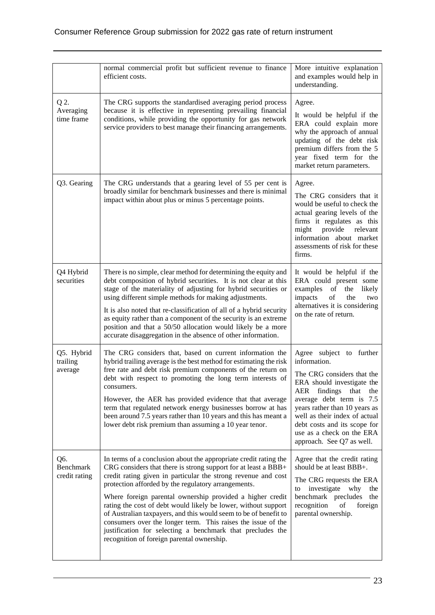|                                   | normal commercial profit but sufficient revenue to finance<br>efficient costs.                                                                                                                                                                                                                                                                                                                                                                                                                                                                                                                                                            | More intuitive explanation<br>and examples would help in<br>understanding.                                                                                                                                                                                                                                               |
|-----------------------------------|-------------------------------------------------------------------------------------------------------------------------------------------------------------------------------------------------------------------------------------------------------------------------------------------------------------------------------------------------------------------------------------------------------------------------------------------------------------------------------------------------------------------------------------------------------------------------------------------------------------------------------------------|--------------------------------------------------------------------------------------------------------------------------------------------------------------------------------------------------------------------------------------------------------------------------------------------------------------------------|
| Q 2.<br>Averaging<br>time frame   | The CRG supports the standardised averaging period process<br>because it is effective in representing prevailing financial<br>conditions, while providing the opportunity for gas network<br>service providers to best manage their financing arrangements.                                                                                                                                                                                                                                                                                                                                                                               | Agree.<br>It would be helpful if the<br>ERA could explain more<br>why the approach of annual<br>updating of the debt risk<br>premium differs from the 5<br>year fixed term for the<br>market return parameters.                                                                                                          |
| Q3. Gearing                       | The CRG understands that a gearing level of 55 per cent is<br>broadly similar for benchmark businesses and there is minimal<br>impact within about plus or minus 5 percentage points.                                                                                                                                                                                                                                                                                                                                                                                                                                                     | Agree.<br>The CRG considers that it<br>would be useful to check the<br>actual gearing levels of the<br>firms it regulates as this<br>provide<br>might<br>relevant<br>information about market<br>assessments of risk for these<br>firms.                                                                                 |
| Q4 Hybrid<br>securities           | There is no simple, clear method for determining the equity and<br>debt composition of hybrid securities. It is not clear at this<br>stage of the materiality of adjusting for hybrid securities or<br>using different simple methods for making adjustments.<br>It is also noted that re-classification of all of a hybrid security<br>as equity rather than a component of the security is an extreme<br>position and that a 50/50 allocation would likely be a more<br>accurate disaggregation in the absence of other information.                                                                                                    | It would be helpful if the<br>ERA could present some<br>examples of the<br>likely<br>$\sigma f$<br>impacts<br>the<br>two<br>alternatives it is considering<br>on the rate of return.                                                                                                                                     |
| Q5. Hybrid<br>trailing<br>average | The CRG considers that, based on current information the<br>hybrid trailing average is the best method for estimating the risk<br>free rate and debt risk premium components of the return on<br>debt with respect to promoting the long term interests of<br>consumers.<br>However, the AER has provided evidence that that average<br>term that regulated network energy businesses borrow at has<br>been around 7.5 years rather than 10 years and this has meant a<br>lower debt risk premium than assuming a 10 year tenor.                                                                                                          | Agree subject to further<br>information.<br>The CRG considers that the<br>ERA should investigate the<br>AER findings that<br>the<br>average debt term is 7.5<br>years rather than 10 years as<br>well as their index of actual<br>debt costs and its scope for<br>use as a check on the ERA<br>approach. See Q7 as well. |
| Q6.<br>Benchmark<br>credit rating | In terms of a conclusion about the appropriate credit rating the<br>CRG considers that there is strong support for at least a BBB+<br>credit rating given in particular the strong revenue and cost<br>protection afforded by the regulatory arrangements.<br>Where foreign parental ownership provided a higher credit<br>rating the cost of debt would likely be lower, without support<br>of Australian taxpayers, and this would seem to be of benefit to<br>consumers over the longer term. This raises the issue of the<br>justification for selecting a benchmark that precludes the<br>recognition of foreign parental ownership. | Agree that the credit rating<br>should be at least BBB+.<br>The CRG requests the ERA<br>investigate why<br>the<br>to<br>benchmark precludes<br>the<br>recognition<br>foreign<br>of<br>parental ownership.                                                                                                                |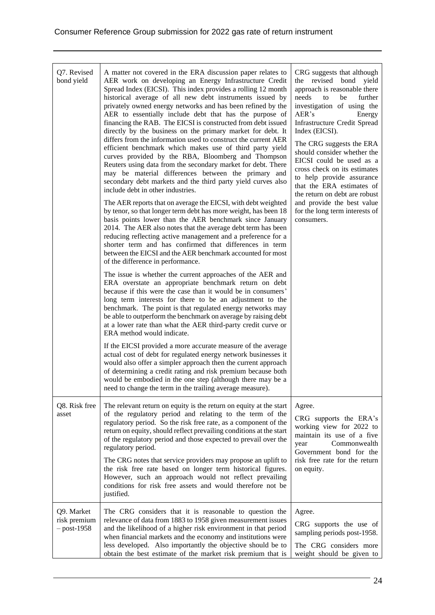| Q7. Revised<br>bond yield                   | A matter not covered in the ERA discussion paper relates to<br>AER work on developing an Energy Infrastructure Credit<br>Spread Index (EICSI). This index provides a rolling 12 month<br>historical average of all new debt instruments issued by<br>privately owned energy networks and has been refined by the<br>AER to essentially include debt that has the purpose of<br>financing the RAB. The EICSI is constructed from debt issued<br>directly by the business on the primary market for debt. It<br>differs from the information used to construct the current AER<br>efficient benchmark which makes use of third party yield<br>curves provided by the RBA, Bloomberg and Thompson<br>Reuters using data from the secondary market for debt. There<br>may be material differences between the primary and<br>secondary debt markets and the third party yield curves also<br>include debt in other industries.<br>The AER reports that on average the EICSI, with debt weighted<br>by tenor, so that longer term debt has more weight, has been 18<br>basis points lower than the AER benchmark since January<br>2014. The AER also notes that the average debt term has been<br>reducing reflecting active management and a preference for a<br>shorter term and has confirmed that differences in term<br>between the EICSI and the AER benchmark accounted for most<br>of the difference in performance.<br>The issue is whether the current approaches of the AER and<br>ERA overstate an appropriate benchmark return on debt<br>because if this were the case than it would be in consumers'<br>long term interests for there to be an adjustment to the<br>benchmark. The point is that regulated energy networks may<br>be able to outperform the benchmark on average by raising debt<br>at a lower rate than what the AER third-party credit curve or<br>ERA method would indicate.<br>If the EICSI provided a more accurate measure of the average<br>actual cost of debt for regulated energy network businesses it<br>would also offer a simpler approach then the current approach<br>of determining a credit rating and risk premium because both<br>would be embodied in the one step (although there may be a | CRG suggests that although<br>the<br>revised bond<br>yield<br>approach is reasonable there<br>needs<br>to<br>further<br>be<br>investigation of using the<br>AER's<br>Energy<br><b>Infrastructure Credit Spread</b><br>Index (EICSI).<br>The CRG suggests the ERA<br>should consider whether the<br>EICSI could be used as a<br>cross check on its estimates<br>to help provide assurance<br>that the ERA estimates of<br>the return on debt are robust<br>and provide the best value<br>for the long term interests of<br>consumers. |
|---------------------------------------------|--------------------------------------------------------------------------------------------------------------------------------------------------------------------------------------------------------------------------------------------------------------------------------------------------------------------------------------------------------------------------------------------------------------------------------------------------------------------------------------------------------------------------------------------------------------------------------------------------------------------------------------------------------------------------------------------------------------------------------------------------------------------------------------------------------------------------------------------------------------------------------------------------------------------------------------------------------------------------------------------------------------------------------------------------------------------------------------------------------------------------------------------------------------------------------------------------------------------------------------------------------------------------------------------------------------------------------------------------------------------------------------------------------------------------------------------------------------------------------------------------------------------------------------------------------------------------------------------------------------------------------------------------------------------------------------------------------------------------------------------------------------------------------------------------------------------------------------------------------------------------------------------------------------------------------------------------------------------------------------------------------------------------------------------------------------------------------------------------------------------------------------------------------------------------------------------------------------------------------------------|--------------------------------------------------------------------------------------------------------------------------------------------------------------------------------------------------------------------------------------------------------------------------------------------------------------------------------------------------------------------------------------------------------------------------------------------------------------------------------------------------------------------------------------|
| Q8. Risk free<br>asset                      | need to change the term in the trailing average measure).<br>The relevant return on equity is the return on equity at the start<br>of the regulatory period and relating to the term of the<br>regulatory period. So the risk free rate, as a component of the<br>return on equity, should reflect prevailing conditions at the start<br>of the regulatory period and those expected to prevail over the<br>regulatory period.<br>The CRG notes that service providers may propose an uplift to<br>the risk free rate based on longer term historical figures.<br>However, such an approach would not reflect prevailing<br>conditions for risk free assets and would therefore not be                                                                                                                                                                                                                                                                                                                                                                                                                                                                                                                                                                                                                                                                                                                                                                                                                                                                                                                                                                                                                                                                                                                                                                                                                                                                                                                                                                                                                                                                                                                                                     | Agree.<br>CRG supports the ERA's<br>working view for 2022 to<br>maintain its use of a five<br>Commonwealth<br>year<br>Government bond for the<br>risk free rate for the return<br>on equity.                                                                                                                                                                                                                                                                                                                                         |
| Q9. Market<br>risk premium<br>$-$ post-1958 | justified.<br>The CRG considers that it is reasonable to question the<br>relevance of data from 1883 to 1958 given measurement issues<br>and the likelihood of a higher risk environment in that period<br>when financial markets and the economy and institutions were<br>less developed. Also importantly the objective should be to<br>obtain the best estimate of the market risk premium that is                                                                                                                                                                                                                                                                                                                                                                                                                                                                                                                                                                                                                                                                                                                                                                                                                                                                                                                                                                                                                                                                                                                                                                                                                                                                                                                                                                                                                                                                                                                                                                                                                                                                                                                                                                                                                                      | Agree.<br>CRG supports the use of<br>sampling periods post-1958.<br>The CRG considers more<br>weight should be given to                                                                                                                                                                                                                                                                                                                                                                                                              |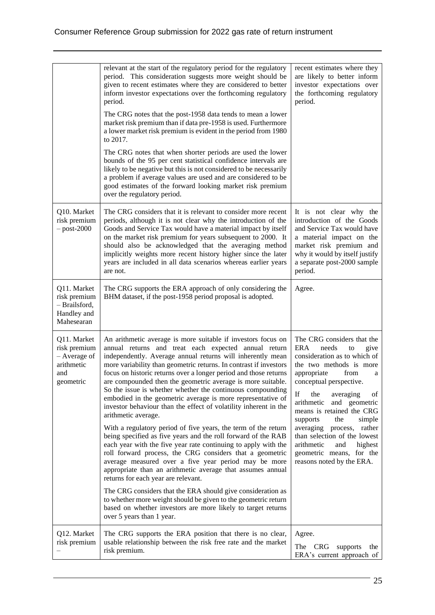|                                                                               | relevant at the start of the regulatory period for the regulatory<br>period. This consideration suggests more weight should be<br>given to recent estimates where they are considered to better<br>inform investor expectations over the forthcoming regulatory<br>period.<br>The CRG notes that the post-1958 data tends to mean a lower<br>market risk premium than if data pre-1958 is used. Furthermore<br>a lower market risk premium is evident in the period from 1980<br>to 2017.<br>The CRG notes that when shorter periods are used the lower<br>bounds of the 95 per cent statistical confidence intervals are<br>likely to be negative but this is not considered to be necessarily<br>a problem if average values are used and are considered to be<br>good estimates of the forward looking market risk premium<br>over the regulatory period.                                                                                                                                                                                                                                                                                                                      | recent estimates where they<br>are likely to better inform<br>investor expectations over<br>the forthcoming regulatory<br>period.                                                                                                                                                                                                                                                                                                                                   |
|-------------------------------------------------------------------------------|-----------------------------------------------------------------------------------------------------------------------------------------------------------------------------------------------------------------------------------------------------------------------------------------------------------------------------------------------------------------------------------------------------------------------------------------------------------------------------------------------------------------------------------------------------------------------------------------------------------------------------------------------------------------------------------------------------------------------------------------------------------------------------------------------------------------------------------------------------------------------------------------------------------------------------------------------------------------------------------------------------------------------------------------------------------------------------------------------------------------------------------------------------------------------------------|---------------------------------------------------------------------------------------------------------------------------------------------------------------------------------------------------------------------------------------------------------------------------------------------------------------------------------------------------------------------------------------------------------------------------------------------------------------------|
| Q10. Market<br>risk premium<br>$-$ post-2000                                  | The CRG considers that it is relevant to consider more recent<br>periods, although it is not clear why the introduction of the<br>Goods and Service Tax would have a material impact by itself<br>on the market risk premium for years subsequent to 2000. It<br>should also be acknowledged that the averaging method<br>implicitly weights more recent history higher since the later<br>years are included in all data scenarios whereas earlier years<br>are not.                                                                                                                                                                                                                                                                                                                                                                                                                                                                                                                                                                                                                                                                                                             | It is not clear why the<br>introduction of the Goods<br>and Service Tax would have<br>a material impact on the<br>market risk premium and<br>why it would by itself justify<br>a separate post-2000 sample<br>period.                                                                                                                                                                                                                                               |
| Q11. Market<br>risk premium<br>- Brailsford,<br>Handley and<br>Mahesearan     | The CRG supports the ERA approach of only considering the<br>BHM dataset, if the post-1958 period proposal is adopted.                                                                                                                                                                                                                                                                                                                                                                                                                                                                                                                                                                                                                                                                                                                                                                                                                                                                                                                                                                                                                                                            | Agree.                                                                                                                                                                                                                                                                                                                                                                                                                                                              |
| Q11. Market<br>risk premium<br>- Average of<br>arithmetic<br>and<br>geometric | An arithmetic average is more suitable if investors focus on<br>annual returns and treat each expected annual return<br>independently. Average annual returns will inherently mean<br>more variability than geometric returns. In contrast if investors<br>focus on historic returns over a longer period and those returns<br>are compounded then the geometric average is more suitable.<br>So the issue is whether whether the continuous compounding<br>embodied in the geometric average is more representative of<br>investor behaviour than the effect of volatility inherent in the<br>arithmetic average.<br>With a regulatory period of five years, the term of the return<br>being specified as five years and the roll forward of the RAB<br>each year with the five year rate continuing to apply with the<br>roll forward process, the CRG considers that a geometric<br>average measured over a five year period may be more<br>appropriate than an arithmetic average that assumes annual<br>returns for each year are relevant.<br>The CRG considers that the ERA should give consideration as<br>to whether more weight should be given to the geometric return | The CRG considers that the<br><b>ERA</b><br>needs<br>give<br>to<br>consideration as to which of<br>the two methods is more<br>appropriate<br>from<br>a<br>conceptual perspective.<br>If<br>the<br>averaging<br>of<br>and geometric<br>arithmetic<br>means is retained the CRG<br>supports<br>the<br>simple<br>averaging process,<br>rather<br>than selection of the lowest<br>arithmetic<br>and<br>highest<br>geometric means, for the<br>reasons noted by the ERA. |
|                                                                               | based on whether investors are more likely to target returns<br>over 5 years than 1 year.                                                                                                                                                                                                                                                                                                                                                                                                                                                                                                                                                                                                                                                                                                                                                                                                                                                                                                                                                                                                                                                                                         |                                                                                                                                                                                                                                                                                                                                                                                                                                                                     |
| Q12. Market<br>risk premium                                                   | The CRG supports the ERA position that there is no clear,<br>usable relationship between the risk free rate and the market<br>risk premium.                                                                                                                                                                                                                                                                                                                                                                                                                                                                                                                                                                                                                                                                                                                                                                                                                                                                                                                                                                                                                                       | Agree.<br>The CRG<br>supports<br>the<br>ERA's current approach of                                                                                                                                                                                                                                                                                                                                                                                                   |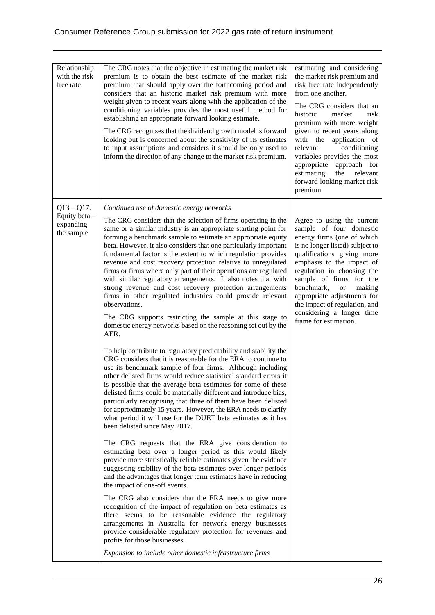| Relationship<br>with the risk<br>free rate               | The CRG notes that the objective in estimating the market risk<br>premium is to obtain the best estimate of the market risk<br>premium that should apply over the forthcoming period and<br>considers that an historic market risk premium with more<br>weight given to recent years along with the application of the<br>conditioning variables provides the most useful method for<br>establishing an appropriate forward looking estimate.<br>The CRG recognises that the dividend growth model is forward<br>looking but is concerned about the sensitivity of its estimates<br>to input assumptions and considers it should be only used to<br>inform the direction of any change to the market risk premium.                                                                                                                                                                                                                                                                                                                                                                                                                                                                                                                                                                                                                                                                                                                                                                                                                                                                                                                                                                                                                                                                                                                                                                                                                                                                                                                                                                                                                                                                                                                                                                                 | estimating and considering<br>the market risk premium and<br>risk free rate independently<br>from one another.<br>The CRG considers that an<br>historic<br>market<br>risk<br>premium with more weight<br>given to recent years along<br>with the application of<br>relevant<br>conditioning<br>variables provides the most<br>appropriate<br>approach for<br>estimating<br>the<br>relevant<br>forward looking market risk<br>premium. |
|----------------------------------------------------------|----------------------------------------------------------------------------------------------------------------------------------------------------------------------------------------------------------------------------------------------------------------------------------------------------------------------------------------------------------------------------------------------------------------------------------------------------------------------------------------------------------------------------------------------------------------------------------------------------------------------------------------------------------------------------------------------------------------------------------------------------------------------------------------------------------------------------------------------------------------------------------------------------------------------------------------------------------------------------------------------------------------------------------------------------------------------------------------------------------------------------------------------------------------------------------------------------------------------------------------------------------------------------------------------------------------------------------------------------------------------------------------------------------------------------------------------------------------------------------------------------------------------------------------------------------------------------------------------------------------------------------------------------------------------------------------------------------------------------------------------------------------------------------------------------------------------------------------------------------------------------------------------------------------------------------------------------------------------------------------------------------------------------------------------------------------------------------------------------------------------------------------------------------------------------------------------------------------------------------------------------------------------------------------------------|---------------------------------------------------------------------------------------------------------------------------------------------------------------------------------------------------------------------------------------------------------------------------------------------------------------------------------------------------------------------------------------------------------------------------------------|
| $Q13 - Q17.$<br>Equity beta -<br>expanding<br>the sample | Continued use of domestic energy networks<br>The CRG considers that the selection of firms operating in the<br>same or a similar industry is an appropriate starting point for<br>forming a benchmark sample to estimate an appropriate equity<br>beta. However, it also considers that one particularly important<br>fundamental factor is the extent to which regulation provides<br>revenue and cost recovery protection relative to unregulated<br>firms or firms where only part of their operations are regulated<br>with similar regulatory arrangements. It also notes that with<br>strong revenue and cost recovery protection arrangements<br>firms in other regulated industries could provide relevant<br>observations.<br>The CRG supports restricting the sample at this stage to<br>domestic energy networks based on the reasoning set out by the<br>AER.<br>To help contribute to regulatory predictability and stability the<br>CRG considers that it is reasonable for the ERA to continue to<br>use its benchmark sample of four firms. Although including<br>other delisted firms would reduce statistical standard errors it<br>is possible that the average beta estimates for some of these<br>delisted firms could be materially different and introduce bias,<br>particularly recognising that three of them have been delisted<br>for approximately 15 years. However, the ERA needs to clarify<br>what period it will use for the DUET beta estimates as it has<br>been delisted since May 2017.<br>The CRG requests that the ERA give consideration to<br>estimating beta over a longer period as this would likely<br>provide more statistically reliable estimates given the evidence<br>suggesting stability of the beta estimates over longer periods<br>and the advantages that longer term estimates have in reducing<br>the impact of one-off events.<br>The CRG also considers that the ERA needs to give more<br>recognition of the impact of regulation on beta estimates as<br>there seems to be reasonable evidence the regulatory<br>arrangements in Australia for network energy businesses<br>provide considerable regulatory protection for revenues and<br>profits for those businesses.<br>Expansion to include other domestic infrastructure firms | Agree to using the current<br>sample of four domestic<br>energy firms (one of which<br>is no longer listed) subject to<br>qualifications giving more<br>emphasis to the impact of<br>regulation in choosing the<br>sample of firms for the<br>benchmark,<br>making<br><b>or</b><br>appropriate adjustments for<br>the impact of regulation, and<br>considering a longer time<br>frame for estimation.                                 |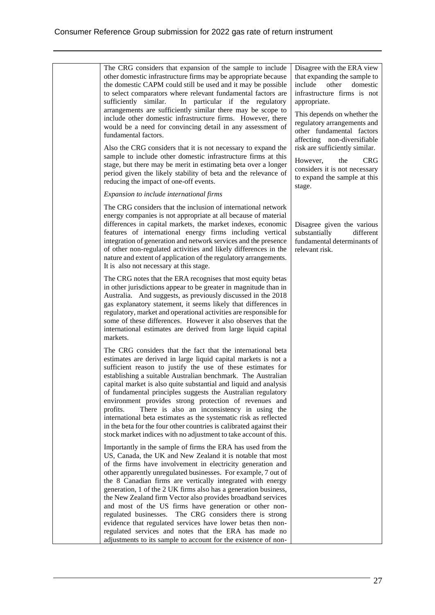The CRG considers that expansion of the sample to include other domestic infrastructure firms may be appropriate because the domestic CAPM could still be used and it may be possible to select comparators where relevant fundamental factors are sufficiently similar. In particular if the regulatory arrangements are sufficiently similar there may be scope to include other domestic infrastructure firms. However, there would be a need for convincing detail in any assessment of fundamental factors. Also the CRG considers that it is not necessary to expand the sample to include other domestic infrastructure firms at this stage, but there may be merit in estimating beta over a longer period given the likely stability of beta and the relevance of reducing the impact of one-off events. *Expansion to include international firms* The CRG considers that the inclusion of international network energy companies is not appropriate at all because of material differences in capital markets, the market indexes, economic features of international energy firms including vertical integration of generation and network services and the presence of other non-regulated activities and likely differences in the nature and extent of application of the regulatory arrangements. It is also not necessary at this stage. The CRG notes that the ERA recognises that most equity betas in other jurisdictions appear to be greater in magnitude than in Australia. And suggests, as previously discussed in the 2018 gas explanatory statement, it seems likely that differences in regulatory, market and operational activities are responsible for some of these differences. However it also observes that the international estimates are derived from large liquid capital markets. The CRG considers that the fact that the international beta estimates are derived in large liquid capital markets is not a sufficient reason to justify the use of these estimates for establishing a suitable Australian benchmark. The Australian capital market is also quite substantial and liquid and analysis of fundamental principles suggests the Australian regulatory environment provides strong protection of revenues and profits. There is also an inconsistency in using the international beta estimates as the systematic risk as reflected in the beta for the four other countries is calibrated against their stock market indices with no adjustment to take account of this. Importantly in the sample of firms the ERA has used from the US, Canada, the UK and New Zealand it is notable that most of the firms have involvement in electricity generation and other apparently unregulated businesses. For example, 7 out of the 8 Canadian firms are vertically integrated with energy generation, 1 of the 2 UK firms also has a generation business, the New Zealand firm Vector also provides broadband services and most of the US firms have generation or other nonregulated businesses. The CRG considers there is strong evidence that regulated services have lower betas then nonregulated services and notes that the ERA has made no adjustments to its sample to account for the existence of non-Disagree with the ERA view that expanding the sample to include other domestic infrastructure firms is not appropriate. This depends on whether the regulatory arrangements and other fundamental factors affecting non-diversifiable risk are sufficiently similar. However, the CRG considers it is not necessary to expand the sample at this stage. Disagree given the various substantially different fundamental determinants of relevant risk.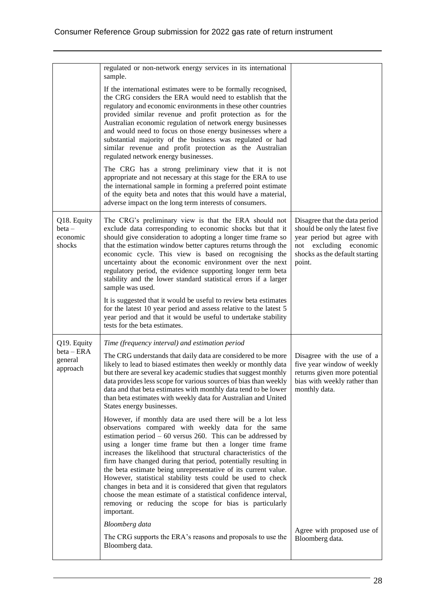|                                               | regulated or non-network energy services in its international<br>sample.                                                                                                                                                                                                                                                                                                                                                                                                                                                                                                                                                                                                                                                                                                                                                                                                        |                                                                                                                                                                        |
|-----------------------------------------------|---------------------------------------------------------------------------------------------------------------------------------------------------------------------------------------------------------------------------------------------------------------------------------------------------------------------------------------------------------------------------------------------------------------------------------------------------------------------------------------------------------------------------------------------------------------------------------------------------------------------------------------------------------------------------------------------------------------------------------------------------------------------------------------------------------------------------------------------------------------------------------|------------------------------------------------------------------------------------------------------------------------------------------------------------------------|
|                                               | If the international estimates were to be formally recognised,<br>the CRG considers the ERA would need to establish that the<br>regulatory and economic environments in these other countries<br>provided similar revenue and profit protection as for the<br>Australian economic regulation of network energy businesses<br>and would need to focus on those energy businesses where a<br>substantial majority of the business was regulated or had<br>similar revenue and profit protection as the Australian<br>regulated network energy businesses.<br>The CRG has a strong preliminary view that it is not<br>appropriate and not necessary at this stage for the ERA to use<br>the international sample in forming a preferred point estimate<br>of the equity beta and notes that this would have a material,<br>adverse impact on the long term interests of consumers. |                                                                                                                                                                        |
| Q18. Equity<br>$beta -$<br>economic<br>shocks | The CRG's preliminary view is that the ERA should not<br>exclude data corresponding to economic shocks but that it<br>should give consideration to adopting a longer time frame so<br>that the estimation window better captures returns through the<br>economic cycle. This view is based on recognising the<br>uncertainty about the economic environment over the next<br>regulatory period, the evidence supporting longer term beta<br>stability and the lower standard statistical errors if a larger<br>sample was used.<br>It is suggested that it would be useful to review beta estimates<br>for the latest 10 year period and assess relative to the latest 5                                                                                                                                                                                                        | Disagree that the data period<br>should be only the latest five<br>year period but agree with<br>not<br>excluding economic<br>shocks as the default starting<br>point. |
|                                               | year period and that it would be useful to undertake stability<br>tests for the beta estimates.                                                                                                                                                                                                                                                                                                                                                                                                                                                                                                                                                                                                                                                                                                                                                                                 |                                                                                                                                                                        |
| Q19. Equity<br>$beta - ERA$                   | Time (frequency interval) and estimation period                                                                                                                                                                                                                                                                                                                                                                                                                                                                                                                                                                                                                                                                                                                                                                                                                                 |                                                                                                                                                                        |
| general<br>approach                           | The CRG understands that daily data are considered to be more<br>likely to lead to biased estimates then weekly or monthly data<br>but there are several key academic studies that suggest monthly<br>data provides less scope for various sources of bias than weekly<br>data and that beta estimates with monthly data tend to be lower<br>than beta estimates with weekly data for Australian and United<br>States energy businesses.                                                                                                                                                                                                                                                                                                                                                                                                                                        | Disagree with the use of a<br>five year window of weekly<br>returns given more potential<br>bias with weekly rather than<br>monthly data.                              |
|                                               | However, if monthly data are used there will be a lot less<br>observations compared with weekly data for the same<br>estimation period $-60$ versus 260. This can be addressed by<br>using a longer time frame but then a longer time frame<br>increases the likelihood that structural characteristics of the<br>firm have changed during that period, potentially resulting in<br>the beta estimate being unrepresentative of its current value.<br>However, statistical stability tests could be used to check<br>changes in beta and it is considered that given that regulators<br>choose the mean estimate of a statistical confidence interval,<br>removing or reducing the scope for bias is particularly<br>important.                                                                                                                                                 |                                                                                                                                                                        |
|                                               | <b>Bloomberg</b> data<br>The CRG supports the ERA's reasons and proposals to use the                                                                                                                                                                                                                                                                                                                                                                                                                                                                                                                                                                                                                                                                                                                                                                                            | Agree with proposed use of<br>Bloomberg data.                                                                                                                          |
|                                               | Bloomberg data.                                                                                                                                                                                                                                                                                                                                                                                                                                                                                                                                                                                                                                                                                                                                                                                                                                                                 |                                                                                                                                                                        |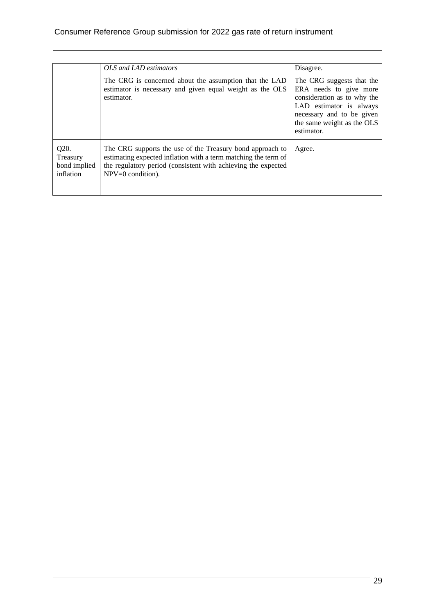|                                               | OLS and LAD estimators                                                                                                                                                                                              | Disagree.                                                                                                                                                                              |
|-----------------------------------------------|---------------------------------------------------------------------------------------------------------------------------------------------------------------------------------------------------------------------|----------------------------------------------------------------------------------------------------------------------------------------------------------------------------------------|
|                                               | The CRG is concerned about the assumption that the LAD<br>estimator is necessary and given equal weight as the OLS<br>estimator.                                                                                    | The CRG suggests that the<br>ERA needs to give more<br>consideration as to why the<br>LAD estimator is always<br>necessary and to be given<br>the same weight as the OLS<br>estimator. |
| Q20.<br>Treasury<br>bond implied<br>inflation | The CRG supports the use of the Treasury bond approach to<br>estimating expected inflation with a term matching the term of<br>the regulatory period (consistent with achieving the expected<br>$NPV=0$ condition). | Agree.                                                                                                                                                                                 |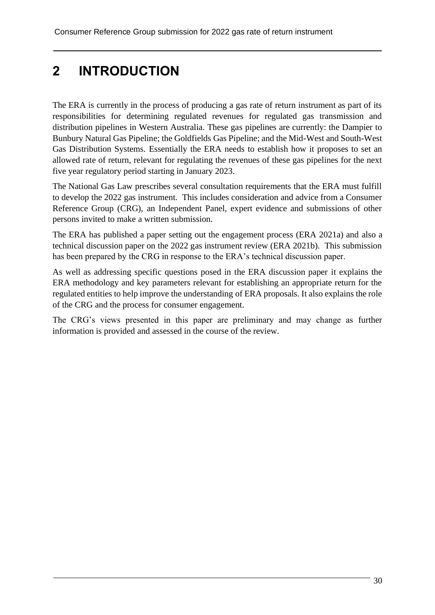# **2 INTRODUCTION**

The ERA is currently in the process of producing a gas rate of return instrument as part of its responsibilities for determining regulated revenues for regulated gas transmission and distribution pipelines in Western Australia. These gas pipelines are currently: the Dampier to Bunbury Natural Gas Pipeline; the Goldfields Gas Pipeline; and the Mid-West and South-West Gas Distribution Systems. Essentially the ERA needs to establish how it proposes to set an allowed rate of return, relevant for regulating the revenues of these gas pipelines for the next five year regulatory period starting in January 2023.

The National Gas Law prescribes several consultation requirements that the ERA must fulfill to develop the 2022 gas instrument. This includes consideration and advice from a Consumer Reference Group (CRG), an Independent Panel, expert evidence and submissions of other persons invited to make a written submission.

The ERA has published a paper setting out the engagement process (ERA 2021a) and also a technical discussion paper on the 2022 gas instrument review (ERA 2021b). This submission has been prepared by the CRG in response to the ERA's technical discussion paper.

As well as addressing specific questions posed in the ERA discussion paper it explains the ERA methodology and key parameters relevant for establishing an appropriate return for the regulated entities to help improve the understanding of ERA proposals. It also explains the role of the CRG and the process for consumer engagement.

The CRG's views presented in this paper are preliminary and may change as further information is provided and assessed in the course of the review.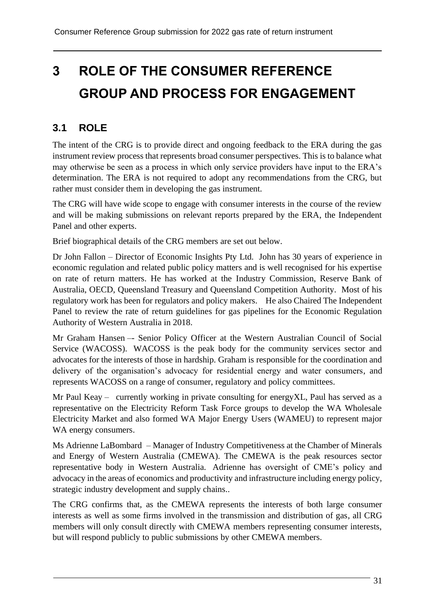# **3 ROLE OF THE CONSUMER REFERENCE GROUP AND PROCESS FOR ENGAGEMENT**

## **3.1 ROLE**

The intent of the CRG is to provide direct and ongoing feedback to the ERA during the gas instrument review process that represents broad consumer perspectives. This is to balance what may otherwise be seen as a process in which only service providers have input to the ERA's determination. The ERA is not required to adopt any recommendations from the CRG, but rather must consider them in developing the gas instrument.

The CRG will have wide scope to engage with consumer interests in the course of the review and will be making submissions on relevant reports prepared by the ERA, the Independent Panel and other experts.

Brief biographical details of the CRG members are set out below.

Dr John Fallon – Director of Economic Insights Pty Ltd. John has 30 years of experience in economic regulation and related public policy matters and is well recognised for his expertise on rate of return matters. He has worked at the Industry Commission, Reserve Bank of Australia, OECD, Queensland Treasury and Queensland Competition Authority. Most of his regulatory work has been for regulators and policy makers. He also Chaired The Independent Panel to review the rate of return guidelines for gas pipelines for the Economic Regulation Authority of Western Australia in 2018.

Mr Graham Hansen –- Senior Policy Officer at the Western Australian Council of Social Service (WACOSS). WACOSS is the peak body for the community services sector and advocates for the interests of those in hardship. Graham is responsible for the coordination and delivery of the organisation's advocacy for residential energy and water consumers, and represents WACOSS on a range of consumer, regulatory and policy committees.

Mr Paul Keay – currently working in private consulting for energyXL, Paul has served as a representative on the Electricity Reform Task Force groups to develop the WA Wholesale Electricity Market and also formed WA Major Energy Users (WAMEU) to represent major WA energy consumers.

Ms Adrienne LaBombard – Manager of Industry Competitiveness at the Chamber of Minerals and Energy of Western Australia (CMEWA). The CMEWA is the peak resources sector representative body in Western Australia. Adrienne has oversight of CME's policy and advocacy in the areas of economics and productivity and infrastructure including energy policy, strategic industry development and supply chains..

The CRG confirms that, as the CMEWA represents the interests of both large consumer interests as well as some firms involved in the transmission and distribution of gas, all CRG members will only consult directly with CMEWA members representing consumer interests, but will respond publicly to public submissions by other CMEWA members.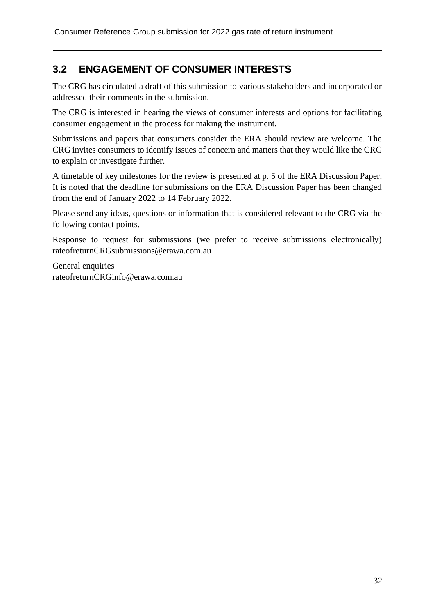# **3.2 ENGAGEMENT OF CONSUMER INTERESTS**

The CRG has circulated a draft of this submission to various stakeholders and incorporated or addressed their comments in the submission.

The CRG is interested in hearing the views of consumer interests and options for facilitating consumer engagement in the process for making the instrument.

Submissions and papers that consumers consider the ERA should review are welcome. The CRG invites consumers to identify issues of concern and matters that they would like the CRG to explain or investigate further.

A timetable of key milestones for the review is presented at p. 5 of the ERA Discussion Paper. It is noted that the deadline for submissions on the ERA Discussion Paper has been changed from the end of January 2022 to 14 February 2022.

Please send any ideas, questions or information that is considered relevant to the CRG via the following contact points.

Response to request for submissions (we prefer to receive submissions electronically) [rateofreturnCRGsubmissions@erawa.com.au](mailto:rateofreturnCRGsubmissions@erawa.com.au)

General enquiries [rateofreturnCRGinfo@erawa.com.au](mailto:rateofreturnCRGinfo@erawa.com.au)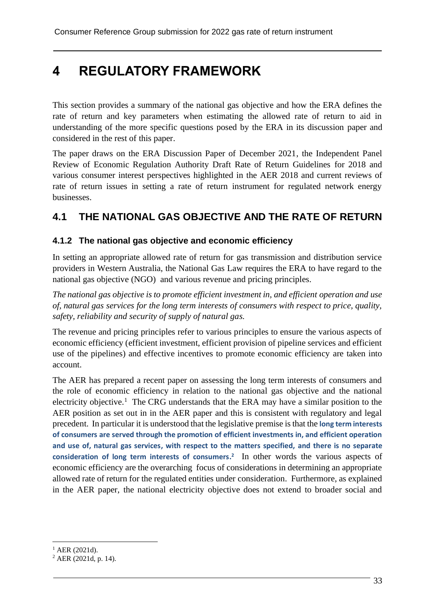# **4 REGULATORY FRAMEWORK**

This section provides a summary of the national gas objective and how the ERA defines the rate of return and key parameters when estimating the allowed rate of return to aid in understanding of the more specific questions posed by the ERA in its discussion paper and considered in the rest of this paper.

The paper draws on the ERA Discussion Paper of December 2021, the Independent Panel Review of Economic Regulation Authority Draft Rate of Return Guidelines for 2018 and various consumer interest perspectives highlighted in the AER 2018 and current reviews of rate of return issues in setting a rate of return instrument for regulated network energy businesses.

# **4.1 THE NATIONAL GAS OBJECTIVE AND THE RATE OF RETURN**

#### **4.1.2 The national gas objective and economic efficiency**

In setting an appropriate allowed rate of return for gas transmission and distribution service providers in Western Australia, the National Gas Law requires the ERA to have regard to the national gas objective (NGO) and various revenue and pricing principles.

*The national gas objective is to promote efficient investment in, and efficient operation and use of, natural gas services for the long term interests of consumers with respect to price, quality, safety, reliability and security of supply of natural gas.*

The revenue and pricing principles refer to various principles to ensure the various aspects of economic efficiency (efficient investment, efficient provision of pipeline services and efficient use of the pipelines) and effective incentives to promote economic efficiency are taken into account.

The AER has prepared a recent paper on assessing the long term interests of consumers and the role of economic efficiency in relation to the national gas objective and the national electricity objective.<sup>1</sup> The CRG understands that the ERA may have a similar position to the AER position as set out in in the AER paper and this is consistent with regulatory and legal precedent. In particular it is understood that the legislative premise is that the **long term interests of consumers are served through the promotion of efficient investments in, and efficient operation and use of, natural gas services, with respect to the matters specified, and there is no separate consideration of long term interests of consumers. 2** In other words the various aspects of economic efficiency are the overarching focus of considerations in determining an appropriate allowed rate of return for the regulated entities under consideration. Furthermore, as explained in the AER paper, the national electricity objective does not extend to broader social and

 $1$  AER (2021d).

<sup>2</sup> AER (2021d, p. 14).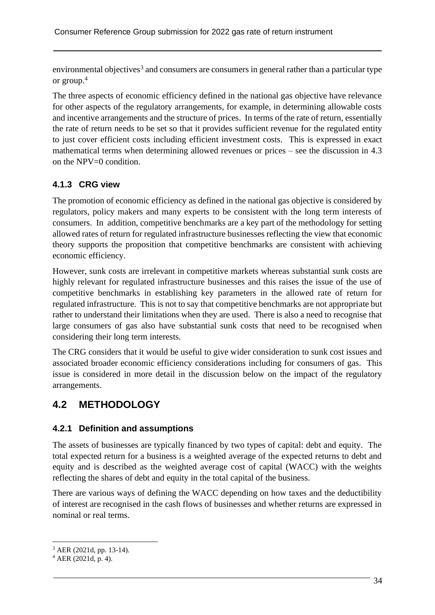environmental objectives<sup>3</sup> and consumers are consumers in general rather than a particular type or group.<sup>4</sup>

The three aspects of economic efficiency defined in the national gas objective have relevance for other aspects of the regulatory arrangements, for example, in determining allowable costs and incentive arrangements and the structure of prices. In terms of the rate of return, essentially the rate of return needs to be set so that it provides sufficient revenue for the regulated entity to just cover efficient costs including efficient investment costs. This is expressed in exact mathematical terms when determining allowed revenues or prices – see the discussion in 4.3 on the NPV=0 condition.

### **4.1.3 CRG view**

The promotion of economic efficiency as defined in the national gas objective is considered by regulators, policy makers and many experts to be consistent with the long term interests of consumers. In addition, competitive benchmarks are a key part of the methodology for setting allowed rates of return for regulated infrastructure businesses reflecting the view that economic theory supports the proposition that competitive benchmarks are consistent with achieving economic efficiency.

However, sunk costs are irrelevant in competitive markets whereas substantial sunk costs are highly relevant for regulated infrastructure businesses and this raises the issue of the use of competitive benchmarks in establishing key parameters in the allowed rate of return for regulated infrastructure. This is not to say that competitive benchmarks are not appropriate but rather to understand their limitations when they are used. There is also a need to recognise that large consumers of gas also have substantial sunk costs that need to be recognised when considering their long term interests.

The CRG considers that it would be useful to give wider consideration to sunk cost issues and associated broader economic efficiency considerations including for consumers of gas. This issue is considered in more detail in the discussion below on the impact of the regulatory arrangements.

# **4.2 METHODOLOGY**

### **4.2.1 Definition and assumptions**

The assets of businesses are typically financed by two types of capital: debt and equity. The total expected return for a business is a weighted average of the expected returns to debt and equity and is described as the weighted average cost of capital (WACC) with the weights reflecting the shares of debt and equity in the total capital of the business.

There are various ways of defining the WACC depending on how taxes and the deductibility of interest are recognised in the cash flows of businesses and whether returns are expressed in nominal or real terms.

<sup>3</sup> AER (2021d, pp. 13-14).

 $4$  AER (2021d, p. 4).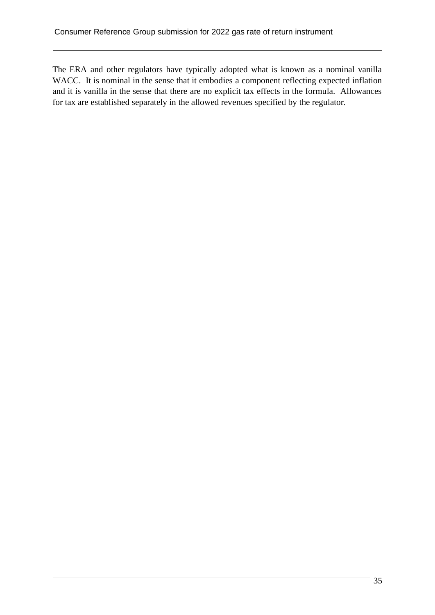The ERA and other regulators have typically adopted what is known as a nominal vanilla WACC. It is nominal in the sense that it embodies a component reflecting expected inflation and it is vanilla in the sense that there are no explicit tax effects in the formula. Allowances for tax are established separately in the allowed revenues specified by the regulator.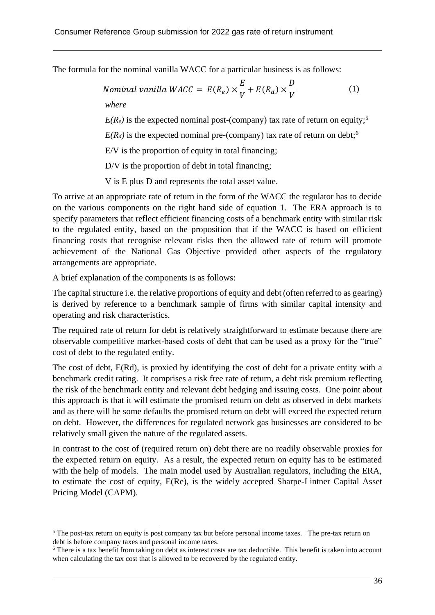The formula for the nominal vanilla WACC for a particular business is as follows:

$$
Nominal\ vanilla\ WACC = E(R_e) \times \frac{E}{V} + E(R_d) \times \frac{D}{V}
$$
\n(1)

\nwhere

 $E(R_e)$  is the expected nominal post-(company) tax rate of return on equity;<sup>5</sup>

 $E(R_d)$  is the expected nominal pre-(company) tax rate of return on debt;<sup>6</sup>

E/V is the proportion of equity in total financing;

D/V is the proportion of debt in total financing;

V is E plus D and represents the total asset value.

To arrive at an appropriate rate of return in the form of the WACC the regulator has to decide on the various components on the right hand side of equation 1. The ERA approach is to specify parameters that reflect efficient financing costs of a benchmark entity with similar risk to the regulated entity, based on the proposition that if the WACC is based on efficient financing costs that recognise relevant risks then the allowed rate of return will promote achievement of the National Gas Objective provided other aspects of the regulatory arrangements are appropriate.

A brief explanation of the components is as follows:

The capital structure i.e. the relative proportions of equity and debt (often referred to as gearing) is derived by reference to a benchmark sample of firms with similar capital intensity and operating and risk characteristics.

The required rate of return for debt is relatively straightforward to estimate because there are observable competitive market-based costs of debt that can be used as a proxy for the "true" cost of debt to the regulated entity.

The cost of debt, E(Rd), is proxied by identifying the cost of debt for a private entity with a benchmark credit rating. It comprises a risk free rate of return, a debt risk premium reflecting the risk of the benchmark entity and relevant debt hedging and issuing costs. One point about this approach is that it will estimate the promised return on debt as observed in debt markets and as there will be some defaults the promised return on debt will exceed the expected return on debt. However, the differences for regulated network gas businesses are considered to be relatively small given the nature of the regulated assets.

In contrast to the cost of (required return on) debt there are no readily observable proxies for the expected return on equity. As a result, the expected return on equity has to be estimated with the help of models. The main model used by Australian regulators, including the ERA, to estimate the cost of equity, E(Re), is the widely accepted Sharpe-Lintner Capital Asset Pricing Model (CAPM).

<sup>&</sup>lt;sup>5</sup> The post-tax return on equity is post company tax but before personal income taxes. The pre-tax return on debt is before company taxes and personal income taxes.

<sup>6</sup> There is a tax benefit from taking on debt as interest costs are tax deductible. This benefit is taken into account when calculating the tax cost that is allowed to be recovered by the regulated entity.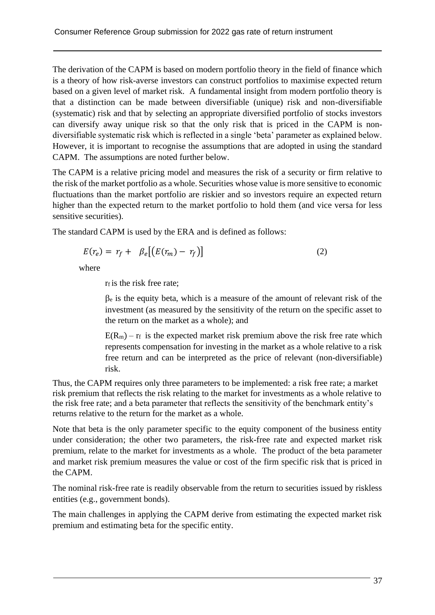The derivation of the CAPM is based on modern portfolio theory in the field of finance which is a theory of how risk-averse investors can construct portfolios to maximise expected return based on a given level of market risk. A fundamental insight from modern portfolio theory is that a distinction can be made between diversifiable (unique) risk and non-diversifiable (systematic) risk and that by selecting an appropriate diversified portfolio of stocks investors can diversify away unique risk so that the only risk that is priced in the CAPM is nondiversifiable systematic risk which is reflected in a single 'beta' parameter as explained below. However, it is important to recognise the assumptions that are adopted in using the standard CAPM. The assumptions are noted further below.

The CAPM is a relative pricing model and measures the risk of a security or firm relative to the risk of the market portfolio as a whole. Securities whose value is more sensitive to economic fluctuations than the market portfolio are riskier and so investors require an expected return higher than the expected return to the market portfolio to hold them (and vice versa for less sensitive securities).

The standard CAPM is used by the ERA and is defined as follows:

$$
E(r_e) = r_f + \beta_e [(E(r_m) - r_f)] \tag{2}
$$

where

r<sub>f</sub> is the risk free rate;

 $\beta$ e is the equity beta, which is a measure of the amount of relevant risk of the investment (as measured by the sensitivity of the return on the specific asset to the return on the market as a whole); and

 $E(R_m)$  – r<sub>f</sub> is the expected market risk premium above the risk free rate which represents compensation for investing in the market as a whole relative to a risk free return and can be interpreted as the price of relevant (non-diversifiable) risk.

Thus, the CAPM requires only three parameters to be implemented: a risk free rate; a market risk premium that reflects the risk relating to the market for investments as a whole relative to the risk free rate; and a beta parameter that reflects the sensitivity of the benchmark entity's returns relative to the return for the market as a whole.

Note that beta is the only parameter specific to the equity component of the business entity under consideration; the other two parameters, the risk-free rate and expected market risk premium, relate to the market for investments as a whole. The product of the beta parameter and market risk premium measures the value or cost of the firm specific risk that is priced in the CAPM.

The nominal risk-free rate is readily observable from the return to securities issued by riskless entities (e.g., government bonds).

The main challenges in applying the CAPM derive from estimating the expected market risk premium and estimating beta for the specific entity.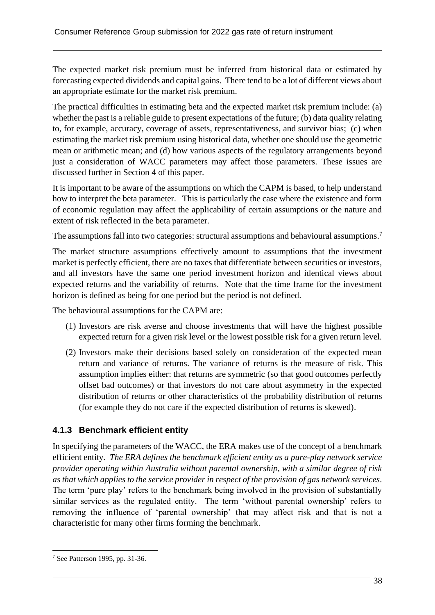The expected market risk premium must be inferred from historical data or estimated by forecasting expected dividends and capital gains. There tend to be a lot of different views about an appropriate estimate for the market risk premium.

The practical difficulties in estimating beta and the expected market risk premium include: (a) whether the past is a reliable guide to present expectations of the future; (b) data quality relating to, for example, accuracy, coverage of assets, representativeness, and survivor bias; (c) when estimating the market risk premium using historical data, whether one should use the geometric mean or arithmetic mean; and (d) how various aspects of the regulatory arrangements beyond just a consideration of WACC parameters may affect those parameters. These issues are discussed further in Section 4 of this paper.

It is important to be aware of the assumptions on which the CAPM is based, to help understand how to interpret the beta parameter. This is particularly the case where the existence and form of economic regulation may affect the applicability of certain assumptions or the nature and extent of risk reflected in the beta parameter.

The assumptions fall into two categories: structural assumptions and behavioural assumptions.<sup>7</sup>

The market structure assumptions effectively amount to assumptions that the investment market is perfectly efficient, there are no taxes that differentiate between securities or investors, and all investors have the same one period investment horizon and identical views about expected returns and the variability of returns. Note that the time frame for the investment horizon is defined as being for one period but the period is not defined.

The behavioural assumptions for the CAPM are:

- (1) Investors are risk averse and choose investments that will have the highest possible expected return for a given risk level or the lowest possible risk for a given return level.
- (2) Investors make their decisions based solely on consideration of the expected mean return and variance of returns. The variance of returns is the measure of risk. This assumption implies either: that returns are symmetric (so that good outcomes perfectly offset bad outcomes) or that investors do not care about asymmetry in the expected distribution of returns or other characteristics of the probability distribution of returns (for example they do not care if the expected distribution of returns is skewed).

### **4.1.3 Benchmark efficient entity**

In specifying the parameters of the WACC, the ERA makes use of the concept of a benchmark efficient entity*. The ERA defines the benchmark efficient entity as a pure-play network service provider operating within Australia without parental ownership, with a similar degree of risk as that which applies to the service provider in respect of the provision of gas network services*. The term 'pure play' refers to the benchmark being involved in the provision of substantially similar services as the regulated entity. The term 'without parental ownership' refers to removing the influence of 'parental ownership' that may affect risk and that is not a characteristic for many other firms forming the benchmark.

<sup>7</sup> See Patterson 1995, pp. 31-36.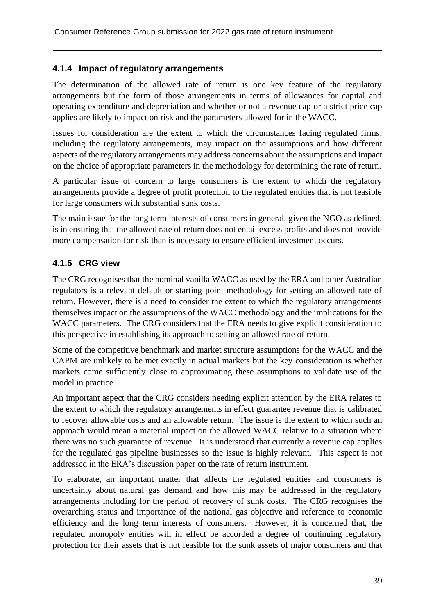### **4.1.4 Impact of regulatory arrangements**

The determination of the allowed rate of return is one key feature of the regulatory arrangements but the form of those arrangements in terms of allowances for capital and operating expenditure and depreciation and whether or not a revenue cap or a strict price cap applies are likely to impact on risk and the parameters allowed for in the WACC.

Issues for consideration are the extent to which the circumstances facing regulated firms, including the regulatory arrangements, may impact on the assumptions and how different aspects of the regulatory arrangements may address concerns about the assumptions and impact on the choice of appropriate parameters in the methodology for determining the rate of return.

A particular issue of concern to large consumers is the extent to which the regulatory arrangements provide a degree of profit protection to the regulated entities that is not feasible for large consumers with substantial sunk costs.

The main issue for the long term interests of consumers in general, given the NGO as defined, is in ensuring that the allowed rate of return does not entail excess profits and does not provide more compensation for risk than is necessary to ensure efficient investment occurs.

### **4.1.5 CRG view**

The CRG recognises that the nominal vanilla WACC as used by the ERA and other Australian regulators is a relevant default or starting point methodology for setting an allowed rate of return. However, there is a need to consider the extent to which the regulatory arrangements themselves impact on the assumptions of the WACC methodology and the implications for the WACC parameters. The CRG considers that the ERA needs to give explicit consideration to this perspective in establishing its approach to setting an allowed rate of return.

Some of the competitive benchmark and market structure assumptions for the WACC and the CAPM are unlikely to be met exactly in actual markets but the key consideration is whether markets come sufficiently close to approximating these assumptions to validate use of the model in practice.

An important aspect that the CRG considers needing explicit attention by the ERA relates to the extent to which the regulatory arrangements in effect guarantee revenue that is calibrated to recover allowable costs and an allowable return. The issue is the extent to which such an approach would mean a material impact on the allowed WACC relative to a situation where there was no such guarantee of revenue. It is understood that currently a revenue cap applies for the regulated gas pipeline businesses so the issue is highly relevant. This aspect is not addressed in the ERA's discussion paper on the rate of return instrument.

To elaborate, an important matter that affects the regulated entities and consumers is uncertainty about natural gas demand and how this may be addressed in the regulatory arrangements including for the period of recovery of sunk costs. The CRG recognises the overarching status and importance of the national gas objective and reference to economic efficiency and the long term interests of consumers. However, it is concerned that, the regulated monopoly entities will in effect be accorded a degree of continuing regulatory protection for their assets that is not feasible for the sunk assets of major consumers and that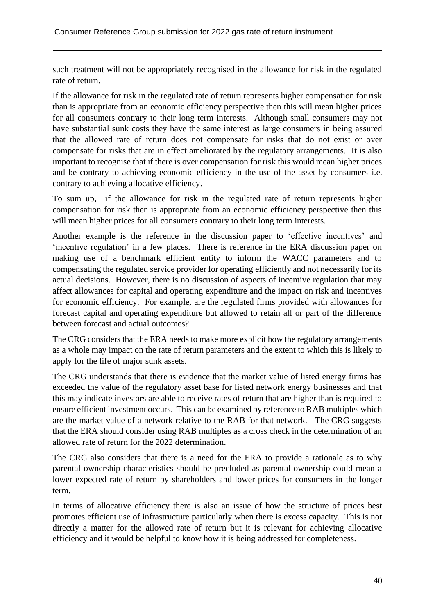such treatment will not be appropriately recognised in the allowance for risk in the regulated rate of return.

If the allowance for risk in the regulated rate of return represents higher compensation for risk than is appropriate from an economic efficiency perspective then this will mean higher prices for all consumers contrary to their long term interests. Although small consumers may not have substantial sunk costs they have the same interest as large consumers in being assured that the allowed rate of return does not compensate for risks that do not exist or over compensate for risks that are in effect ameliorated by the regulatory arrangements. It is also important to recognise that if there is over compensation for risk this would mean higher prices and be contrary to achieving economic efficiency in the use of the asset by consumers i.e. contrary to achieving allocative efficiency.

To sum up, if the allowance for risk in the regulated rate of return represents higher compensation for risk then is appropriate from an economic efficiency perspective then this will mean higher prices for all consumers contrary to their long term interests.

Another example is the reference in the discussion paper to 'effective incentives' and 'incentive regulation' in a few places. There is reference in the ERA discussion paper on making use of a benchmark efficient entity to inform the WACC parameters and to compensating the regulated service provider for operating efficiently and not necessarily for its actual decisions. However, there is no discussion of aspects of incentive regulation that may affect allowances for capital and operating expenditure and the impact on risk and incentives for economic efficiency. For example, are the regulated firms provided with allowances for forecast capital and operating expenditure but allowed to retain all or part of the difference between forecast and actual outcomes?

The CRG considers that the ERA needs to make more explicit how the regulatory arrangements as a whole may impact on the rate of return parameters and the extent to which this is likely to apply for the life of major sunk assets.

The CRG understands that there is evidence that the market value of listed energy firms has exceeded the value of the regulatory asset base for listed network energy businesses and that this may indicate investors are able to receive rates of return that are higher than is required to ensure efficient investment occurs. This can be examined by reference to RAB multiples which are the market value of a network relative to the RAB for that network. The CRG suggests that the ERA should consider using RAB multiples as a cross check in the determination of an allowed rate of return for the 2022 determination.

The CRG also considers that there is a need for the ERA to provide a rationale as to why parental ownership characteristics should be precluded as parental ownership could mean a lower expected rate of return by shareholders and lower prices for consumers in the longer term.

In terms of allocative efficiency there is also an issue of how the structure of prices best promotes efficient use of infrastructure particularly when there is excess capacity. This is not directly a matter for the allowed rate of return but it is relevant for achieving allocative efficiency and it would be helpful to know how it is being addressed for completeness.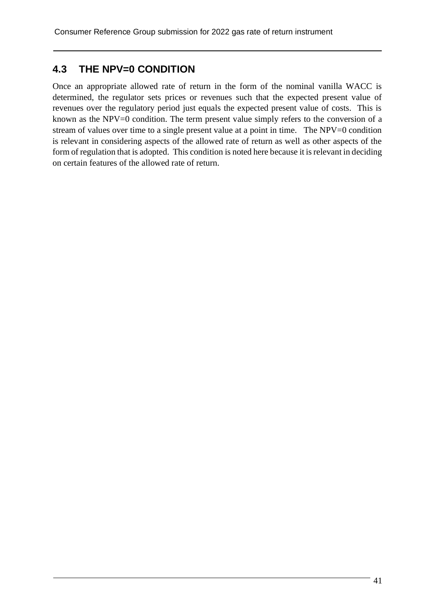# **4.3 THE NPV=0 CONDITION**

Once an appropriate allowed rate of return in the form of the nominal vanilla WACC is determined, the regulator sets prices or revenues such that the expected present value of revenues over the regulatory period just equals the expected present value of costs. This is known as the NPV=0 condition. The term present value simply refers to the conversion of a stream of values over time to a single present value at a point in time. The NPV=0 condition is relevant in considering aspects of the allowed rate of return as well as other aspects of the form of regulation that is adopted. This condition is noted here because it is relevant in deciding on certain features of the allowed rate of return.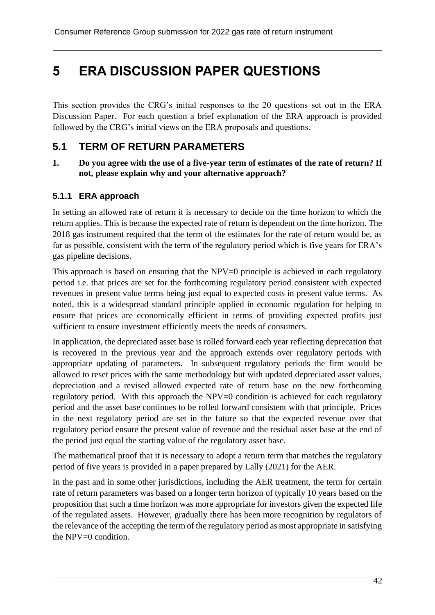# **5 ERA DISCUSSION PAPER QUESTIONS**

This section provides the CRG's initial responses to the 20 questions set out in the ERA Discussion Paper. For each question a brief explanation of the ERA approach is provided followed by the CRG's initial views on the ERA proposals and questions.

## **5.1 TERM OF RETURN PARAMETERS**

**1. Do you agree with the use of a five-year term of estimates of the rate of return? If not, please explain why and your alternative approach?**

### **5.1.1 ERA approach**

In setting an allowed rate of return it is necessary to decide on the time horizon to which the return applies. This is because the expected rate of return is dependent on the time horizon. The 2018 gas instrument required that the term of the estimates for the rate of return would be, as far as possible, consistent with the term of the regulatory period which is five years for ERA's gas pipeline decisions.

This approach is based on ensuring that the NPV=0 principle is achieved in each regulatory period i.e. that prices are set for the forthcoming regulatory period consistent with expected revenues in present value terms being just equal to expected costs in present value terms. As noted, this is a widespread standard principle applied in economic regulation for helping to ensure that prices are economically efficient in terms of providing expected profits just sufficient to ensure investment efficiently meets the needs of consumers.

In application, the depreciated asset base is rolled forward each year reflecting deprecation that is recovered in the previous year and the approach extends over regulatory periods with appropriate updating of parameters. In subsequent regulatory periods the firm would be allowed to reset prices with the same methodology but with updated depreciated asset values, depreciation and a revised allowed expected rate of return base on the new forthcoming regulatory period. With this approach the NPV=0 condition is achieved for each regulatory period and the asset base continues to be rolled forward consistent with that principle. Prices in the next regulatory period are set in the future so that the expected revenue over that regulatory period ensure the present value of revenue and the residual asset base at the end of the period just equal the starting value of the regulatory asset base.

The mathematical proof that it is necessary to adopt a return term that matches the regulatory period of five years is provided in a paper prepared by Lally (2021) for the AER.

In the past and in some other jurisdictions, including the AER treatment, the term for certain rate of return parameters was based on a longer term horizon of typically 10 years based on the proposition that such a time horizon was more appropriate for investors given the expected life of the regulated assets. However, gradually there has been more recognition by regulators of the relevance of the accepting the term of the regulatory period as most appropriate in satisfying the NPV=0 condition.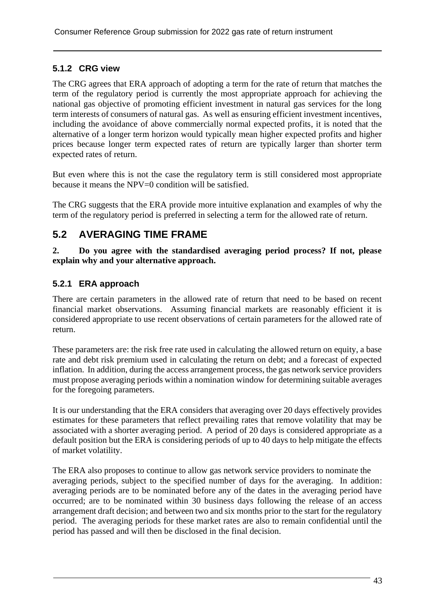### **5.1.2 CRG view**

The CRG agrees that ERA approach of adopting a term for the rate of return that matches the term of the regulatory period is currently the most appropriate approach for achieving the national gas objective of promoting efficient investment in natural gas services for the long term interests of consumers of natural gas. As well as ensuring efficient investment incentives, including the avoidance of above commercially normal expected profits, it is noted that the alternative of a longer term horizon would typically mean higher expected profits and higher prices because longer term expected rates of return are typically larger than shorter term expected rates of return.

But even where this is not the case the regulatory term is still considered most appropriate because it means the NPV=0 condition will be satisfied.

The CRG suggests that the ERA provide more intuitive explanation and examples of why the term of the regulatory period is preferred in selecting a term for the allowed rate of return.

# **5.2 AVERAGING TIME FRAME**

**2. Do you agree with the standardised averaging period process? If not, please explain why and your alternative approach.**

## **5.2.1 ERA approach**

There are certain parameters in the allowed rate of return that need to be based on recent financial market observations. Assuming financial markets are reasonably efficient it is considered appropriate to use recent observations of certain parameters for the allowed rate of return.

These parameters are: the risk free rate used in calculating the allowed return on equity, a base rate and debt risk premium used in calculating the return on debt; and a forecast of expected inflation. In addition, during the access arrangement process, the gas network service providers must propose averaging periods within a nomination window for determining suitable averages for the foregoing parameters.

It is our understanding that the ERA considers that averaging over 20 days effectively provides estimates for these parameters that reflect prevailing rates that remove volatility that may be associated with a shorter averaging period. A period of 20 days is considered appropriate as a default position but the ERA is considering periods of up to 40 days to help mitigate the effects of market volatility.

The ERA also proposes to continue to allow gas network service providers to nominate the averaging periods, subject to the specified number of days for the averaging. In addition: averaging periods are to be nominated before any of the dates in the averaging period have occurred; are to be nominated within 30 business days following the release of an access arrangement draft decision; and between two and six months prior to the start for the regulatory period. The averaging periods for these market rates are also to remain confidential until the period has passed and will then be disclosed in the final decision.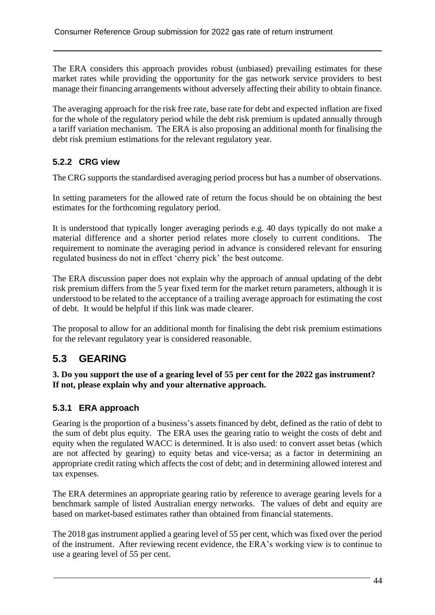The ERA considers this approach provides robust (unbiased) prevailing estimates for these market rates while providing the opportunity for the gas network service providers to best manage their financing arrangements without adversely affecting their ability to obtain finance.

The averaging approach for the risk free rate, base rate for debt and expected inflation are fixed for the whole of the regulatory period while the debt risk premium is updated annually through a tariff variation mechanism. The ERA is also proposing an additional month for finalising the debt risk premium estimations for the relevant regulatory year.

## **5.2.2 CRG view**

The CRG supports the standardised averaging period process but has a number of observations.

In setting parameters for the allowed rate of return the focus should be on obtaining the best estimates for the forthcoming regulatory period.

It is understood that typically longer averaging periods e.g. 40 days typically do not make a material difference and a shorter period relates more closely to current conditions. The requirement to nominate the averaging period in advance is considered relevant for ensuring regulated business do not in effect 'cherry pick' the best outcome.

The ERA discussion paper does not explain why the approach of annual updating of the debt risk premium differs from the 5 year fixed term for the market return parameters, although it is understood to be related to the acceptance of a trailing average approach for estimating the cost of debt. It would be helpful if this link was made clearer.

The proposal to allow for an additional month for finalising the debt risk premium estimations for the relevant regulatory year is considered reasonable.

# **5.3 GEARING**

**3. Do you support the use of a gearing level of 55 per cent for the 2022 gas instrument? If not, please explain why and your alternative approach.**

## **5.3.1 ERA approach**

Gearing is the proportion of a business's assets financed by debt, defined as the ratio of debt to the sum of debt plus equity. The ERA uses the gearing ratio to weight the costs of debt and equity when the regulated WACC is determined. It is also used: to convert asset betas (which are not affected by gearing) to equity betas and vice-versa; as a factor in determining an appropriate credit rating which affects the cost of debt; and in determining allowed interest and tax expenses.

The ERA determines an appropriate gearing ratio by reference to average gearing levels for a benchmark sample of listed Australian energy networks. The values of debt and equity are based on market-based estimates rather than obtained from financial statements.

The 2018 gas instrument applied a gearing level of 55 per cent, which was fixed over the period of the instrument. After reviewing recent evidence, the ERA's working view is to continue to use a gearing level of 55 per cent.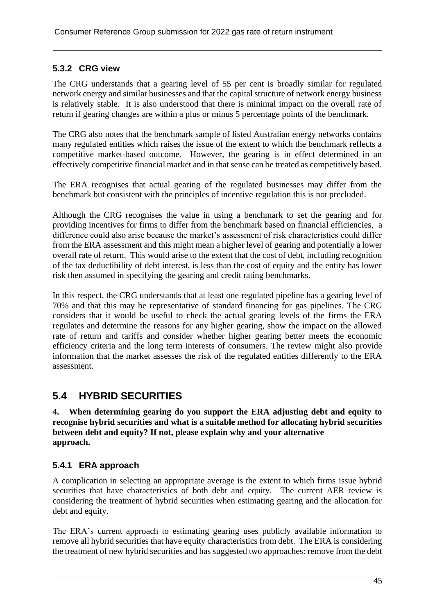### **5.3.2 CRG view**

The CRG understands that a gearing level of 55 per cent is broadly similar for regulated network energy and similar businesses and that the capital structure of network energy business is relatively stable. It is also understood that there is minimal impact on the overall rate of return if gearing changes are within a plus or minus 5 percentage points of the benchmark.

The CRG also notes that the benchmark sample of listed Australian energy networks contains many regulated entities which raises the issue of the extent to which the benchmark reflects a competitive market-based outcome. However, the gearing is in effect determined in an effectively competitive financial market and in that sense can be treated as competitively based.

The ERA recognises that actual gearing of the regulated businesses may differ from the benchmark but consistent with the principles of incentive regulation this is not precluded.

Although the CRG recognises the value in using a benchmark to set the gearing and for providing incentives for firms to differ from the benchmark based on financial efficiencies, a difference could also arise because the market's assessment of risk characteristics could differ from the ERA assessment and this might mean a higher level of gearing and potentially a lower overall rate of return. This would arise to the extent that the cost of debt, including recognition of the tax deductibility of debt interest, is less than the cost of equity and the entity has lower risk then assumed in specifying the gearing and credit rating benchmarks.

In this respect, the CRG understands that at least one regulated pipeline has a gearing level of 70% and that this may be representative of standard financing for gas pipelines. The CRG considers that it would be useful to check the actual gearing levels of the firms the ERA regulates and determine the reasons for any higher gearing, show the impact on the allowed rate of return and tariffs and consider whether higher gearing better meets the economic efficiency criteria and the long term interests of consumers. The review might also provide information that the market assesses the risk of the regulated entities differently to the ERA assessment.

# **5.4 HYBRID SECURITIES**

**4. When determining gearing do you support the ERA adjusting debt and equity to recognise hybrid securities and what is a suitable method for allocating hybrid securities between debt and equity? If not, please explain why and your alternative approach.**

### **5.4.1 ERA approach**

A complication in selecting an appropriate average is the extent to which firms issue hybrid securities that have characteristics of both debt and equity. The current AER review is considering the treatment of hybrid securities when estimating gearing and the allocation for debt and equity.

The ERA's current approach to estimating gearing uses publicly available information to remove all hybrid securities that have equity characteristics from debt. The ERA is considering the treatment of new hybrid securities and has suggested two approaches: remove from the debt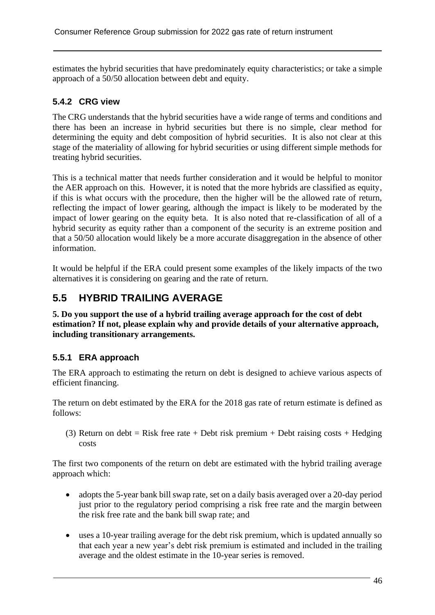estimates the hybrid securities that have predominately equity characteristics; or take a simple approach of a 50/50 allocation between debt and equity.

## **5.4.2 CRG view**

The CRG understands that the hybrid securities have a wide range of terms and conditions and there has been an increase in hybrid securities but there is no simple, clear method for determining the equity and debt composition of hybrid securities. It is also not clear at this stage of the materiality of allowing for hybrid securities or using different simple methods for treating hybrid securities.

This is a technical matter that needs further consideration and it would be helpful to monitor the AER approach on this. However, it is noted that the more hybrids are classified as equity, if this is what occurs with the procedure, then the higher will be the allowed rate of return, reflecting the impact of lower gearing, although the impact is likely to be moderated by the impact of lower gearing on the equity beta. It is also noted that re-classification of all of a hybrid security as equity rather than a component of the security is an extreme position and that a 50/50 allocation would likely be a more accurate disaggregation in the absence of other information.

It would be helpful if the ERA could present some examples of the likely impacts of the two alternatives it is considering on gearing and the rate of return.

# **5.5 HYBRID TRAILING AVERAGE**

**5. Do you support the use of a hybrid trailing average approach for the cost of debt estimation? If not, please explain why and provide details of your alternative approach, including transitionary arrangements.**

## **5.5.1 ERA approach**

The ERA approach to estimating the return on debt is designed to achieve various aspects of efficient financing.

The return on debt estimated by the ERA for the 2018 gas rate of return estimate is defined as follows:

(3) Return on debt = Risk free rate + Debt risk premium + Debt raising costs + Hedging costs

The first two components of the return on debt are estimated with the hybrid trailing average approach which:

- adopts the 5-year bank bill swap rate, set on a daily basis averaged over a 20-day period just prior to the regulatory period comprising a risk free rate and the margin between the risk free rate and the bank bill swap rate; and
- uses a 10-year trailing average for the debt risk premium, which is updated annually so that each year a new year's debt risk premium is estimated and included in the trailing average and the oldest estimate in the 10-year series is removed.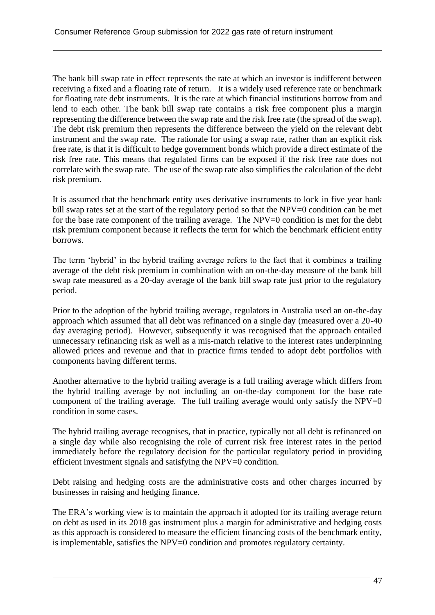The bank bill swap rate in effect represents the rate at which an investor is indifferent between receiving a fixed and a floating rate of return. It is a widely used reference rate or benchmark for floating rate debt instruments. It is the rate at which financial institutions borrow from and lend to each other. The bank bill swap rate contains a risk free component plus a margin representing the difference between the swap rate and the risk free rate (the spread of the swap). The debt risk premium then represents the difference between the yield on the relevant debt instrument and the swap rate. The rationale for using a swap rate, rather than an explicit risk free rate, is that it is difficult to hedge government bonds which provide a direct estimate of the risk free rate. This means that regulated firms can be exposed if the risk free rate does not correlate with the swap rate. The use of the swap rate also simplifies the calculation of the debt risk premium.

It is assumed that the benchmark entity uses derivative instruments to lock in five year bank bill swap rates set at the start of the regulatory period so that the NPV=0 condition can be met for the base rate component of the trailing average. The NPV=0 condition is met for the debt risk premium component because it reflects the term for which the benchmark efficient entity borrows.

The term 'hybrid' in the hybrid trailing average refers to the fact that it combines a trailing average of the debt risk premium in combination with an on-the-day measure of the bank bill swap rate measured as a 20-day average of the bank bill swap rate just prior to the regulatory period.

Prior to the adoption of the hybrid trailing average, regulators in Australia used an on-the-day approach which assumed that all debt was refinanced on a single day (measured over a 20-40 day averaging period). However, subsequently it was recognised that the approach entailed unnecessary refinancing risk as well as a mis-match relative to the interest rates underpinning allowed prices and revenue and that in practice firms tended to adopt debt portfolios with components having different terms.

Another alternative to the hybrid trailing average is a full trailing average which differs from the hybrid trailing average by not including an on-the-day component for the base rate component of the trailing average. The full trailing average would only satisfy the  $NPV=0$ condition in some cases.

The hybrid trailing average recognises, that in practice, typically not all debt is refinanced on a single day while also recognising the role of current risk free interest rates in the period immediately before the regulatory decision for the particular regulatory period in providing efficient investment signals and satisfying the NPV=0 condition.

Debt raising and hedging costs are the administrative costs and other charges incurred by businesses in raising and hedging finance.

The ERA's working view is to maintain the approach it adopted for its trailing average return on debt as used in its 2018 gas instrument plus a margin for administrative and hedging costs as this approach is considered to measure the efficient financing costs of the benchmark entity, is implementable, satisfies the NPV=0 condition and promotes regulatory certainty.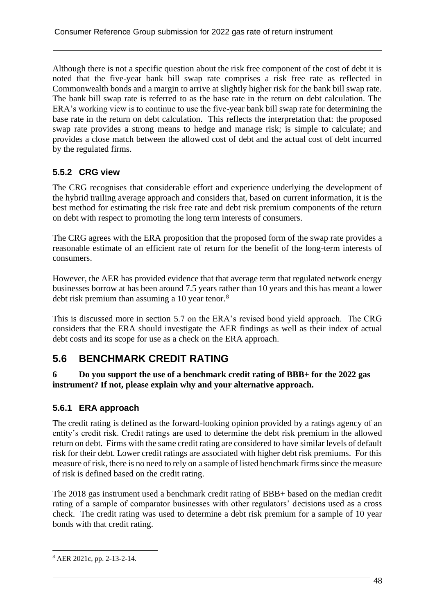Although there is not a specific question about the risk free component of the cost of debt it is noted that the five-year bank bill swap rate comprises a risk free rate as reflected in Commonwealth bonds and a margin to arrive at slightly higher risk for the bank bill swap rate. The bank bill swap rate is referred to as the base rate in the return on debt calculation. The ERA's working view is to continue to use the five-year bank bill swap rate for determining the base rate in the return on debt calculation. This reflects the interpretation that: the proposed swap rate provides a strong means to hedge and manage risk; is simple to calculate; and provides a close match between the allowed cost of debt and the actual cost of debt incurred by the regulated firms.

## **5.5.2 CRG view**

The CRG recognises that considerable effort and experience underlying the development of the hybrid trailing average approach and considers that, based on current information, it is the best method for estimating the risk free rate and debt risk premium components of the return on debt with respect to promoting the long term interests of consumers.

The CRG agrees with the ERA proposition that the proposed form of the swap rate provides a reasonable estimate of an efficient rate of return for the benefit of the long-term interests of consumers.

However, the AER has provided evidence that that average term that regulated network energy businesses borrow at has been around 7.5 years rather than 10 years and this has meant a lower debt risk premium than assuming a 10 year tenor.<sup>8</sup>

This is discussed more in section 5.7 on the ERA's revised bond yield approach. The CRG considers that the ERA should investigate the AER findings as well as their index of actual debt costs and its scope for use as a check on the ERA approach.

# **5.6 BENCHMARK CREDIT RATING**

#### **6 Do you support the use of a benchmark credit rating of BBB+ for the 2022 gas instrument? If not, please explain why and your alternative approach.**

### **5.6.1 ERA approach**

The credit rating is defined as the forward-looking opinion provided by a ratings agency of an entity's credit risk. Credit ratings are used to determine the debt risk premium in the allowed return on debt. Firms with the same credit rating are considered to have similar levels of default risk for their debt. Lower credit ratings are associated with higher debt risk premiums. For this measure of risk, there is no need to rely on a sample of listed benchmark firms since the measure of risk is defined based on the credit rating.

The 2018 gas instrument used a benchmark credit rating of BBB+ based on the median credit rating of a sample of comparator businesses with other regulators' decisions used as a cross check. The credit rating was used to determine a debt risk premium for a sample of 10 year bonds with that credit rating.

<sup>8</sup> AER 2021c, pp. 2-13-2-14.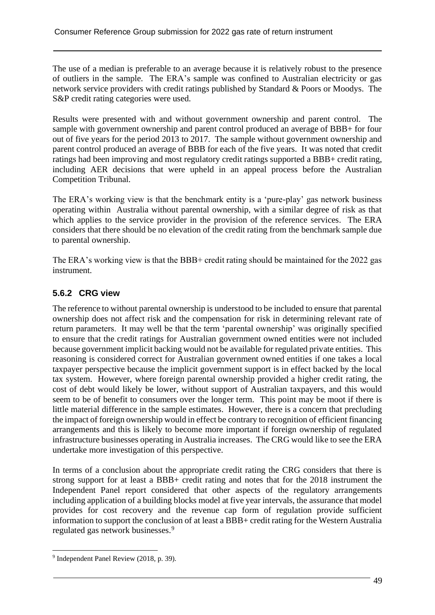The use of a median is preferable to an average because it is relatively robust to the presence of outliers in the sample. The ERA's sample was confined to Australian electricity or gas network service providers with credit ratings published by Standard & Poors or Moodys. The S&P credit rating categories were used.

Results were presented with and without government ownership and parent control. The sample with government ownership and parent control produced an average of BBB+ for four out of five years for the period 2013 to 2017. The sample without government ownership and parent control produced an average of BBB for each of the five years. It was noted that credit ratings had been improving and most regulatory credit ratings supported a BBB+ credit rating, including AER decisions that were upheld in an appeal process before the Australian Competition Tribunal.

The ERA's working view is that the benchmark entity is a 'pure-play' gas network business operating within Australia without parental ownership, with a similar degree of risk as that which applies to the service provider in the provision of the reference services. The ERA considers that there should be no elevation of the credit rating from the benchmark sample due to parental ownership.

The ERA's working view is that the BBB+ credit rating should be maintained for the 2022 gas instrument.

### **5.6.2 CRG view**

The reference to without parental ownership is understood to be included to ensure that parental ownership does not affect risk and the compensation for risk in determining relevant rate of return parameters. It may well be that the term 'parental ownership' was originally specified to ensure that the credit ratings for Australian government owned entities were not included because government implicit backing would not be available for regulated private entities. This reasoning is considered correct for Australian government owned entities if one takes a local taxpayer perspective because the implicit government support is in effect backed by the local tax system. However, where foreign parental ownership provided a higher credit rating, the cost of debt would likely be lower, without support of Australian taxpayers, and this would seem to be of benefit to consumers over the longer term. This point may be moot if there is little material difference in the sample estimates. However, there is a concern that precluding the impact of foreign ownership would in effect be contrary to recognition of efficient financing arrangements and this is likely to become more important if foreign ownership of regulated infrastructure businesses operating in Australia increases. The CRG would like to see the ERA undertake more investigation of this perspective.

In terms of a conclusion about the appropriate credit rating the CRG considers that there is strong support for at least a BBB+ credit rating and notes that for the 2018 instrument the Independent Panel report considered that other aspects of the regulatory arrangements including application of a building blocks model at five year intervals, the assurance that model provides for cost recovery and the revenue cap form of regulation provide sufficient information to support the conclusion of at least a BBB+ credit rating for the Western Australia regulated gas network businesses.<sup>9</sup>

<sup>&</sup>lt;sup>9</sup> Independent Panel Review (2018, p. 39).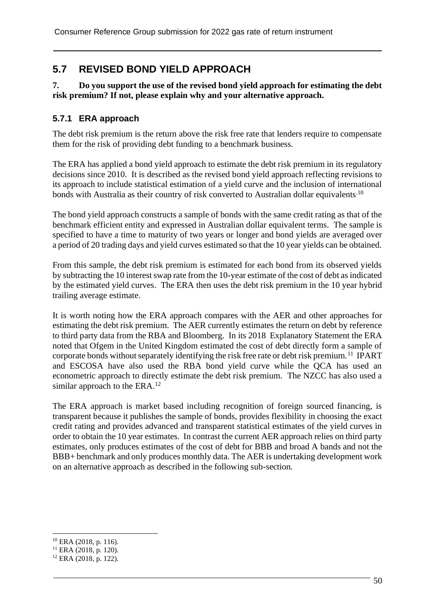# **5.7 REVISED BOND YIELD APPROACH**

#### **7. Do you support the use of the revised bond yield approach for estimating the debt risk premium? If not, please explain why and your alternative approach.**

### **5.7.1 ERA approach**

The debt risk premium is the return above the risk free rate that lenders require to compensate them for the risk of providing debt funding to a benchmark business.

The ERA has applied a bond yield approach to estimate the debt risk premium in its regulatory decisions since 2010. It is described as the revised bond yield approach reflecting revisions to its approach to include statistical estimation of a yield curve and the inclusion of international bonds with Australia as their country of risk converted to Australian dollar equivalents<sup>10</sup>

The bond yield approach constructs a sample of bonds with the same credit rating as that of the benchmark efficient entity and expressed in Australian dollar equivalent terms. The sample is specified to have a time to maturity of two years or longer and bond yields are averaged over a period of 20 trading days and yield curves estimated so that the 10 year yields can be obtained.

From this sample, the debt risk premium is estimated for each bond from its observed yields by subtracting the 10 interest swap rate from the 10-year estimate of the cost of debt as indicated by the estimated yield curves. The ERA then uses the debt risk premium in the 10 year hybrid trailing average estimate.

It is worth noting how the ERA approach compares with the AER and other approaches for estimating the debt risk premium. The AER currently estimates the return on debt by reference to third party data from the RBA and Bloomberg. In its 2018 Explanatory Statement the ERA noted that Ofgem in the United Kingdom estimated the cost of debt directly form a sample of corporate bonds without separately identifying the risk free rate or debt risk premium.<sup>11</sup> IPART and ESCOSA have also used the RBA bond yield curve while the QCA has used an econometric approach to directly estimate the debt risk premium. The NZCC has also used a similar approach to the ERA.<sup>12</sup>

The ERA approach is market based including recognition of foreign sourced financing, is transparent because it publishes the sample of bonds, provides flexibility in choosing the exact credit rating and provides advanced and transparent statistical estimates of the yield curves in order to obtain the 10 year estimates. In contrast the current AER approach relies on third party estimates, only produces estimates of the cost of debt for BBB and broad A bands and not the BBB+ benchmark and only produces monthly data. The AER is undertaking development work on an alternative approach as described in the following sub-section.

<sup>10</sup> ERA (2018, p. 116).

<sup>11</sup> ERA (2018, p. 120).

 $12$  ERA (2018, p. 122).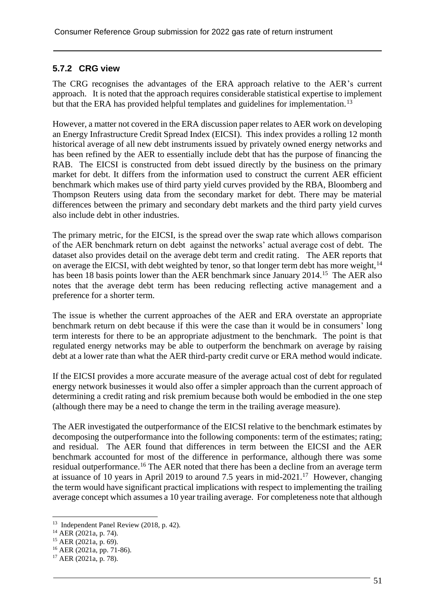### **5.7.2 CRG view**

The CRG recognises the advantages of the ERA approach relative to the AER's current approach. It is noted that the approach requires considerable statistical expertise to implement but that the ERA has provided helpful templates and guidelines for implementation.<sup>13</sup>

However, a matter not covered in the ERA discussion paper relates to AER work on developing an Energy Infrastructure Credit Spread Index (EICSI). This index provides a rolling 12 month historical average of all new debt instruments issued by privately owned energy networks and has been refined by the AER to essentially include debt that has the purpose of financing the RAB. The EICSI is constructed from debt issued directly by the business on the primary market for debt. It differs from the information used to construct the current AER efficient benchmark which makes use of third party yield curves provided by the RBA, Bloomberg and Thompson Reuters using data from the secondary market for debt. There may be material differences between the primary and secondary debt markets and the third party yield curves also include debt in other industries.

The primary metric, for the EICSI, is the spread over the swap rate which allows comparison of the AER benchmark return on debt against the networks' actual average cost of debt. The dataset also provides detail on the average debt term and credit rating. The AER reports that on average the EICSI, with debt weighted by tenor, so that longer term debt has more weight, $14$ has been 18 basis points lower than the AER benchmark since January 2014.<sup>15</sup> The AER also notes that the average debt term has been reducing reflecting active management and a preference for a shorter term.

The issue is whether the current approaches of the AER and ERA overstate an appropriate benchmark return on debt because if this were the case than it would be in consumers' long term interests for there to be an appropriate adjustment to the benchmark. The point is that regulated energy networks may be able to outperform the benchmark on average by raising debt at a lower rate than what the AER third-party credit curve or ERA method would indicate.

If the EICSI provides a more accurate measure of the average actual cost of debt for regulated energy network businesses it would also offer a simpler approach than the current approach of determining a credit rating and risk premium because both would be embodied in the one step (although there may be a need to change the term in the trailing average measure).

The AER investigated the outperformance of the EICSI relative to the benchmark estimates by decomposing the outperformance into the following components: term of the estimates; rating; and residual. The AER found that differences in term between the EICSI and the AER benchmark accounted for most of the difference in performance, although there was some residual outperformance.<sup>16</sup> The AER noted that there has been a decline from an average term at issuance of 10 years in April 2019 to around 7.5 years in mid-2021.<sup>17</sup> However, changing the term would have significant practical implications with respect to implementing the trailing average concept which assumes a 10 year trailing average. For completeness note that although

<sup>&</sup>lt;sup>13</sup> Independent Panel Review (2018, p. 42).

 $14$  AER (2021a, p. 74).

<sup>15</sup> AER (2021a, p. 69).

<sup>16</sup> AER (2021a, pp. 71-86).

 $17$  AER (2021a, p. 78).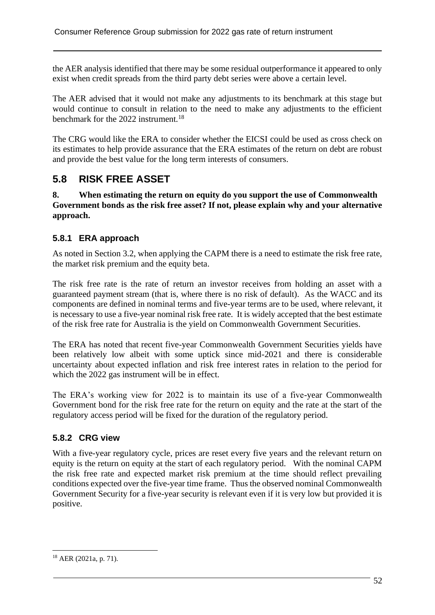the AER analysis identified that there may be some residual outperformance it appeared to only exist when credit spreads from the third party debt series were above a certain level.

The AER advised that it would not make any adjustments to its benchmark at this stage but would continue to consult in relation to the need to make any adjustments to the efficient benchmark for the 2022 instrument.<sup>18</sup>

The CRG would like the ERA to consider whether the EICSI could be used as cross check on its estimates to help provide assurance that the ERA estimates of the return on debt are robust and provide the best value for the long term interests of consumers.

## **5.8 RISK FREE ASSET**

#### **8. When estimating the return on equity do you support the use of Commonwealth Government bonds as the risk free asset? If not, please explain why and your alternative approach.**

### **5.8.1 ERA approach**

As noted in Section 3.2, when applying the CAPM there is a need to estimate the risk free rate, the market risk premium and the equity beta.

The risk free rate is the rate of return an investor receives from holding an asset with a guaranteed payment stream (that is, where there is no risk of default). As the WACC and its components are defined in nominal terms and five-year terms are to be used, where relevant, it is necessary to use a five-year nominal risk free rate. It is widely accepted that the best estimate of the risk free rate for Australia is the yield on Commonwealth Government Securities.

The ERA has noted that recent five-year Commonwealth Government Securities yields have been relatively low albeit with some uptick since mid-2021 and there is considerable uncertainty about expected inflation and risk free interest rates in relation to the period for which the 2022 gas instrument will be in effect.

The ERA's working view for 2022 is to maintain its use of a five-year Commonwealth Government bond for the risk free rate for the return on equity and the rate at the start of the regulatory access period will be fixed for the duration of the regulatory period.

### **5.8.2 CRG view**

With a five-year regulatory cycle, prices are reset every five years and the relevant return on equity is the return on equity at the start of each regulatory period. With the nominal CAPM the risk free rate and expected market risk premium at the time should reflect prevailing conditions expected over the five-year time frame. Thus the observed nominal Commonwealth Government Security for a five-year security is relevant even if it is very low but provided it is positive.

<sup>18</sup> AER (2021a, p. 71).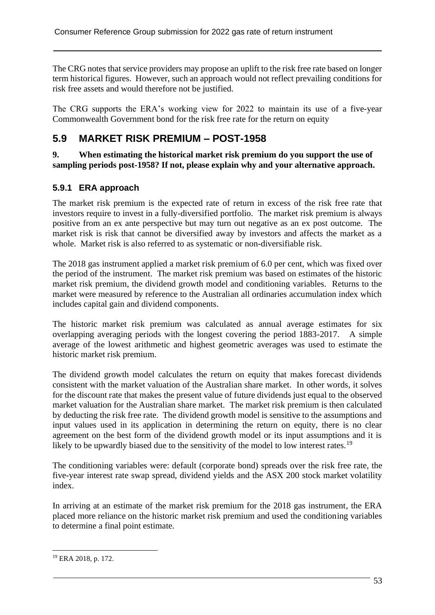The CRG notes that service providers may propose an uplift to the risk free rate based on longer term historical figures. However, such an approach would not reflect prevailing conditions for risk free assets and would therefore not be justified.

The CRG supports the ERA's working view for 2022 to maintain its use of a five-year Commonwealth Government bond for the risk free rate for the return on equity

# **5.9 MARKET RISK PREMIUM – POST-1958**

**9. When estimating the historical market risk premium do you support the use of sampling periods post-1958? If not, please explain why and your alternative approach.**

### **5.9.1 ERA approach**

The market risk premium is the expected rate of return in excess of the risk free rate that investors require to invest in a fully-diversified portfolio. The market risk premium is always positive from an ex ante perspective but may turn out negative as an ex post outcome. The market risk is risk that cannot be diversified away by investors and affects the market as a whole. Market risk is also referred to as systematic or non-diversifiable risk.

The 2018 gas instrument applied a market risk premium of 6.0 per cent, which was fixed over the period of the instrument. The market risk premium was based on estimates of the historic market risk premium, the dividend growth model and conditioning variables. Returns to the market were measured by reference to the Australian all ordinaries accumulation index which includes capital gain and dividend components.

The historic market risk premium was calculated as annual average estimates for six overlapping averaging periods with the longest covering the period 1883-2017. A simple average of the lowest arithmetic and highest geometric averages was used to estimate the historic market risk premium.

The dividend growth model calculates the return on equity that makes forecast dividends consistent with the market valuation of the Australian share market. In other words, it solves for the discount rate that makes the present value of future dividends just equal to the observed market valuation for the Australian share market. The market risk premium is then calculated by deducting the risk free rate. The dividend growth model is sensitive to the assumptions and input values used in its application in determining the return on equity, there is no clear agreement on the best form of the dividend growth model or its input assumptions and it is likely to be upwardly biased due to the sensitivity of the model to low interest rates.<sup>19</sup>

The conditioning variables were: default (corporate bond) spreads over the risk free rate, the five-year interest rate swap spread, dividend yields and the ASX 200 stock market volatility index.

In arriving at an estimate of the market risk premium for the 2018 gas instrument, the ERA placed more reliance on the historic market risk premium and used the conditioning variables to determine a final point estimate.

<sup>19</sup> ERA 2018, p. 172.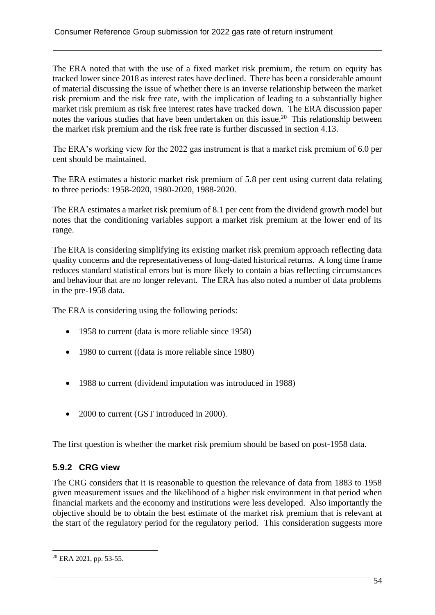The ERA noted that with the use of a fixed market risk premium, the return on equity has tracked lower since 2018 as interest rates have declined. There has been a considerable amount of material discussing the issue of whether there is an inverse relationship between the market risk premium and the risk free rate, with the implication of leading to a substantially higher market risk premium as risk free interest rates have tracked down. The ERA discussion paper notes the various studies that have been undertaken on this issue.<sup>20</sup> This relationship between the market risk premium and the risk free rate is further discussed in section 4.13.

The ERA's working view for the 2022 gas instrument is that a market risk premium of 6.0 per cent should be maintained.

The ERA estimates a historic market risk premium of 5.8 per cent using current data relating to three periods: 1958-2020, 1980-2020, 1988-2020.

The ERA estimates a market risk premium of 8.1 per cent from the dividend growth model but notes that the conditioning variables support a market risk premium at the lower end of its range.

The ERA is considering simplifying its existing market risk premium approach reflecting data quality concerns and the representativeness of long-dated historical returns. A long time frame reduces standard statistical errors but is more likely to contain a bias reflecting circumstances and behaviour that are no longer relevant. The ERA has also noted a number of data problems in the pre-1958 data.

The ERA is considering using the following periods:

- 1958 to current (data is more reliable since 1958)
- 1980 to current ((data is more reliable since 1980)
- 1988 to current (dividend imputation was introduced in 1988)
- 2000 to current (GST introduced in 2000).

The first question is whether the market risk premium should be based on post-1958 data.

### **5.9.2 CRG view**

The CRG considers that it is reasonable to question the relevance of data from 1883 to 1958 given measurement issues and the likelihood of a higher risk environment in that period when financial markets and the economy and institutions were less developed. Also importantly the objective should be to obtain the best estimate of the market risk premium that is relevant at the start of the regulatory period for the regulatory period. This consideration suggests more

<sup>20</sup> ERA 2021, pp. 53-55.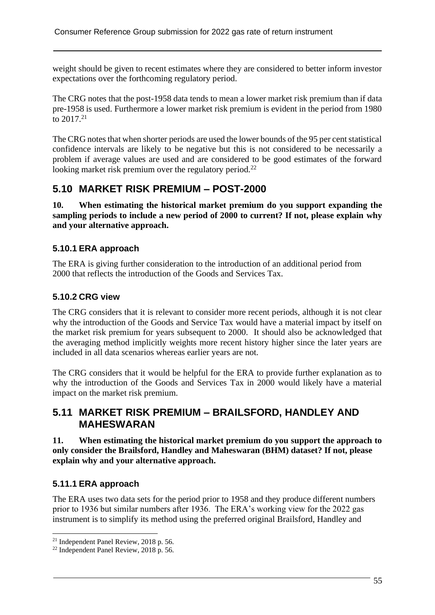weight should be given to recent estimates where they are considered to better inform investor expectations over the forthcoming regulatory period.

The CRG notes that the post-1958 data tends to mean a lower market risk premium than if data pre-1958 is used. Furthermore a lower market risk premium is evident in the period from 1980 to 2017.<sup>21</sup>

The CRG notes that when shorter periods are used the lower bounds of the 95 per cent statistical confidence intervals are likely to be negative but this is not considered to be necessarily a problem if average values are used and are considered to be good estimates of the forward looking market risk premium over the regulatory period.<sup>22</sup>

# **5.10 MARKET RISK PREMIUM – POST-2000**

**10. When estimating the historical market premium do you support expanding the sampling periods to include a new period of 2000 to current? If not, please explain why and your alternative approach.**

### **5.10.1 ERA approach**

The ERA is giving further consideration to the introduction of an additional period from 2000 that reflects the introduction of the Goods and Services Tax.

### **5.10.2 CRG view**

The CRG considers that it is relevant to consider more recent periods, although it is not clear why the introduction of the Goods and Service Tax would have a material impact by itself on the market risk premium for years subsequent to 2000. It should also be acknowledged that the averaging method implicitly weights more recent history higher since the later years are included in all data scenarios whereas earlier years are not.

The CRG considers that it would be helpful for the ERA to provide further explanation as to why the introduction of the Goods and Services Tax in 2000 would likely have a material impact on the market risk premium.

## **5.11 MARKET RISK PREMIUM – BRAILSFORD, HANDLEY AND MAHESWARAN**

**11. When estimating the historical market premium do you support the approach to only consider the Brailsford, Handley and Maheswaran (BHM) dataset? If not, please explain why and your alternative approach.**

### **5.11.1 ERA approach**

The ERA uses two data sets for the period prior to 1958 and they produce different numbers prior to 1936 but similar numbers after 1936. The ERA's working view for the 2022 gas instrument is to simplify its method using the preferred original Brailsford, Handley and

<sup>21</sup> Independent Panel Review, 2018 p. 56.

<sup>22</sup> Independent Panel Review, 2018 p. 56.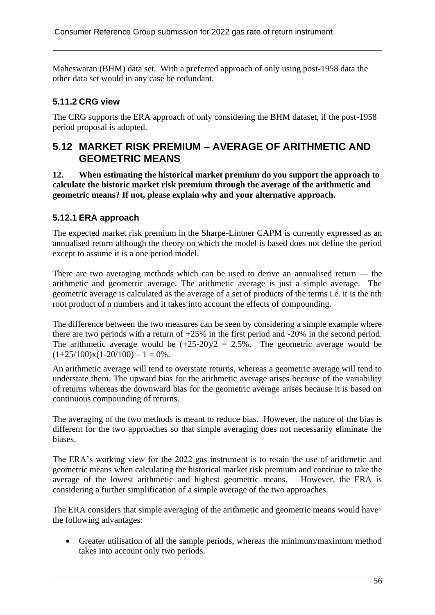Maheswaran (BHM) data set. With a preferred approach of only using post-1958 data the other data set would in any case be redundant.

### **5.11.2 CRG view**

The CRG supports the ERA approach of only considering the BHM dataset, if the post-1958 period proposal is adopted.

## **5.12 MARKET RISK PREMIUM – AVERAGE OF ARITHMETIC AND GEOMETRIC MEANS**

**12. When estimating the historical market premium do you support the approach to calculate the historic market risk premium through the average of the arithmetic and geometric means? If not, please explain why and your alternative approach.**

### **5.12.1 ERA approach**

The expected market risk premium in the Sharpe-Lintner CAPM is currently expressed as an annualised return although the theory on which the model is based does not define the period except to assume it is a one period model.

There are two averaging methods which can be used to derive an annualised return — the arithmetic and geometric average. The arithmetic average is just a simple average. The geometric average is calculated as the average of a set of products of the terms i.e. it is the nth root product of n numbers and it takes into account the effects of compounding.

The difference between the two measures can be seen by considering a simple example where there are two periods with a return of +25% in the first period and -20% in the second period. The arithmetic average would be  $(+25-20)/2 = 2.5%$ . The geometric average would be  $(1+25/100)x(1-20/100) - 1 = 0%$ .

An arithmetic average will tend to overstate returns, whereas a geometric average will tend to understate them. The upward bias for the arithmetic average arises because of the variability of returns whereas the downward bias for the geometric average arises because it is based on continuous compounding of returns.

The averaging of the two methods is meant to reduce bias. However, the nature of the bias is different for the two approaches so that simple averaging does not necessarily eliminate the biases.

The ERA's working view for the 2022 gas instrument is to retain the use of arithmetic and geometric means when calculating the historical market risk premium and continue to take the average of the lowest arithmetic and highest geometric means. However, the ERA is considering a further simplification of a simple average of the two approaches.

The ERA considers that simple averaging of the arithmetic and geometric means would have the following advantages:

• Greater utilisation of all the sample periods, whereas the minimum/maximum method takes into account only two periods.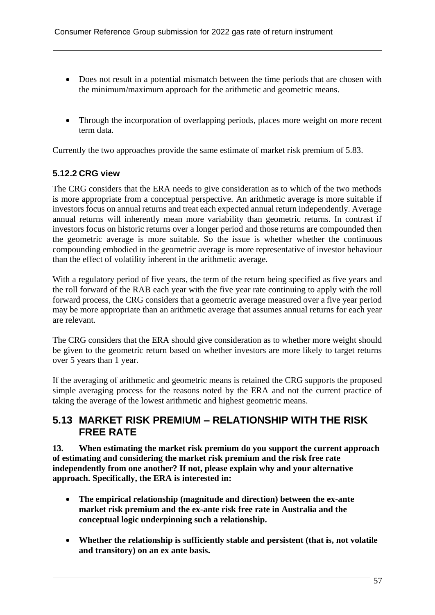- Does not result in a potential mismatch between the time periods that are chosen with the minimum/maximum approach for the arithmetic and geometric means.
- Through the incorporation of overlapping periods, places more weight on more recent term data.

Currently the two approaches provide the same estimate of market risk premium of 5.83.

### **5.12.2 CRG view**

The CRG considers that the ERA needs to give consideration as to which of the two methods is more appropriate from a conceptual perspective. An arithmetic average is more suitable if investors focus on annual returns and treat each expected annual return independently. Average annual returns will inherently mean more variability than geometric returns. In contrast if investors focus on historic returns over a longer period and those returns are compounded then the geometric average is more suitable. So the issue is whether whether the continuous compounding embodied in the geometric average is more representative of investor behaviour than the effect of volatility inherent in the arithmetic average.

With a regulatory period of five years, the term of the return being specified as five years and the roll forward of the RAB each year with the five year rate continuing to apply with the roll forward process, the CRG considers that a geometric average measured over a five year period may be more appropriate than an arithmetic average that assumes annual returns for each year are relevant.

The CRG considers that the ERA should give consideration as to whether more weight should be given to the geometric return based on whether investors are more likely to target returns over 5 years than 1 year.

If the averaging of arithmetic and geometric means is retained the CRG supports the proposed simple averaging process for the reasons noted by the ERA and not the current practice of taking the average of the lowest arithmetic and highest geometric means.

### **5.13 MARKET RISK PREMIUM – RELATIONSHIP WITH THE RISK FREE RATE**

**13. When estimating the market risk premium do you support the current approach of estimating and considering the market risk premium and the risk free rate independently from one another? If not, please explain why and your alternative approach. Specifically, the ERA is interested in:**

- **The empirical relationship (magnitude and direction) between the ex-ante market risk premium and the ex-ante risk free rate in Australia and the conceptual logic underpinning such a relationship.**
- **Whether the relationship is sufficiently stable and persistent (that is, not volatile and transitory) on an ex ante basis.**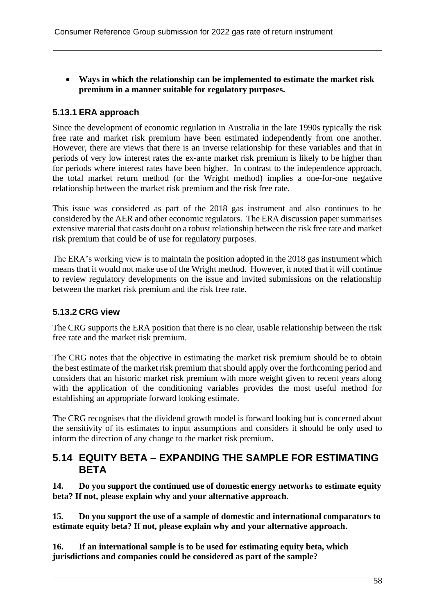• **Ways in which the relationship can be implemented to estimate the market risk premium in a manner suitable for regulatory purposes.**

### **5.13.1 ERA approach**

Since the development of economic regulation in Australia in the late 1990s typically the risk free rate and market risk premium have been estimated independently from one another. However, there are views that there is an inverse relationship for these variables and that in periods of very low interest rates the ex-ante market risk premium is likely to be higher than for periods where interest rates have been higher. In contrast to the independence approach, the total market return method (or the Wright method) implies a one-for-one negative relationship between the market risk premium and the risk free rate.

This issue was considered as part of the 2018 gas instrument and also continues to be considered by the AER and other economic regulators. The ERA discussion paper summarises extensive material that casts doubt on a robust relationship between the risk free rate and market risk premium that could be of use for regulatory purposes.

The ERA's working view is to maintain the position adopted in the 2018 gas instrument which means that it would not make use of the Wright method. However, it noted that it will continue to review regulatory developments on the issue and invited submissions on the relationship between the market risk premium and the risk free rate.

### **5.13.2 CRG view**

The CRG supports the ERA position that there is no clear, usable relationship between the risk free rate and the market risk premium.

The CRG notes that the objective in estimating the market risk premium should be to obtain the best estimate of the market risk premium that should apply over the forthcoming period and considers that an historic market risk premium with more weight given to recent years along with the application of the conditioning variables provides the most useful method for establishing an appropriate forward looking estimate.

The CRG recognises that the dividend growth model is forward looking but is concerned about the sensitivity of its estimates to input assumptions and considers it should be only used to inform the direction of any change to the market risk premium.

### **5.14 EQUITY BETA – EXPANDING THE SAMPLE FOR ESTIMATING BETA**

**14. Do you support the continued use of domestic energy networks to estimate equity beta? If not, please explain why and your alternative approach.**

**15. Do you support the use of a sample of domestic and international comparators to estimate equity beta? If not, please explain why and your alternative approach.**

**16. If an international sample is to be used for estimating equity beta, which jurisdictions and companies could be considered as part of the sample?**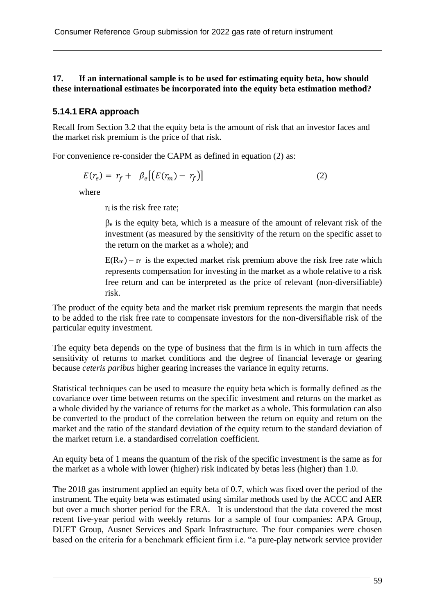#### **17. If an international sample is to be used for estimating equity beta, how should these international estimates be incorporated into the equity beta estimation method?**

#### **5.14.1 ERA approach**

Recall from Section 3.2 that the equity beta is the amount of risk that an investor faces and the market risk premium is the price of that risk.

For convenience re-consider the CAPM as defined in equation (2) as:

$$
E(r_e) = r_f + \beta_e [(E(r_m) - r_f)] \tag{2}
$$

where

r<sub>f</sub> is the risk free rate;

 $\beta$ e is the equity beta, which is a measure of the amount of relevant risk of the investment (as measured by the sensitivity of the return on the specific asset to the return on the market as a whole); and

 $E(R_m) - r_f$  is the expected market risk premium above the risk free rate which represents compensation for investing in the market as a whole relative to a risk free return and can be interpreted as the price of relevant (non-diversifiable) risk.

The product of the equity beta and the market risk premium represents the margin that needs to be added to the risk free rate to compensate investors for the non-diversifiable risk of the particular equity investment.

The equity beta depends on the type of business that the firm is in which in turn affects the sensitivity of returns to market conditions and the degree of financial leverage or gearing because *ceteris paribus* higher gearing increases the variance in equity returns.

Statistical techniques can be used to measure the equity beta which is formally defined as the covariance over time between returns on the specific investment and returns on the market as a whole divided by the variance of returns for the market as a whole. This formulation can also be converted to the product of the correlation between the return on equity and return on the market and the ratio of the standard deviation of the equity return to the standard deviation of the market return i.e. a standardised correlation coefficient.

An equity beta of 1 means the quantum of the risk of the specific investment is the same as for the market as a whole with lower (higher) risk indicated by betas less (higher) than 1.0.

The 2018 gas instrument applied an equity beta of 0.7, which was fixed over the period of the instrument. The equity beta was estimated using similar methods used by the ACCC and AER but over a much shorter period for the ERA. It is understood that the data covered the most recent five-year period with weekly returns for a sample of four companies: APA Group, DUET Group, Ausnet Services and Spark Infrastructure. The four companies were chosen based on the criteria for a benchmark efficient firm i.e. "a pure-play network service provider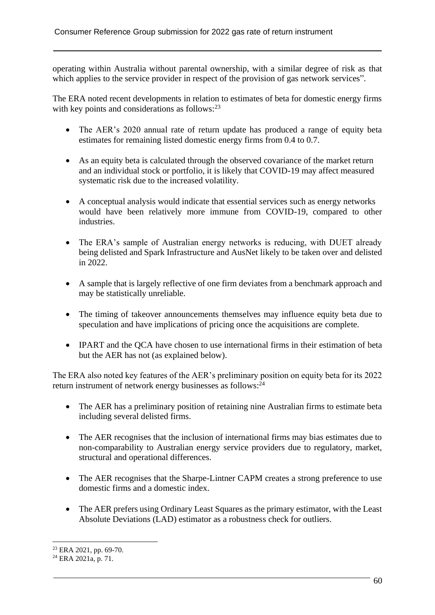operating within Australia without parental ownership, with a similar degree of risk as that which applies to the service provider in respect of the provision of gas network services".

The ERA noted recent developments in relation to estimates of beta for domestic energy firms with key points and considerations as follows:<sup>23</sup>

- The AER's 2020 annual rate of return update has produced a range of equity beta estimates for remaining listed domestic energy firms from 0.4 to 0.7.
- As an equity beta is calculated through the observed covariance of the market return and an individual stock or portfolio, it is likely that COVID-19 may affect measured systematic risk due to the increased volatility.
- A conceptual analysis would indicate that essential services such as energy networks would have been relatively more immune from COVID-19, compared to other industries.
- The ERA's sample of Australian energy networks is reducing, with DUET already being delisted and Spark Infrastructure and AusNet likely to be taken over and delisted in 2022.
- A sample that is largely reflective of one firm deviates from a benchmark approach and may be statistically unreliable.
- The timing of takeover announcements themselves may influence equity beta due to speculation and have implications of pricing once the acquisitions are complete.
- IPART and the QCA have chosen to use international firms in their estimation of beta but the AER has not (as explained below).

The ERA also noted key features of the AER's preliminary position on equity beta for its 2022 return instrument of network energy businesses as follows:<sup>24</sup>

- The AER has a preliminary position of retaining nine Australian firms to estimate beta including several delisted firms.
- The AER recognises that the inclusion of international firms may bias estimates due to non-comparability to Australian energy service providers due to regulatory, market, structural and operational differences.
- The AER recognises that the Sharpe-Lintner CAPM creates a strong preference to use domestic firms and a domestic index.
- The AER prefers using Ordinary Least Squares as the primary estimator, with the Least Absolute Deviations (LAD) estimator as a robustness check for outliers.

<sup>23</sup> ERA 2021, pp. 69-70.

 $^{24}$  ERA 2021a, p. 71.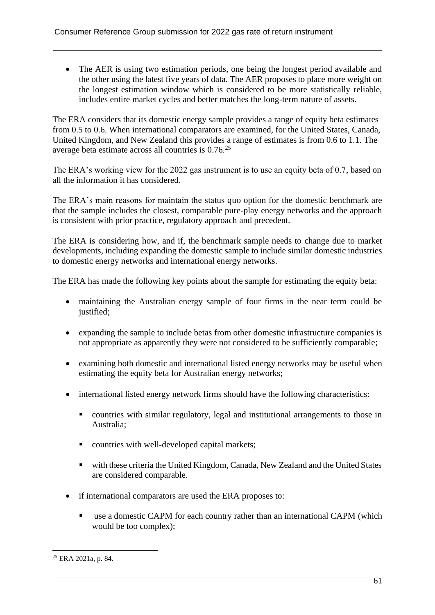• The AER is using two estimation periods, one being the longest period available and the other using the latest five years of data. The AER proposes to place more weight on the longest estimation window which is considered to be more statistically reliable, includes entire market cycles and better matches the long-term nature of assets.

The ERA considers that its domestic energy sample provides a range of equity beta estimates from 0.5 to 0.6. When international comparators are examined, for the United States, Canada, United Kingdom, and New Zealand this provides a range of estimates is from 0.6 to 1.1. The average beta estimate across all countries is 0.76.<sup>25</sup>

The ERA's working view for the 2022 gas instrument is to use an equity beta of 0.7, based on all the information it has considered.

The ERA's main reasons for maintain the status quo option for the domestic benchmark are that the sample includes the closest, comparable pure-play energy networks and the approach is consistent with prior practice, regulatory approach and precedent.

The ERA is considering how, and if, the benchmark sample needs to change due to market developments, including expanding the domestic sample to include similar domestic industries to domestic energy networks and international energy networks.

The ERA has made the following key points about the sample for estimating the equity beta:

- maintaining the Australian energy sample of four firms in the near term could be justified;
- expanding the sample to include betas from other domestic infrastructure companies is not appropriate as apparently they were not considered to be sufficiently comparable;
- examining both domestic and international listed energy networks may be useful when estimating the equity beta for Australian energy networks;
- international listed energy network firms should have the following characteristics:
	- countries with similar regulatory, legal and institutional arrangements to those in Australia;
	- countries with well-developed capital markets;
	- with these criteria the United Kingdom, Canada, New Zealand and the United States are considered comparable.
- if international comparators are used the ERA proposes to:
	- use a domestic CAPM for each country rather than an international CAPM (which would be too complex);

<sup>25</sup> ERA 2021a, p. 84.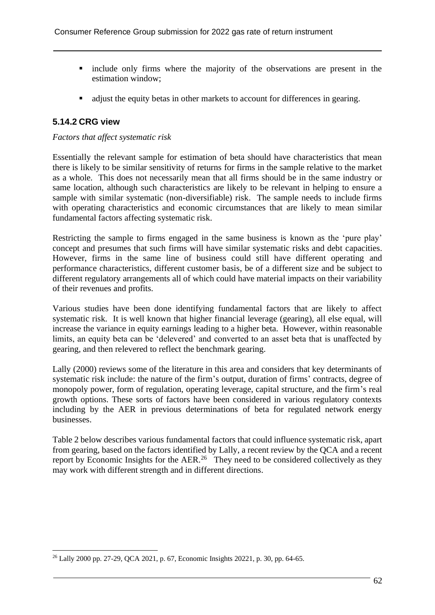- include only firms where the majority of the observations are present in the estimation window;
- adjust the equity betas in other markets to account for differences in gearing.

#### **5.14.2 CRG view**

#### *Factors that affect systematic risk*

Essentially the relevant sample for estimation of beta should have characteristics that mean there is likely to be similar sensitivity of returns for firms in the sample relative to the market as a whole. This does not necessarily mean that all firms should be in the same industry or same location, although such characteristics are likely to be relevant in helping to ensure a sample with similar systematic (non-diversifiable) risk. The sample needs to include firms with operating characteristics and economic circumstances that are likely to mean similar fundamental factors affecting systematic risk.

Restricting the sample to firms engaged in the same business is known as the 'pure play' concept and presumes that such firms will have similar systematic risks and debt capacities. However, firms in the same line of business could still have different operating and performance characteristics, different customer basis, be of a different size and be subject to different regulatory arrangements all of which could have material impacts on their variability of their revenues and profits.

Various studies have been done identifying fundamental factors that are likely to affect systematic risk. It is well known that higher financial leverage (gearing), all else equal, will increase the variance in equity earnings leading to a higher beta. However, within reasonable limits, an equity beta can be 'delevered' and converted to an asset beta that is unaffected by gearing, and then relevered to reflect the benchmark gearing.

Lally (2000) reviews some of the literature in this area and considers that key determinants of systematic risk include: the nature of the firm's output, duration of firms' contracts, degree of monopoly power, form of regulation, operating leverage, capital structure, and the firm's real growth options. These sorts of factors have been considered in various regulatory contexts including by the AER in previous determinations of beta for regulated network energy businesses.

Table 2 below describes various fundamental factors that could influence systematic risk, apart from gearing, based on the factors identified by Lally, a recent review by the QCA and a recent report by Economic Insights for the AER.<sup>26</sup> They need to be considered collectively as they may work with different strength and in different directions.

<sup>26</sup> Lally 2000 pp. 27-29, QCA 2021, p. 67, Economic Insights 20221, p. 30, pp. 64-65.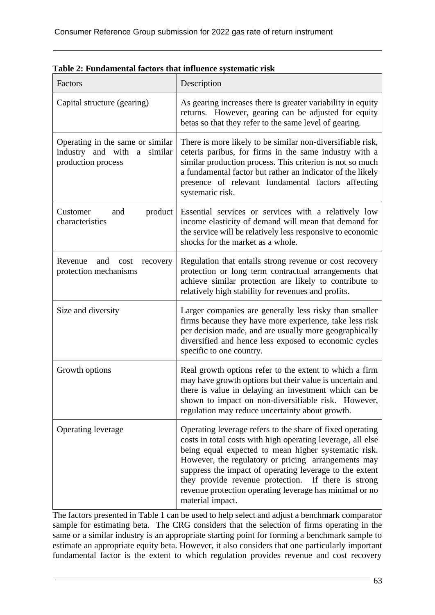| Factors                                                                                  | Description                                                                                                                                                                                                                                                                                                                                                                                                                              |  |
|------------------------------------------------------------------------------------------|------------------------------------------------------------------------------------------------------------------------------------------------------------------------------------------------------------------------------------------------------------------------------------------------------------------------------------------------------------------------------------------------------------------------------------------|--|
| Capital structure (gearing)                                                              | As gearing increases there is greater variability in equity<br>returns. However, gearing can be adjusted for equity<br>betas so that they refer to the same level of gearing.                                                                                                                                                                                                                                                            |  |
| Operating in the same or similar<br>industry and with a<br>similar<br>production process | There is more likely to be similar non-diversifiable risk,<br>ceteris paribus, for firms in the same industry with a<br>similar production process. This criterion is not so much<br>a fundamental factor but rather an indicator of the likely<br>presence of relevant fundamental factors affecting<br>systematic risk.                                                                                                                |  |
| product<br>Customer<br>and<br>characteristics                                            | Essential services or services with a relatively low<br>income elasticity of demand will mean that demand for<br>the service will be relatively less responsive to economic<br>shocks for the market as a whole.                                                                                                                                                                                                                         |  |
| Revenue<br>and<br>cost<br>recovery<br>protection mechanisms                              | Regulation that entails strong revenue or cost recovery<br>protection or long term contractual arrangements that<br>achieve similar protection are likely to contribute to<br>relatively high stability for revenues and profits.                                                                                                                                                                                                        |  |
| Size and diversity                                                                       | Larger companies are generally less risky than smaller<br>firms because they have more experience, take less risk<br>per decision made, and are usually more geographically<br>diversified and hence less exposed to economic cycles<br>specific to one country.                                                                                                                                                                         |  |
| Growth options                                                                           | Real growth options refer to the extent to which a firm<br>may have growth options but their value is uncertain and<br>there is value in delaying an investment which can be<br>shown to impact on non-diversifiable risk. However,<br>regulation may reduce uncertainty about growth.                                                                                                                                                   |  |
| Operating leverage                                                                       | Operating leverage refers to the share of fixed operating<br>costs in total costs with high operating leverage, all else<br>being equal expected to mean higher systematic risk.<br>However, the regulatory or pricing arrangements may<br>suppress the impact of operating leverage to the extent<br>they provide revenue protection. If there is strong<br>revenue protection operating leverage has minimal or no<br>material impact. |  |

| Table 2: Fundamental factors that influence systematic risk |
|-------------------------------------------------------------|
|-------------------------------------------------------------|

The factors presented in Table 1 can be used to help select and adjust a benchmark comparator sample for estimating beta. The CRG considers that the selection of firms operating in the same or a similar industry is an appropriate starting point for forming a benchmark sample to estimate an appropriate equity beta. However, it also considers that one particularly important fundamental factor is the extent to which regulation provides revenue and cost recovery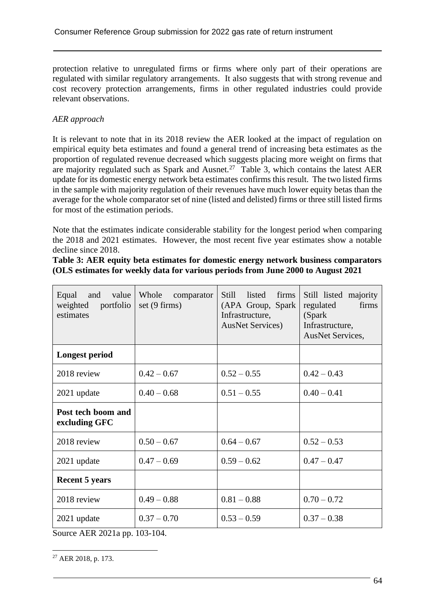protection relative to unregulated firms or firms where only part of their operations are regulated with similar regulatory arrangements. It also suggests that with strong revenue and cost recovery protection arrangements, firms in other regulated industries could provide relevant observations.

#### *AER approach*

It is relevant to note that in its 2018 review the AER looked at the impact of regulation on empirical equity beta estimates and found a general trend of increasing beta estimates as the proportion of regulated revenue decreased which suggests placing more weight on firms that are majority regulated such as Spark and Ausnet.<sup>27</sup> Table 3, which contains the latest AER update for its domestic energy network beta estimates confirms this result. The two listed firms in the sample with majority regulation of their revenues have much lower equity betas than the average for the whole comparator set of nine (listed and delisted) firms or three still listed firms for most of the estimation periods.

Note that the estimates indicate considerable stability for the longest period when comparing the 2018 and 2021 estimates. However, the most recent five year estimates show a notable decline since 2018.

**Table 3: AER equity beta estimates for domestic energy network business comparators (OLS estimates for weekly data for various periods from June 2000 to August 2021**

| Equal<br>and<br>value<br>portfolio<br>weighted<br>estimates | Whole<br>comparator<br>set (9 firms) | listed<br>firms<br><b>Still</b><br>(APA Group, Spark<br>Infrastructure,<br><b>AusNet Services</b> ) | Still listed majority<br>regulated<br>firms<br>(Spark)<br>Infrastructure,<br>AusNet Services, |
|-------------------------------------------------------------|--------------------------------------|-----------------------------------------------------------------------------------------------------|-----------------------------------------------------------------------------------------------|
| <b>Longest period</b>                                       |                                      |                                                                                                     |                                                                                               |
| 2018 review                                                 | $0.42 - 0.67$                        | $0.52 - 0.55$                                                                                       | $0.42 - 0.43$                                                                                 |
| 2021 update                                                 | $0.40 - 0.68$                        | $0.51 - 0.55$                                                                                       | $0.40 - 0.41$                                                                                 |
| Post tech boom and<br>excluding GFC                         |                                      |                                                                                                     |                                                                                               |
| 2018 review                                                 | $0.50 - 0.67$                        | $0.64 - 0.67$                                                                                       | $0.52 - 0.53$                                                                                 |
| 2021 update                                                 | $0.47 - 0.69$                        | $0.59 - 0.62$                                                                                       | $0.47 - 0.47$                                                                                 |
| <b>Recent 5 years</b>                                       |                                      |                                                                                                     |                                                                                               |
| 2018 review                                                 | $0.49 - 0.88$                        | $0.81 - 0.88$                                                                                       | $0.70 - 0.72$                                                                                 |
| 2021 update                                                 | $0.37 - 0.70$                        | $0.53 - 0.59$                                                                                       | $0.37 - 0.38$                                                                                 |

Source AER 2021a pp. 103-104.

<sup>27</sup> AER 2018, p. 173.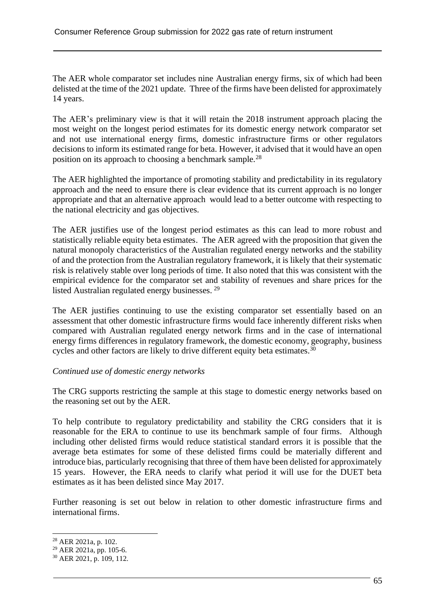The AER whole comparator set includes nine Australian energy firms, six of which had been delisted at the time of the 2021 update. Three of the firms have been delisted for approximately 14 years.

The AER's preliminary view is that it will retain the 2018 instrument approach placing the most weight on the longest period estimates for its domestic energy network comparator set and not use international energy firms, domestic infrastructure firms or other regulators decisions to inform its estimated range for beta. However, it advised that it would have an open position on its approach to choosing a benchmark sample.<sup>28</sup>

The AER highlighted the importance of promoting stability and predictability in its regulatory approach and the need to ensure there is clear evidence that its current approach is no longer appropriate and that an alternative approach would lead to a better outcome with respecting to the national electricity and gas objectives.

The AER justifies use of the longest period estimates as this can lead to more robust and statistically reliable equity beta estimates. The AER agreed with the proposition that given the natural monopoly characteristics of the Australian regulated energy networks and the stability of and the protection from the Australian regulatory framework, it is likely that their systematic risk is relatively stable over long periods of time. It also noted that this was consistent with the empirical evidence for the comparator set and stability of revenues and share prices for the listed Australian regulated energy businesses. <sup>29</sup>

The AER justifies continuing to use the existing comparator set essentially based on an assessment that other domestic infrastructure firms would face inherently different risks when compared with Australian regulated energy network firms and in the case of international energy firms differences in regulatory framework, the domestic economy, geography, business cycles and other factors are likely to drive different equity beta estimates.<sup>30</sup>

#### *Continued use of domestic energy networks*

The CRG supports restricting the sample at this stage to domestic energy networks based on the reasoning set out by the AER.

To help contribute to regulatory predictability and stability the CRG considers that it is reasonable for the ERA to continue to use its benchmark sample of four firms. Although including other delisted firms would reduce statistical standard errors it is possible that the average beta estimates for some of these delisted firms could be materially different and introduce bias, particularly recognising that three of them have been delisted for approximately 15 years. However, the ERA needs to clarify what period it will use for the DUET beta estimates as it has been delisted since May 2017.

Further reasoning is set out below in relation to other domestic infrastructure firms and international firms.

<sup>28</sup> AER 2021a, p. 102.

<sup>&</sup>lt;sup>29</sup> AER 2021a, pp. 105-6.

<sup>30</sup> AER 2021, p. 109, 112.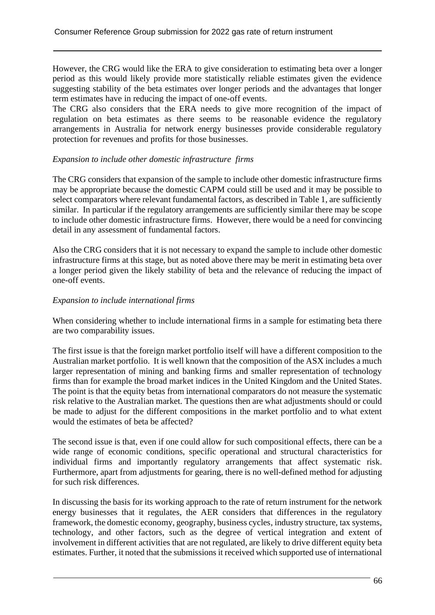However, the CRG would like the ERA to give consideration to estimating beta over a longer period as this would likely provide more statistically reliable estimates given the evidence suggesting stability of the beta estimates over longer periods and the advantages that longer term estimates have in reducing the impact of one-off events.

The CRG also considers that the ERA needs to give more recognition of the impact of regulation on beta estimates as there seems to be reasonable evidence the regulatory arrangements in Australia for network energy businesses provide considerable regulatory protection for revenues and profits for those businesses.

#### *Expansion to include other domestic infrastructure firms*

The CRG considers that expansion of the sample to include other domestic infrastructure firms may be appropriate because the domestic CAPM could still be used and it may be possible to select comparators where relevant fundamental factors, as described in Table 1, are sufficiently similar. In particular if the regulatory arrangements are sufficiently similar there may be scope to include other domestic infrastructure firms. However, there would be a need for convincing detail in any assessment of fundamental factors.

Also the CRG considers that it is not necessary to expand the sample to include other domestic infrastructure firms at this stage, but as noted above there may be merit in estimating beta over a longer period given the likely stability of beta and the relevance of reducing the impact of one-off events.

#### *Expansion to include international firms*

When considering whether to include international firms in a sample for estimating beta there are two comparability issues.

The first issue is that the foreign market portfolio itself will have a different composition to the Australian market portfolio. It is well known that the composition of the ASX includes a much larger representation of mining and banking firms and smaller representation of technology firms than for example the broad market indices in the United Kingdom and the United States. The point is that the equity betas from international comparators do not measure the systematic risk relative to the Australian market. The questions then are what adjustments should or could be made to adjust for the different compositions in the market portfolio and to what extent would the estimates of beta be affected?

The second issue is that, even if one could allow for such compositional effects, there can be a wide range of economic conditions, specific operational and structural characteristics for individual firms and importantly regulatory arrangements that affect systematic risk. Furthermore, apart from adjustments for gearing, there is no well-defined method for adjusting for such risk differences.

In discussing the basis for its working approach to the rate of return instrument for the network energy businesses that it regulates, the AER considers that differences in the regulatory framework, the domestic economy, geography, business cycles, industry structure, tax systems, technology, and other factors, such as the degree of vertical integration and extent of involvement in different activities that are not regulated, are likely to drive different equity beta estimates. Further, it noted that the submissions it received which supported use of international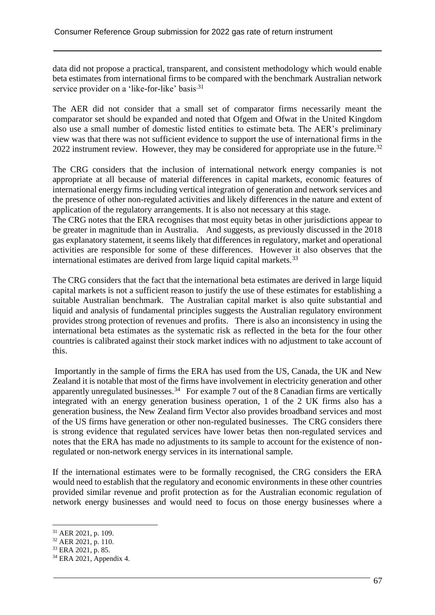data did not propose a practical, transparent, and consistent methodology which would enable beta estimates from international firms to be compared with the benchmark Australian network service provider on a 'like-for-like' basis<sup>.31</sup>

The AER did not consider that a small set of comparator firms necessarily meant the comparator set should be expanded and noted that Ofgem and Ofwat in the United Kingdom also use a small number of domestic listed entities to estimate beta. The AER's preliminary view was that there was not sufficient evidence to support the use of international firms in the 2022 instrument review. However, they may be considered for appropriate use in the future.<sup>32</sup>

The CRG considers that the inclusion of international network energy companies is not appropriate at all because of material differences in capital markets, economic features of international energy firms including vertical integration of generation and network services and the presence of other non-regulated activities and likely differences in the nature and extent of application of the regulatory arrangements. It is also not necessary at this stage.

The CRG notes that the ERA recognises that most equity betas in other jurisdictions appear to be greater in magnitude than in Australia. And suggests, as previously discussed in the 2018 gas explanatory statement, it seems likely that differences in regulatory, market and operational activities are responsible for some of these differences. However it also observes that the international estimates are derived from large liquid capital markets.<sup>33</sup>

The CRG considers that the fact that the international beta estimates are derived in large liquid capital markets is not a sufficient reason to justify the use of these estimates for establishing a suitable Australian benchmark. The Australian capital market is also quite substantial and liquid and analysis of fundamental principles suggests the Australian regulatory environment provides strong protection of revenues and profits. There is also an inconsistency in using the international beta estimates as the systematic risk as reflected in the beta for the four other countries is calibrated against their stock market indices with no adjustment to take account of this.

Importantly in the sample of firms the ERA has used from the US, Canada, the UK and New Zealand it is notable that most of the firms have involvement in electricity generation and other apparently unregulated businesses.<sup>34</sup> For example 7 out of the 8 Canadian firms are vertically integrated with an energy generation business operation, 1 of the 2 UK firms also has a generation business, the New Zealand firm Vector also provides broadband services and most of the US firms have generation or other non-regulated businesses. The CRG considers there is strong evidence that regulated services have lower betas then non-regulated services and notes that the ERA has made no adjustments to its sample to account for the existence of nonregulated or non-network energy services in its international sample.

If the international estimates were to be formally recognised, the CRG considers the ERA would need to establish that the regulatory and economic environments in these other countries provided similar revenue and profit protection as for the Australian economic regulation of network energy businesses and would need to focus on those energy businesses where a

<sup>31</sup> AER 2021, p. 109.

<sup>32</sup> AER 2021, p. 110.

<sup>33</sup> ERA 2021, p. 85.

<sup>34</sup> ERA 2021, Appendix 4.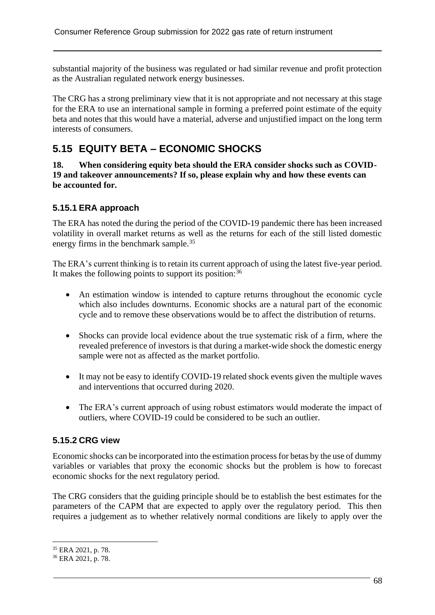substantial majority of the business was regulated or had similar revenue and profit protection as the Australian regulated network energy businesses.

The CRG has a strong preliminary view that it is not appropriate and not necessary at this stage for the ERA to use an international sample in forming a preferred point estimate of the equity beta and notes that this would have a material, adverse and unjustified impact on the long term interests of consumers.

# **5.15 EQUITY BETA – ECONOMIC SHOCKS**

**18. When considering equity beta should the ERA consider shocks such as COVID-19 and takeover announcements? If so, please explain why and how these events can be accounted for.**

### **5.15.1 ERA approach**

The ERA has noted the during the period of the COVID-19 pandemic there has been increased volatility in overall market returns as well as the returns for each of the still listed domestic energy firms in the benchmark sample.<sup>35</sup>

The ERA's current thinking is to retain its current approach of using the latest five-year period. It makes the following points to support its position:  $36$ 

- An estimation window is intended to capture returns throughout the economic cycle which also includes downturns. Economic shocks are a natural part of the economic cycle and to remove these observations would be to affect the distribution of returns.
- Shocks can provide local evidence about the true systematic risk of a firm, where the revealed preference of investors is that during a market-wide shock the domestic energy sample were not as affected as the market portfolio.
- It may not be easy to identify COVID-19 related shock events given the multiple waves and interventions that occurred during 2020.
- The ERA's current approach of using robust estimators would moderate the impact of outliers, where COVID-19 could be considered to be such an outlier.

### **5.15.2 CRG view**

Economic shocks can be incorporated into the estimation process for betas by the use of dummy variables or variables that proxy the economic shocks but the problem is how to forecast economic shocks for the next regulatory period.

The CRG considers that the guiding principle should be to establish the best estimates for the parameters of the CAPM that are expected to apply over the regulatory period. This then requires a judgement as to whether relatively normal conditions are likely to apply over the

<sup>35</sup> ERA 2021, p. 78.

<sup>36</sup> ERA 2021, p. 78.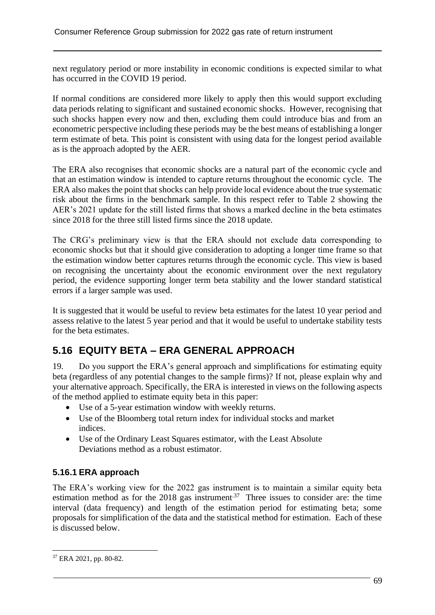next regulatory period or more instability in economic conditions is expected similar to what has occurred in the COVID 19 period.

If normal conditions are considered more likely to apply then this would support excluding data periods relating to significant and sustained economic shocks. However, recognising that such shocks happen every now and then, excluding them could introduce bias and from an econometric perspective including these periods may be the best means of establishing a longer term estimate of beta. This point is consistent with using data for the longest period available as is the approach adopted by the AER.

The ERA also recognises that economic shocks are a natural part of the economic cycle and that an estimation window is intended to capture returns throughout the economic cycle. The ERA also makes the point that shocks can help provide local evidence about the true systematic risk about the firms in the benchmark sample. In this respect refer to Table 2 showing the AER's 2021 update for the still listed firms that shows a marked decline in the beta estimates since 2018 for the three still listed firms since the 2018 update.

The CRG's preliminary view is that the ERA should not exclude data corresponding to economic shocks but that it should give consideration to adopting a longer time frame so that the estimation window better captures returns through the economic cycle. This view is based on recognising the uncertainty about the economic environment over the next regulatory period, the evidence supporting longer term beta stability and the lower standard statistical errors if a larger sample was used.

It is suggested that it would be useful to review beta estimates for the latest 10 year period and assess relative to the latest 5 year period and that it would be useful to undertake stability tests for the beta estimates.

# **5.16 EQUITY BETA – ERA GENERAL APPROACH**

19. Do you support the ERA's general approach and simplifications for estimating equity beta (regardless of any potential changes to the sample firms)? If not, please explain why and your alternative approach. Specifically, the ERA is interested in views on the following aspects of the method applied to estimate equity beta in this paper:

- Use of a 5-year estimation window with weekly returns.
- Use of the Bloomberg total return index for individual stocks and market indices.
- Use of the Ordinary Least Squares estimator, with the Least Absolute Deviations method as a robust estimator.

### **5.16.1 ERA approach**

The ERA's working view for the 2022 gas instrument is to maintain a similar equity beta estimation method as for the 2018 gas instrument.<sup>37</sup> Three issues to consider are: the time interval (data frequency) and length of the estimation period for estimating beta; some proposals for simplification of the data and the statistical method for estimation. Each of these is discussed below.

<sup>37</sup> ERA 2021, pp. 80-82.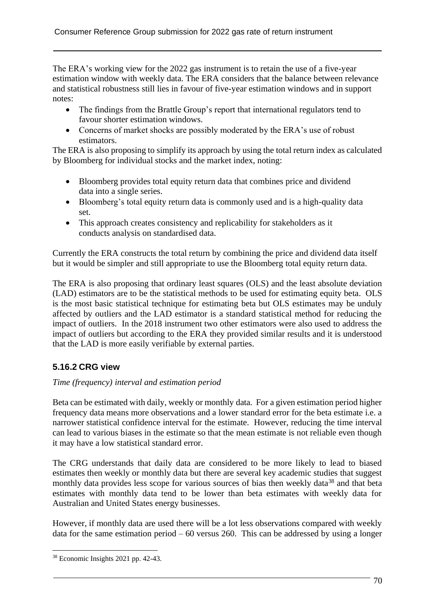The ERA's working view for the 2022 gas instrument is to retain the use of a five-year estimation window with weekly data. The ERA considers that the balance between relevance and statistical robustness still lies in favour of five-year estimation windows and in support notes:

- The findings from the Brattle Group's report that international regulators tend to favour shorter estimation windows.
- Concerns of market shocks are possibly moderated by the ERA's use of robust estimators.

The ERA is also proposing to simplify its approach by using the total return index as calculated by Bloomberg for individual stocks and the market index, noting:

- Bloomberg provides total equity return data that combines price and dividend data into a single series.
- Bloomberg's total equity return data is commonly used and is a high-quality data set.
- This approach creates consistency and replicability for stakeholders as it conducts analysis on standardised data.

Currently the ERA constructs the total return by combining the price and dividend data itself but it would be simpler and still appropriate to use the Bloomberg total equity return data.

The ERA is also proposing that ordinary least squares (OLS) and the least absolute deviation (LAD) estimators are to be the statistical methods to be used for estimating equity beta. OLS is the most basic statistical technique for estimating beta but OLS estimates may be unduly affected by outliers and the LAD estimator is a standard statistical method for reducing the impact of outliers. In the 2018 instrument two other estimators were also used to address the impact of outliers but according to the ERA they provided similar results and it is understood that the LAD is more easily verifiable by external parties.

## **5.16.2 CRG view**

### *Time (frequency) interval and estimation period*

Beta can be estimated with daily, weekly or monthly data. For a given estimation period higher frequency data means more observations and a lower standard error for the beta estimate i.e. a narrower statistical confidence interval for the estimate. However, reducing the time interval can lead to various biases in the estimate so that the mean estimate is not reliable even though it may have a low statistical standard error.

The CRG understands that daily data are considered to be more likely to lead to biased estimates then weekly or monthly data but there are several key academic studies that suggest monthly data provides less scope for various sources of bias then weekly data<sup>38</sup> and that beta estimates with monthly data tend to be lower than beta estimates with weekly data for Australian and United States energy businesses.

However, if monthly data are used there will be a lot less observations compared with weekly data for the same estimation period  $-60$  versus 260. This can be addressed by using a longer

<sup>38</sup> Economic Insights 2021 pp. 42-43.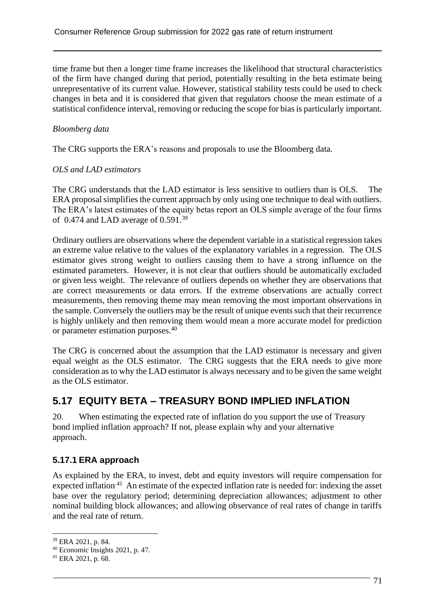time frame but then a longer time frame increases the likelihood that structural characteristics of the firm have changed during that period, potentially resulting in the beta estimate being unrepresentative of its current value. However, statistical stability tests could be used to check changes in beta and it is considered that given that regulators choose the mean estimate of a statistical confidence interval, removing or reducing the scope for bias is particularly important.

## *Bloomberg data*

The CRG supports the ERA's reasons and proposals to use the Bloomberg data.

### *OLS and LAD estimators*

The CRG understands that the LAD estimator is less sensitive to outliers than is OLS. The ERA proposal simplifies the current approach by only using one technique to deal with outliers. The ERA's latest estimates of the equity betas report an OLS simple average of the four firms of 0.474 and LAD average of  $0.591.^{39}$ 

Ordinary outliers are observations where the dependent variable in a statistical regression takes an extreme value relative to the values of the explanatory variables in a regression. The OLS estimator gives strong weight to outliers causing them to have a strong influence on the estimated parameters. However, it is not clear that outliers should be automatically excluded or given less weight. The relevance of outliers depends on whether they are observations that are correct measurements or data errors. If the extreme observations are actually correct measurements, then removing theme may mean removing the most important observations in the sample. Conversely the outliers may be the result of unique events such that their recurrence is highly unlikely and then removing them would mean a more accurate model for prediction or parameter estimation purposes. 40

The CRG is concerned about the assumption that the LAD estimator is necessary and given equal weight as the OLS estimator. The CRG suggests that the ERA needs to give more consideration as to why the LAD estimator is always necessary and to be given the same weight as the OLS estimator.

# **5.17 EQUITY BETA – TREASURY BOND IMPLIED INFLATION**

20. When estimating the expected rate of inflation do you support the use of Treasury bond implied inflation approach? If not, please explain why and your alternative approach.

## **5.17.1 ERA approach**

As explained by the ERA, to invest, debt and equity investors will require compensation for expected inflation<sup>-41</sup> An estimate of the expected inflation rate is needed for: indexing the asset base over the regulatory period; determining depreciation allowances; adjustment to other nominal building block allowances; and allowing observance of real rates of change in tariffs and the real rate of return.

<sup>39</sup> ERA 2021, p. 84.

<sup>40</sup> Economic Insights 2021, p. 47.

 $41$  ERA 2021, p. 68.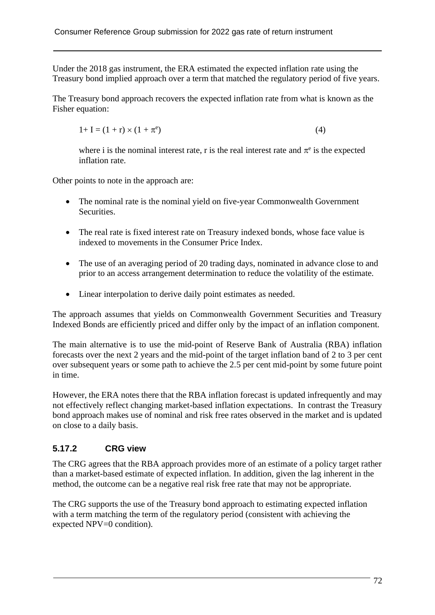Under the 2018 gas instrument, the ERA estimated the expected inflation rate using the Treasury bond implied approach over a term that matched the regulatory period of five years.

The Treasury bond approach recovers the expected inflation rate from what is known as the Fisher equation:

$$
1+I = (1+r) \times (1+\pi^e) \tag{4}
$$

where i is the nominal interest rate, r is the real interest rate and  $\pi$ <sup>e</sup> is the expected inflation rate.

Other points to note in the approach are:

- The nominal rate is the nominal yield on five-year Commonwealth Government Securities.
- The real rate is fixed interest rate on Treasury indexed bonds, whose face value is indexed to movements in the Consumer Price Index.
- The use of an averaging period of 20 trading days, nominated in advance close to and prior to an access arrangement determination to reduce the volatility of the estimate.
- Linear interpolation to derive daily point estimates as needed.

The approach assumes that yields on Commonwealth Government Securities and Treasury Indexed Bonds are efficiently priced and differ only by the impact of an inflation component.

The main alternative is to use the mid-point of Reserve Bank of Australia (RBA) inflation forecasts over the next 2 years and the mid-point of the target inflation band of 2 to 3 per cent over subsequent years or some path to achieve the 2.5 per cent mid-point by some future point in time.

However, the ERA notes there that the RBA inflation forecast is updated infrequently and may not effectively reflect changing market-based inflation expectations. In contrast the Treasury bond approach makes use of nominal and risk free rates observed in the market and is updated on close to a daily basis.

## **5.17.2 CRG view**

The CRG agrees that the RBA approach provides more of an estimate of a policy target rather than a market-based estimate of expected inflation. In addition, given the lag inherent in the method, the outcome can be a negative real risk free rate that may not be appropriate.

The CRG supports the use of the Treasury bond approach to estimating expected inflation with a term matching the term of the regulatory period (consistent with achieving the expected NPV=0 condition).